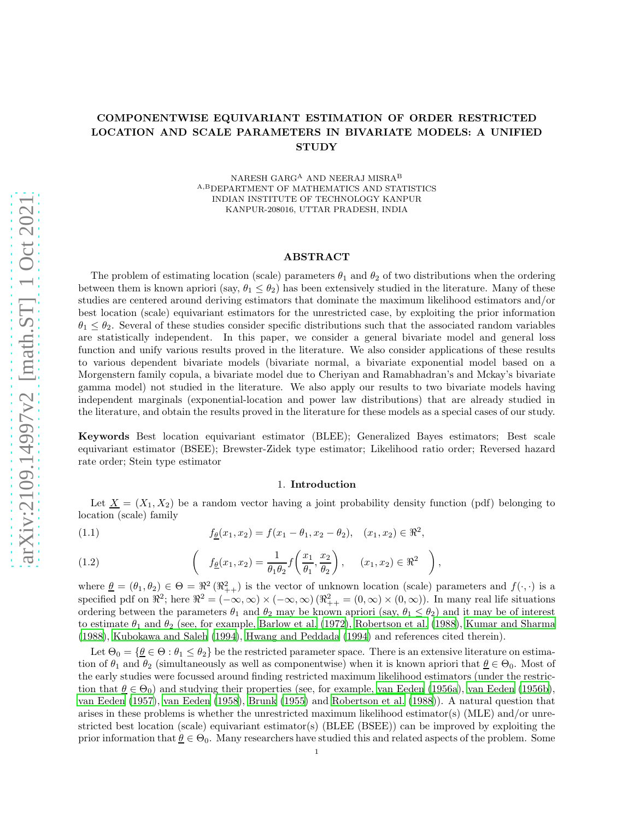# COMPONENTWISE EQUIVARIANT ESTIMATION OF ORDER RESTRICTED LOCATION AND SCALE PARAMETERS IN BIVARIATE MODELS: A UNIFIED **STUDY**

NARESH GARGA AND NEERAJ MISRA ${\rm ^B}$ A,BDEPARTMENT OF MATHEMATICS AND STATISTICS INDIAN INSTITUTE OF TECHNOLOGY KANPUR KANPUR-208016, UTTAR PRADESH, INDIA

#### ABSTRACT

The problem of estimating location (scale) parameters  $\theta_1$  and  $\theta_2$  of two distributions when the ordering between them is known apriori (say,  $\theta_1 \leq \theta_2$ ) has been extensively studied in the literature. Many of these studies are centered around deriving estimators that dominate the maximum likelihood estimators and/or best location (scale) equivariant estimators for the unrestricted case, by exploiting the prior information  $\theta_1 \leq \theta_2$ . Several of these studies consider specific distributions such that the associated random variables are statistically independent. In this paper, we consider a general bivariate model and general loss function and unify various results proved in the literature. We also consider applications of these results to various dependent bivariate models (bivariate normal, a bivariate exponential model based on a Morgenstern family copula, a bivariate model due to Cheriyan and Ramabhadran's and Mckay's bivariate gamma model) not studied in the literature. We also apply our results to two bivariate models having independent marginals (exponential-location and power law distributions) that are already studied in the literature, and obtain the results proved in the literature for these models as a special cases of our study.

Keywords Best location equivariant estimator (BLEE); Generalized Bayes estimators; Best scale equivariant estimator (BSEE); Brewster-Zidek type estimator; Likelihood ratio order; Reversed hazard rate order; Stein type estimator

#### 1. Introduction

Let  $\underline{X} = (X_1, X_2)$  be a random vector having a joint probability density function (pdf) belonging to location (scale) family

(1.1) 
$$
f_{\underline{\theta}}(x_1, x_2) = f(x_1 - \theta_1, x_2 - \theta_2), \quad (x_1, x_2) \in \mathbb{R}^2,
$$

(1.2) 
$$
\left(f_{\underline{\theta}}(x_1, x_2) = \frac{1}{\theta_1 \theta_2} f\left(\frac{x_1}{\theta_1}, \frac{x_2}{\theta_2}\right), \quad (x_1, x_2) \in \Re^2 \right)
$$

where  $\underline{\theta} = (\theta_1, \theta_2) \in \Theta = \Re^2(\Re_{++}^2)$  is the vector of unknown location (scale) parameters and  $f(\cdot, \cdot)$  is a specified pdf on  $\mathbb{R}^2$ ; here  $\mathbb{R}^2 = (-\infty, \infty) \times (-\infty, \infty) (\mathbb{R}^2_{++} = (0, \infty) \times (0, \infty))$ . In many real life situations ordering between the parameters  $\theta_1$  and  $\theta_2$  may be known apriori (say,  $\theta_1 \leq \theta_2$ ) and it may be of interest to estimate  $\theta_1$  and  $\theta_2$  (see, for example, [Barlow et al. \(1972](#page-30-0)), [Robertson et al. \(1988](#page-31-0)), [Kumar and Sharma](#page-30-1) [\(1988\)](#page-30-1), [Kubokawa and Saleh \(1994\)](#page-30-2), [Hwang and Peddada \(1994\)](#page-30-3) and references cited therein).

,

Let  $\Theta_0 = \{ \underline{\theta} \in \Theta : \theta_1 \leq \theta_2 \}$  be the restricted parameter space. There is an extensive literature on estimation of  $\theta_1$  and  $\theta_2$  (simultaneously as well as componentwise) when it is known apriori that  $\underline{\theta} \in \Theta_0$ . Most of the early studies were focussed around finding restricted maximum likelihood estimators (under the restriction that  $\theta \in \Theta_0$ ) and studying their properties (see, for example, [van Eeden \(1956a\)](#page-31-1), [van Eeden \(1956b\)](#page-31-2), [van Eeden \(1957\)](#page-31-3), [van Eeden \(1958](#page-31-4)), [Brunk \(1955\)](#page-30-4) and [Robertson et al. \(1988](#page-31-0))). A natural question that arises in these problems is whether the unrestricted maximum likelihood estimator(s) (MLE) and/or unrestricted best location (scale) equivariant estimator(s) (BLEE (BSEE)) can be improved by exploiting the prior information that  $\theta \in \Theta_0$ . Many researchers have studied this and related aspects of the problem. Some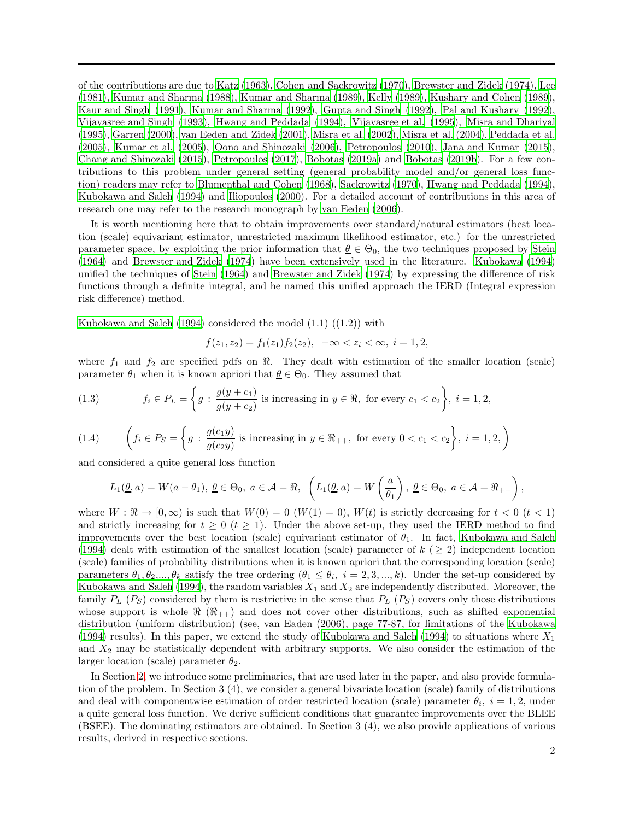of the contributions are due to [Katz \(1963\)](#page-30-5), [Cohen and Sackrowitz \(1970](#page-30-6)), [Brewster and Zidek \(1974\)](#page-30-7), [Lee](#page-31-5) [\(1981\)](#page-31-5), [Kumar and Sharma \(1988\)](#page-30-1), [Kumar and Sharma \(1989\)](#page-31-6), [Kelly \(1989\)](#page-30-8), [Kushary and Cohen \(1989\)](#page-31-7), [Kaur and Singh \(1991\)](#page-30-9), [Kumar and Sharma \(1992](#page-31-8)), [Gupta and Singh](#page-30-10) [\(1992\)](#page-30-10), [Pal and Kushary \(1992\)](#page-31-9), [Vijayasree and Singh \(1993](#page-31-10)), [Hwang and Peddada \(1994\)](#page-30-3), [Vijayasree et al. \(1995](#page-31-11)), [Misra and Dhariyal](#page-31-12) [\(1995\)](#page-31-12), [Garren \(2000\)](#page-30-11), [van Eeden and Zidek \(2001\)](#page-31-13), [Misra et al. \(2002\)](#page-31-14), [Misra et al. \(2004](#page-31-15)), [Peddada et al.](#page-31-16) [\(2005\)](#page-31-16), [Kumar et al. \(2005\)](#page-31-17), [Oono and Shinozaki \(2006\)](#page-31-18), [Petropoulos \(2010\)](#page-31-19), [Jana and Kumar \(2015\)](#page-30-12), [Chang and Shinozaki \(2015\)](#page-30-13), [Petropoulos \(2017\)](#page-31-20), [Bobotas \(2019a](#page-30-14)) and [Bobotas \(2019b\)](#page-30-15). For a few contributions to this problem under general setting (general probability model and/or general loss function) readers may refer to [Blumenthal and Cohen \(1968\)](#page-30-16), [Sackrowitz \(1970\)](#page-31-21), [Hwang and Peddada \(1994\)](#page-30-3), [Kubokawa and Saleh \(1994](#page-30-2)) and [Iliopoulos \(2000\)](#page-30-17). For a detailed account of contributions in this area of research one may refer to the research monograph by [van Eeden](#page-31-22) [\(2006](#page-31-22)).

It is worth mentioning here that to obtain improvements over standard/natural estimators (best location (scale) equivariant estimator, unrestricted maximum likelihood estimator, etc.) for the unrestricted parameter space, by exploiting the prior information that  $\underline{\theta} \in \Theta_0$ , the two techniques proposed by [Stein](#page-31-23) [\(1964\)](#page-31-23) and [Brewster and Zidek \(1974\)](#page-30-7) have been extensively used in the literature. [Kubokawa \(1994\)](#page-30-18) unified the techniques of [Stein \(1964\)](#page-31-23) and [Brewster and Zidek \(1974\)](#page-30-7) by expressing the difference of risk functions through a definite integral, and he named this unified approach the IERD (Integral expression risk difference) method.

[Kubokawa and Saleh \(1994](#page-30-2)) considered the model  $(1.1)$   $((1.2))$  with

$$
f(z_1, z_2) = f_1(z_1) f_2(z_2), \ -\infty < z_i < \infty, \ i = 1, 2,
$$

where  $f_1$  and  $f_2$  are specified pdfs on  $\Re$ . They dealt with estimation of the smaller location (scale) parameter  $\theta_1$  when it is known apriori that  $\underline{\theta} \in \Theta_0$ . They assumed that

(1.3) 
$$
f_i \in P_L = \left\{ g : \frac{g(y+c_1)}{g(y+c_2)} \text{ is increasing in } y \in \mathbb{R}, \text{ for every } c_1 < c_2 \right\}, i = 1, 2,
$$

(1.4) 
$$
\left(f_i \in P_S = \left\{g : \frac{g(c_1y)}{g(c_2y)} \text{ is increasing in } y \in \Re_{++}, \text{ for every } 0 < c_1 < c_2\right\}, i = 1, 2, \right\}
$$

and considered a quite general loss function

$$
L_1(\underline{\theta}, a) = W(a - \theta_1), \ \underline{\theta} \in \Theta_0, \ a \in \mathcal{A} = \Re, \ \ \left( L_1(\underline{\theta}, a) = W\left(\frac{a}{\theta_1}\right), \ \underline{\theta} \in \Theta_0, \ a \in \mathcal{A} = \Re_{++} \right),
$$

where  $W : \mathbb{R} \to [0, \infty)$  is such that  $W(0) = 0$   $(W(1) = 0)$ ,  $W(t)$  is strictly decreasing for  $t < 0$   $(t < 1)$ and strictly increasing for  $t \geq 0$  ( $t \geq 1$ ). Under the above set-up, they used the IERD method to find improvements over the best location (scale) equivariant estimator of  $\theta_1$ . In fact, [Kubokawa and Saleh](#page-30-2) [\(1994\)](#page-30-2) dealt with estimation of the smallest location (scale) parameter of  $k$  ( $\geq$  2) independent location (scale) families of probability distributions when it is known apriori that the corresponding location (scale) parameters  $\theta_1, \theta_2, ..., \theta_k$  satisfy the tree ordering  $(\theta_1 \le \theta_i, i = 2, 3, ..., k)$ . Under the set-up considered by [Kubokawa and Saleh \(1994](#page-30-2)), the random variables  $X_1$  and  $X_2$  are independently distributed. Moreover, the family  $P_L$  ( $P_S$ ) considered by them is restrictive in the sense that  $P_L$  ( $P_S$ ) covers only those distributions whose support is whole  $\Re$   $(\Re_{++})$  and does not cover other distributions, such as shifted exponential distribution (uniform distribution) (see, van Eaden (2006), page 77-87, for limitations of the [Kubokawa](#page-30-18) [\(1994\)](#page-30-18) results). In this paper, we extend the study of [Kubokawa](#page-30-2) and Saleh [\(1994](#page-30-2)) to situations where  $X_1$ and  $X_2$  may be statistically dependent with arbitrary supports. We also consider the estimation of the larger location (scale) parameter  $\theta_2$ .

In Section [2,](#page-2-0) we introduce some preliminaries, that are used later in the paper, and also provide formulation of the problem. In Section 3 (4), we consider a general bivariate location (scale) family of distributions and deal with componentwise estimation of order restricted location (scale) parameter  $\theta_i$ ,  $i = 1, 2$ , under a quite general loss function. We derive sufficient conditions that guarantee improvements over the BLEE (BSEE). The dominating estimators are obtained. In Section 3 (4), we also provide applications of various results, derived in respective sections.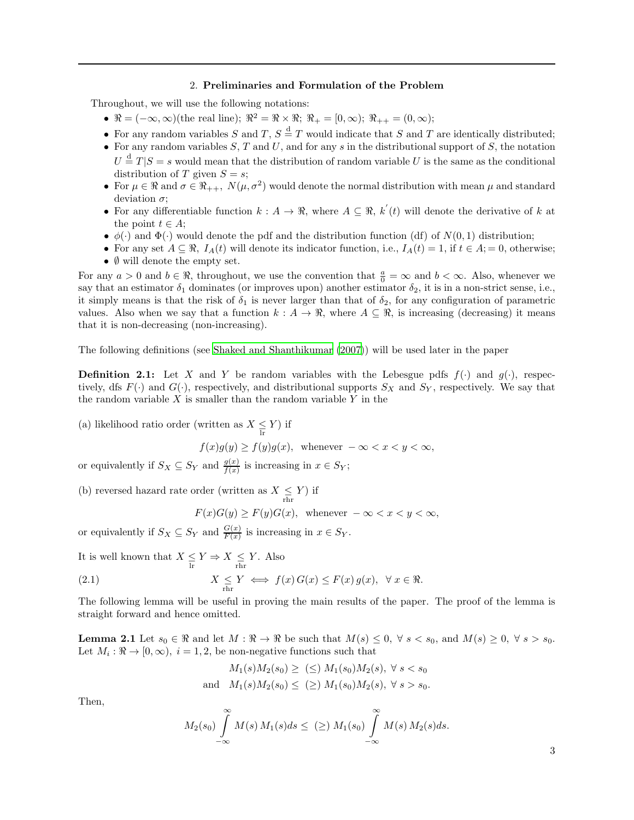#### 2. Preliminaries and Formulation of the Problem

<span id="page-2-0"></span>Throughout, we will use the following notations:

- $\mathbb{R} = (-\infty, \infty)$ (the real line);  $\mathbb{R}^2 = \mathbb{R} \times \mathbb{R}$ ;  $\mathbb{R}_+ = [0, \infty)$ ;  $\mathbb{R}_{++} = (0, \infty)$ ;
- For any random variables S and T,  $S \stackrel{d}{=} T$  would indicate that S and T are identically distributed;
- For any random variables  $S, T$  and  $U$ , and for any s in the distributional support of  $S$ , the notation  $U \stackrel{\text{d}}{=} T |S = s$  would mean that the distribution of random variable U is the same as the conditional distribution of T given  $S = s$ ;
- For  $\mu \in \mathbb{R}$  and  $\sigma \in \mathbb{R}_{++}$ ,  $N(\mu, \sigma^2)$  would denote the normal distribution with mean  $\mu$  and standard deviation  $\sigma$ ;
- For any differentiable function  $k : A \to \mathbb{R}$ , where  $A \subseteq \mathbb{R}$ ,  $k'(t)$  will denote the derivative of k at the point  $t \in A$ ;
- $\phi(\cdot)$  and  $\Phi(\cdot)$  would denote the pdf and the distribution function (df) of  $N(0, 1)$  distribution;
- For any set  $A \subseteq \mathcal{R}$ ,  $I_A(t)$  will denote its indicator function, i.e.,  $I_A(t) = 1$ , if  $t \in A$ ; = 0, otherwise; •  $\emptyset$  will denote the empty set.

For any  $a > 0$  and  $b \in \mathbb{R}$ , throughout, we use the convention that  $\frac{a}{0} = \infty$  and  $b < \infty$ . Also, whenever we say that an estimator  $\delta_1$  dominates (or improves upon) another estimator  $\delta_2$ , it is in a non-strict sense, i.e., it simply means is that the risk of  $\delta_1$  is never larger than that of  $\delta_2$ , for any configuration of parametric values. Also when we say that a function  $k : A \to \mathbb{R}$ , where  $A \subseteq \mathbb{R}$ , is increasing (decreasing) it means that it is non-decreasing (non-increasing).

The following definitions (see [Shaked and Shanthikumar \(2007\)](#page-31-24)) will be used later in the paper

**Definition 2.1:** Let X and Y be random variables with the Lebesgue pdfs  $f(.)$  and  $g(.)$ , respectively, dfs  $F(\cdot)$  and  $G(\cdot)$ , respectively, and distributional supports  $S_X$  and  $S_Y$ , respectively. We say that the random variable  $X$  is smaller than the random variable  $Y$  in the

(a) likelihood ratio order (written as  $X \leq Y$ ) if

 $f(x)g(y) \ge f(y)g(x)$ , whenever  $-\infty < x < y < \infty$ ,

or equivalently if  $S_X \subseteq S_Y$  and  $\frac{g(x)}{f(x)}$  is increasing in  $x \in S_Y$ ;

(b) reversed hazard rate order (written as  $X \leq Y$ ) if

$$
F(x)G(y) \ge F(y)G(x), \text{ whenever } -\infty < x < y < \infty,
$$

or equivalently if  $S_X \subseteq S_Y$  and  $\frac{G(x)}{F(x)}$  is increasing in  $x \in S_Y$ .

It is well known that  $X \leq Y \Rightarrow X \leq Y$ . Also

(2.1) 
$$
X \leq Y \iff f(x) G(x) \leq F(x) g(x), \quad \forall x \in \Re.
$$

The following lemma will be useful in proving the main results of the paper. The proof of the lemma is straight forward and hence omitted.

**Lemma 2.1** Let  $s_0 \in \Re$  and let  $M : \Re \to \Re$  be such that  $M(s) \leq 0$ ,  $\forall s < s_0$ , and  $M(s) \geq 0$ ,  $\forall s > s_0$ . Let  $M_i: \Re \to [0, \infty), i = 1, 2$ , be non-negative functions such that

$$
M_1(s)M_2(s_0) \geq \ (\leq) \ M_1(s_0)M_2(s), \ \forall \ s < s_0
$$
\n
$$
M_1(s)M_2(s_0) \leq \ (\geq) \ M_1(s_0)M_2(s), \ \forall \ s > s_0.
$$

Then,

$$
M_2(s_0)\int\limits_{-\infty}^{\infty}M(s)\,M_1(s)ds\leq\;(\geq)\;M_1(s_0)\int\limits_{-\infty}^{\infty}M(s)\,M_2(s)ds.
$$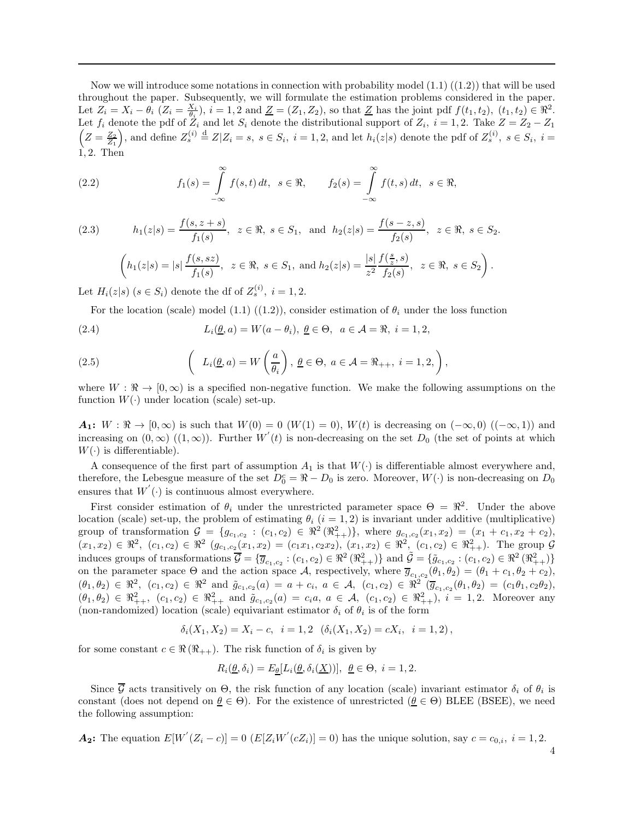Now we will introduce some notations in connection with probability model  $(1.1)$   $((1.2))$  that will be used throughout the paper. Subsequently, we will formulate the estimation problems considered in the paper. Let  $Z_i = X_i - \theta_i$   $(Z_i = \frac{X_i}{\theta_i}), i = 1, 2$  and  $\underline{Z} = (Z_1, Z_2)$ , so that  $\underline{Z}$  has the joint pdf  $f(t_1, t_2), (t_1, t_2) \in \Re^2$ . Let  $f_i$  denote the pdf of  $Z_i$  and let  $S_i$  denote the distributional support of  $Z_i$ ,  $i = 1, 2$ . Take  $Z = Z_2 - Z_1$  $\left(Z=\frac{Z_2}{Z_1}\right)$ , and define  $Z_s^{(i)}\stackrel{d}{=}Z|Z_i=s$ ,  $s\in S_i$ ,  $i=1,2$ , and let  $h_i(z|s)$  denote the pdf of  $Z_s^{(i)}$ ,  $s\in S_i$ ,  $i=1$ 1, 2. Then

(2.2) 
$$
f_1(s) = \int_{-\infty}^{\infty} f(s,t) dt, \quad s \in \mathbb{R}, \qquad f_2(s) = \int_{-\infty}^{\infty} f(t,s) dt, \quad s \in \mathbb{R},
$$

(2.3)  $h_1(z|s) = \frac{f(s, z + s)}{f_1(s)}$ ,  $z \in \Re$ ,  $s \in S_1$ , and  $h_2(z|s) = \frac{f(s - z, s)}{f_2(s)}$ ,  $z \in \Re$ ,  $s \in S_2$ .

$$
\left(h_1(z|s) = |s| \frac{f(s, sz)}{f_1(s)}, z \in \Re, s \in S_1, \text{ and } h_2(z|s) = \frac{|s|}{z^2} \frac{f(\frac{s}{z}, s)}{f_2(s)}, z \in \Re, s \in S_2\right).
$$

Let  $H_i(z|s)$   $(s \in S_i)$  denote the df of  $Z_s^{(i)}$ ,  $i = 1, 2$ .

For the location (scale) model (1.1) ((1.2)), consider estimation of  $\theta_i$  under the loss function

(2.4)  $L_i(\underline{\theta}, a) = W(a - \theta_i), \underline{\theta} \in \Theta, \ a \in \mathcal{A} = \Re, \ i = 1, 2,$ 

(2.5) 
$$
\left(L_i(\underline{\theta}, a) = W\left(\frac{a}{\theta_i}\right), \underline{\theta} \in \Theta, a \in \mathcal{A} = \Re_{++}, i = 1, 2, \right),
$$

where  $W : \mathbb{R} \to [0, \infty)$  is a specified non-negative function. We make the following assumptions on the function  $W(\cdot)$  under location (scale) set-up.

 $A_1: W: \mathbb{R} \to [0, \infty)$  is such that  $W(0) = 0$   $(W(1) = 0)$ ,  $W(t)$  is decreasing on  $(-\infty, 0)$   $((-\infty, 1))$  and increasing on  $(0, \infty)$   $((1, \infty))$ . Further  $W'(t)$  is non-decreasing on the set  $D_0$  (the set of points at which  $W(\cdot)$  is differentiable).

A consequence of the first part of assumption  $A_1$  is that  $W(\cdot)$  is differentiable almost everywhere and, therefore, the Lebesgue measure of the set  $D_0^c = \Re - D_0$  is zero. Moreover,  $W(\cdot)$  is non-decreasing on  $D_0$ ensures that  $W'(\cdot)$  is continuous almost everywhere.

First consider estimation of  $\theta_i$  under the unrestricted parameter space  $\Theta = \mathbb{R}^2$ . Under the above location (scale) set-up, the problem of estimating  $\theta_i$  (i = 1, 2) is invariant under additive (multiplicative) group of transformation  $\mathcal{G} = \{g_{c_1,c_2} : (c_1,c_2) \in \Re^2(\Re_{++}^2)\}\$ , where  $g_{c_1,c_2}(x_1,x_2) = (x_1 + c_1, x_2 + c_2),$  $(x_1, x_2) \in \mathbb{R}^2$ ,  $(c_1, c_2) \in \mathbb{R}^2$   $(g_{c_1, c_2}(x_1, x_2) = (c_1x_1, c_2x_2), (x_1, x_2) \in \mathbb{R}^2$ ,  $(c_1, c_2) \in \mathbb{R}^2_{++}$ . The group  $\mathcal{G}$ induces groups of transformations  $\overline{\mathcal{G}} = \{ \overline{g}_{c_1, c_2} : (c_1, c_2) \in \mathbb{R}^2 \times \mathbb{R}^2_{++} \}$  and  $\tilde{\mathcal{G}} = \{ \tilde{g}_{c_1, c_2} : (c_1, c_2) \in \mathbb{R}^2 \times \mathbb{R}^2_{++} \}$ on the parameter space  $\Theta$  and the action space  $\mathcal{A}$ , respectively, where  $\overline{g}_{c_1,c_2}(\theta_1,\theta_2)=(\theta_1+c_1,\theta_2+c_2)$ ,  $(\theta_1, \theta_2) \in \mathbb{R}^2$ ,  $(c_1, c_2) \in \mathbb{R}^2$  and  $\tilde{g}_{c_1, c_2}(a) = a + c_i$ ,  $a \in \mathcal{A}$ ,  $(c_1, c_2) \in \mathbb{R}^2$   $(\overline{g}_{c_1, c_2}(\theta_1, \theta_2)) = (c_1 \theta_1, c_2 \theta_2)$ ,  $(\theta_1, \theta_2) \in \mathbb{R}^2_{++}$ ,  $(c_1, c_2) \in \mathbb{R}^2_{++}$  and  $\tilde{g}_{c_1, c_2}(a) = c_i a, a \in \mathcal{A}$ ,  $(c_1, c_2) \in \mathbb{R}^2_{++}$ ,  $i = 1, 2$ . Moreover any (non-randomized) location (scale) equivariant estimator  $\delta_i$  of  $\theta_i$  is of the form

 $\delta_i(X_1, X_2) = X_i - c, \ \ i = 1, 2 \ \ (\delta_i(X_1, X_2) = cX_i, \ \ i = 1, 2),$ 

for some constant  $c \in \Re(\Re_{++})$ . The risk function of  $\delta_i$  is given by

$$
R_i(\underline{\theta}, \delta_i) = E_{\underline{\theta}}[L_i(\underline{\theta}, \delta_i(\underline{X}))], \ \underline{\theta} \in \Theta, \ i = 1, 2.
$$

Since G acts transitively on  $\Theta$ , the risk function of any location (scale) invariant estimator  $\delta_i$  of  $\theta_i$  is constant (does not depend on  $\theta \in \Theta$ ). For the existence of unrestricted ( $\theta \in \Theta$ ) BLEE (BSEE), we need the following assumption:

**A<sub>2</sub>:** The equation 
$$
E[W'(Z_i - c)] = 0
$$
  $(E[Z_i W'(cZ_i)] = 0)$  has the unique solution, say  $c = c_{0,i}$ ,  $i = 1, 2$ .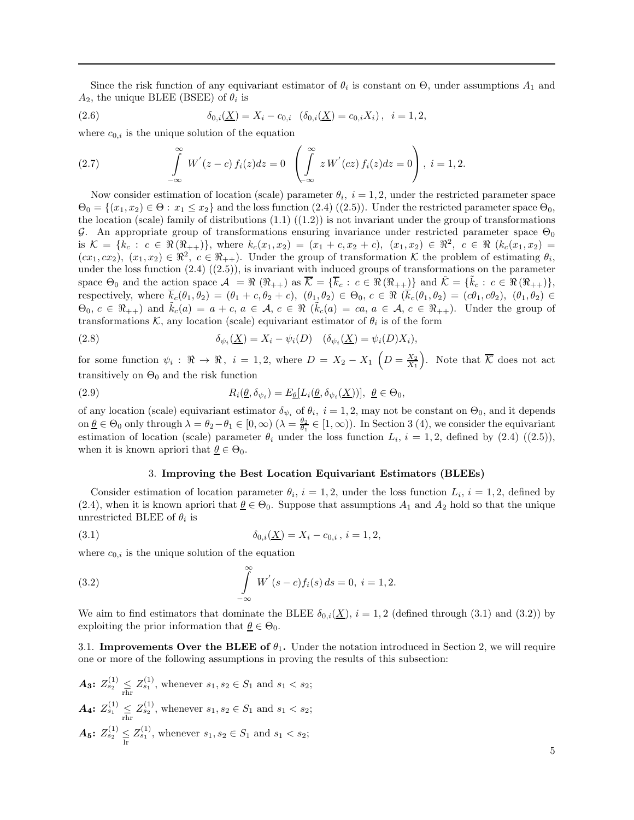Since the risk function of any equivariant estimator of  $\theta_i$  is constant on  $\Theta$ , under assumptions  $A_1$  and  $A_2$ , the unique BLEE (BSEE) of  $\theta_i$  is

(2.6) 
$$
\delta_{0,i}(\underline{X}) = X_i - c_{0,i} \quad (\delta_{0,i}(\underline{X}) = c_{0,i} X_i), \quad i = 1, 2,
$$

where  $c_{0,i}$  is the unique solution of the equation

(2.7) 
$$
\int_{-\infty}^{\infty} W'(z - c) f_i(z) dz = 0 \left( \int_{-\infty}^{\infty} z W'(cz) f_i(z) dz = 0 \right), i = 1, 2.
$$

Now consider estimation of location (scale) parameter  $\theta_i$ ,  $i = 1, 2$ , under the restricted parameter space  $\Theta_0 = \{(x_1, x_2) \in \Theta : x_1 \leq x_2\}$  and the loss function  $(2.4)$   $((2.5))$ . Under the restricted parameter space  $\Theta_0$ , the location (scale) family of distributions  $(1.1)$   $((1.2))$  is not invariant under the group of transformations G. An appropriate group of transformations ensuring invariance under restricted parameter space  $\Theta_0$ is  $\mathcal{K} = \{k_c : c \in \Re(\Re_{++})\},\$  where  $k_c(x_1, x_2) = (x_1 + c, x_2 + c), (x_1, x_2) \in \Re^2, c \in \Re(k_c(x_1, x_2))$  $(cx_1, cx_2), (x_1, x_2) \in \mathbb{R}^2$ ,  $c \in \mathbb{R}_{++}$ . Under the group of transformation K the problem of estimating  $\theta_i$ , under the loss function  $(2.4)$   $((2.5))$ , is invariant with induced groups of transformations on the parameter space  $\Theta_0$  and the action space  $\mathcal{A} = \Re (\Re_{++})$  as  $\overline{\mathcal{K}} = {\overline{k}_c : c \in \Re (\Re_{++})}$  and  $\tilde{\mathcal{K}} = {\overline{k}_c : c \in \Re (\Re_{++})}$ , respectively, where  $\overline{k}_c(\theta_1, \theta_2) = (\theta_1 + c, \theta_2 + c), (\theta_1, \theta_2) \in \Theta_0$ ,  $c \in \Re(\overline{k}_c(\theta_1, \theta_2) = (c\theta_1, c\theta_2), (\theta_1, \theta_2) \in \Theta_0$  $\Theta_0, c \in \mathbb{R}_{++}$  and  $\tilde{k}_c(a) = a + c, a \in \mathcal{A}, c \in \mathbb{R}$   $(\tilde{k}_c(a) = ca, a \in \mathcal{A}, c \in \mathbb{R}_{++})$ . Under the group of transformations  $\mathcal{K}$ , any location (scale) equivariant estimator of  $\theta_i$  is of the form

(2.8) 
$$
\delta_{\psi_i}(\underline{X}) = X_i - \psi_i(D) \quad (\delta_{\psi_i}(\underline{X}) = \psi_i(D)X_i),
$$

for some function  $\psi_i: \Re \to \Re, i = 1, 2$ , where  $D = X_2 - X_1 \left(D = \frac{X_2}{X_1}\right)$ . Note that  $\overline{\mathcal{K}}$  does not act transitively on  $\Theta_0$  and the risk function

(2.9) 
$$
R_i(\underline{\theta}, \delta_{\psi_i}) = E_{\underline{\theta}}[L_i(\underline{\theta}, \delta_{\psi_i}(\underline{X}))], \ \underline{\theta} \in \Theta_0,
$$

of any location (scale) equivariant estimator  $\delta_{\psi_i}$  of  $\theta_i$ ,  $i = 1, 2$ , may not be constant on  $\Theta_0$ , and it depends on  $\underline{\theta} \in \Theta_0$  only through  $\lambda = \theta_2 - \theta_1 \in [0, \infty)$   $(\lambda = \frac{\theta_2}{\theta_1} \in [1, \infty))$ . In Section 3 (4), we consider the equivariant estimation of location (scale) parameter  $\theta_i$  under the loss function  $L_i$ ,  $i = 1, 2$ , defined by  $(2.4)$   $((2.5))$ , when it is known apriori that  $\theta \in \Theta_0$ .

#### 3. Improving the Best Location Equivariant Estimators (BLEEs)

Consider estimation of location parameter  $\theta_i$ ,  $i = 1, 2$ , under the loss function  $L_i$ ,  $i = 1, 2$ , defined by (2.4), when it is known apriori that  $\theta \in \Theta_0$ . Suppose that assumptions  $A_1$  and  $A_2$  hold so that the unique unrestricted BLEE of  $\theta_i$  is

(3.1) 
$$
\delta_{0,i}(\underline{X}) = X_i - c_{0,i}, \ i = 1, 2,
$$

where  $c_{0,i}$  is the unique solution of the equation

(3.2) 
$$
\int_{-\infty}^{\infty} W'(s-c)f_i(s) ds = 0, i = 1, 2.
$$

We aim to find estimators that dominate the BLEE  $\delta_{0,i}(\underline{X}), i = 1, 2$  (defined through (3.1) and (3.2)) by exploiting the prior information that  $\theta \in \Theta_0$ .

3.1. Improvements Over the BLEE of  $\theta_1$ . Under the notation introduced in Section 2, we will require one or more of the following assumptions in proving the results of this subsection:

 $A_3: Z_{s_2}^{(1)} \leq Z_{s_1}^{(1)}$ , whenever  $s_1, s_2 \in S_1$  and  $s_1 < s_2$ ;  $A_4$ :  $Z_{s_1}^{(1)} \leq Z_{s_2}^{(1)}$ , whenever  $s_1, s_2 \in S_1$  and  $s_1 < s_2$ ;  $A_5: Z_{s_2}^{(1)} \leq Z_{s_1}^{(1)}$ , whenever  $s_1, s_2 \in S_1$  and  $s_1 < s_2$ ;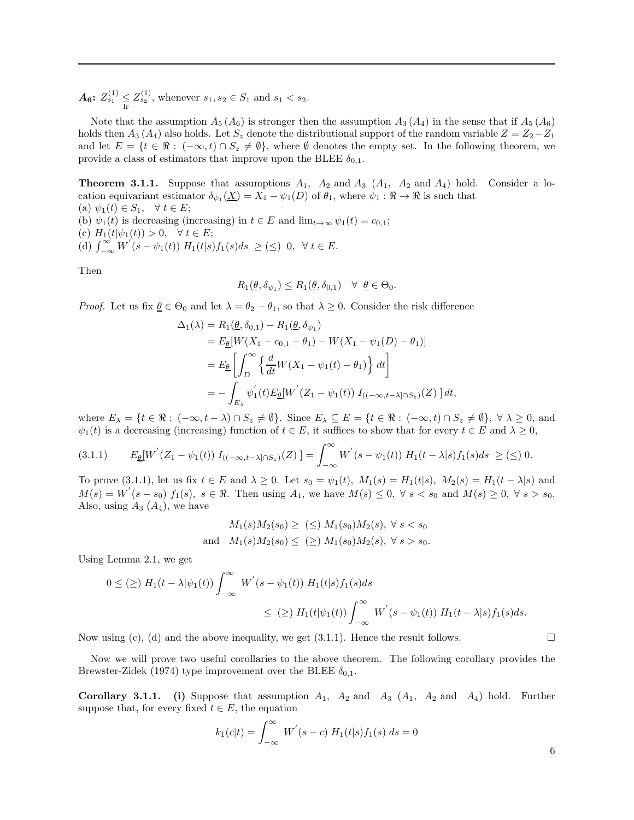$A_6$ :  $Z_{s_1}^{(1)} \leq Z_{s_2}^{(1)}$ , whenever  $s_1, s_2 \in S_1$  and  $s_1 < s_2$ .

Note that the assumption  $A_5(A_6)$  is stronger then the assumption  $A_3(A_4)$  in the sense that if  $A_5(A_6)$ holds then  $A_3(A_4)$  also holds. Let  $S_z$  denote the distributional support of the random variable  $Z = Z_2 - Z_1$ and let  $E = \{t \in \Re : (-\infty, t) \cap S_z \neq \emptyset\}$ , where  $\emptyset$  denotes the empty set. In the following theorem, we provide a class of estimators that improve upon the BLEE  $\delta_{0,1}$ .

**Theorem 3.1.1.** Suppose that assumptions  $A_1$ ,  $A_2$  and  $A_3$  ( $A_1$ ,  $A_2$  and  $A_4$ ) hold. Consider a location equivariant estimator  $\delta_{\psi_1}(\underline{X}) = X_1 - \psi_1(D)$  of  $\theta_1$ , where  $\psi_1 : \Re \to \Re$  is such that (a)  $\psi_1(t) \in S_1$ ,  $\forall t \in E$ ;

(b)  $\psi_1(t)$  is decreasing (increasing) in  $t \in E$  and  $\lim_{t\to\infty} \psi_1(t) = c_{0,1}$ ; (c)  $H_1(t|\psi_1(t)) > 0, \quad \forall \ t \in E;$ (d)  $\int_{-\infty}^{\infty} W^{'}(s-\psi_1(t)) H_1(t|s) f_1(s) ds \geq (\leq) 0, \forall t \in E.$ 

Then

$$
R_1(\underline{\theta}, \delta_{\psi_1}) \le R_1(\underline{\theta}, \delta_{0,1}) \quad \forall \ \underline{\theta} \in \Theta_0.
$$

*Proof.* Let us fix  $\underline{\theta} \in \Theta_0$  and let  $\lambda = \theta_2 - \theta_1$ , so that  $\lambda \geq 0$ . Consider the risk difference

$$
\Delta_1(\lambda) = R_1(\underline{\theta}, \delta_{0,1}) - R_1(\underline{\theta}, \delta_{\psi_1})
$$
  
\n
$$
= E_{\underline{\theta}}[W(X_1 - c_{0,1} - \theta_1) - W(X_1 - \psi_1(D) - \theta_1)]
$$
  
\n
$$
= E_{\underline{\theta}} \left[ \int_D^{\infty} \left\{ \frac{d}{dt} W(X_1 - \psi_1(t) - \theta_1) \right\} dt \right]
$$
  
\n
$$
= - \int_{E_{\lambda}} \psi_1'(t) E_{\underline{\theta}}[W'(Z_1 - \psi_1(t)) I_{((-\infty, t-\lambda] \cap S_z)}(Z)] dt,
$$

where  $E_{\lambda} = \{t \in \Re : (-\infty, t - \lambda) \cap S_z \neq \emptyset\}$ . Since  $E_{\lambda} \subseteq E = \{t \in \Re : (-\infty, t) \cap S_z \neq \emptyset\}$ ,  $\forall \lambda \geq 0$ , and  $\psi_1(t)$  is a decreasing (increasing) function of  $t \in E$ , it suffices to show that for every  $t \in E$  and  $\lambda \geq 0$ ,

$$
(3.1.1) \qquad E_{\underline{\theta}}[W^{'}(Z_1 - \psi_1(t)) I_{((-\infty, t-\lambda] \cap S_z)}(Z)] = \int_{-\infty}^{\infty} W^{'}(s - \psi_1(t)) H_1(t-\lambda|s) f_1(s) ds \geq (\leq) 0.
$$

To prove (3.1.1), let us fix  $t \in E$  and  $\lambda \geq 0$ . Let  $s_0 = \psi_1(t)$ ,  $M_1(s) = H_1(t|s)$ ,  $M_2(s) = H_1(t - \lambda|s)$  and  $M(s) = W'(s - s_0) f_1(s), s \in \Re$ . Then using  $A_1$ , we have  $M(s) \leq 0, \forall s < s_0$  and  $M(s) \geq 0, \forall s > s_0$ . Also, using  $A_3(A_4)$ , we have

$$
M_1(s)M_2(s_0) \geq \; (\leq) \; M_1(s_0)M_2(s), \; \forall \; s < s_0
$$
\n
$$
M_1(s)M_2(s_0) \leq \; (\geq) \; M_1(s_0)M_2(s), \; \forall \; s > s_0.
$$

Using Lemma 2.1, we get

$$
0 \leq (\geq) H_1(t - \lambda|\psi_1(t)) \int_{-\infty}^{\infty} W^{'}(s - \psi_1(t)) H_1(t|s) f_1(s) ds
$$
  

$$
\leq (\geq) H_1(t|\psi_1(t)) \int_{-\infty}^{\infty} W^{'}(s - \psi_1(t)) H_1(t - \lambda|s) f_1(s) ds.
$$

Now using (c), (d) and the above inequality, we get  $(3.1.1)$ . Hence the result follows.

Now we will prove two useful corollaries to the above theorem. The following corollary provides the Brewster-Zidek (1974) type improvement over the BLEE  $\delta_{0,1}$ .

**Corollary 3.1.1.** (i) Suppose that assumption  $A_1$ ,  $A_2$  and  $A_3$   $(A_1$ ,  $A_2$  and  $A_4$ ) hold. Further suppose that, for every fixed  $t \in E$ , the equation

$$
k_1(c|t) = \int_{-\infty}^{\infty} W'(s - c) H_1(t|s) f_1(s) ds = 0
$$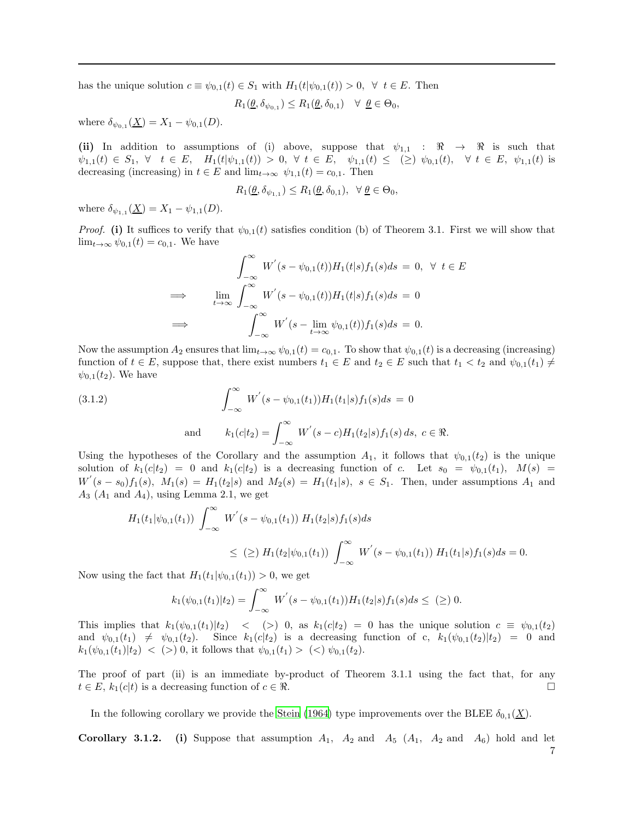has the unique solution  $c \equiv \psi_{0,1}(t) \in S_1$  with  $H_1(t|\psi_{0,1}(t)) > 0$ ,  $\forall t \in E$ . Then

$$
R_1(\underline{\theta}, \delta_{\psi_{0,1}}) \le R_1(\underline{\theta}, \delta_{0,1}) \quad \forall \ \underline{\theta} \in \Theta_0,
$$

where  $\delta_{\psi_{0,1}}(\underline{X}) = X_1 - \psi_{0,1}(D)$ .

(ii) In addition to assumptions of (i) above, suppose that  $\psi_{1,1} : \mathcal{R} \to \mathcal{R}$  is such that  $\psi_{1,1}(t) \in S_1$ ,  $\forall$   $t \in E$ ,  $H_1(t|\psi_{1,1}(t)) > 0$ ,  $\forall$   $t \in E$ ,  $\psi_{1,1}(t) \leq (\geq) \psi_{0,1}(t)$ ,  $\forall$   $t \in E$ ,  $\psi_{1,1}(t)$  is decreasing (increasing) in  $t \in E$  and  $\lim_{t\to\infty} \psi_{1,1}(t) = c_{0,1}$ . Then

$$
R_1(\underline{\theta}, \delta_{\psi_{1,1}}) \le R_1(\underline{\theta}, \delta_{0,1}), \ \ \forall \ \underline{\theta} \in \Theta_0,
$$

where  $\delta_{\psi_{1,1}}(\underline{X}) = X_1 - \psi_{1,1}(D)$ .

*Proof.* (i) It suffices to verify that  $\psi_{0,1}(t)$  satisfies condition (b) of Theorem 3.1. First we will show that  $\lim_{t\to\infty}\psi_{0,1}(t)=c_{0,1}$ . We have

$$
\int_{-\infty}^{\infty} W^{'}(s - \psi_{0,1}(t))H_1(t|s)f_1(s)ds = 0, \ \forall \ t \in E
$$
  
\n
$$
\implies \lim_{t \to \infty} \int_{-\infty}^{\infty} W^{'}(s - \psi_{0,1}(t))H_1(t|s)f_1(s)ds = 0
$$
  
\n
$$
\implies \int_{-\infty}^{\infty} W^{'}(s - \lim_{t \to \infty} \psi_{0,1}(t))f_1(s)ds = 0.
$$

Now the assumption  $A_2$  ensures that  $\lim_{t\to\infty} \psi_{0,1}(t) = c_{0,1}$ . To show that  $\psi_{0,1}(t)$  is a decreasing (increasing) function of  $t \in E$ , suppose that, there exist numbers  $t_1 \in E$  and  $t_2 \in E$  such that  $t_1 < t_2$  and  $\psi_{0,1}(t_1) \neq$  $\psi_{0,1}(t_2)$ . We have

(3.1.2) 
$$
\int_{-\infty}^{\infty} W'(s - \psi_{0,1}(t_1)) H_1(t_1|s) f_1(s) ds = 0
$$
  
and 
$$
k_1(c|t_2) = \int_{-\infty}^{\infty} W'(s - c) H_1(t_2|s) f_1(s) ds, c \in \mathbb{R}.
$$

Using the hypotheses of the Corollary and the assumption  $A_1$ , it follows that  $\psi_{0,1}(t_2)$  is the unique solution of  $k_1(c|t_2) = 0$  and  $k_1(c|t_2)$  is a decreasing function of c. Let  $s_0 = \psi_{0,1}(t_1)$ ,  $M(s) =$  $W^{'}(s-s_0)f_1(s)$ ,  $M_1(s) = H_1(t_2|s)$  and  $M_2(s) = H_1(t_1|s)$ ,  $s \in S_1$ . Then, under assumptions  $A_1$  and  $A_3$  ( $A_1$  and  $A_4$ ), using Lemma 2.1, we get

$$
H_1(t_1|\psi_{0,1}(t_1)) \int_{-\infty}^{\infty} W^{'}(s - \psi_{0,1}(t_1)) H_1(t_2|s) f_1(s) ds
$$
  

$$
\leq (\geq) H_1(t_2|\psi_{0,1}(t_1)) \int_{-\infty}^{\infty} W^{'}(s - \psi_{0,1}(t_1)) H_1(t_1|s) f_1(s) ds = 0.
$$

Now using the fact that  $H_1(t_1|\psi_{0,1}(t_1)) > 0$ , we get

$$
k_1(\psi_{0,1}(t_1)|t_2) = \int_{-\infty}^{\infty} W^{'}(s - \psi_{0,1}(t_1))H_1(t_2|s) f_1(s) ds \leq (\geq) 0.
$$

This implies that  $k_1(\psi_{0,1}(t_1)|t_2)$  < (> 0, as  $k_1(c|t_2) = 0$  has the unique solution  $c \equiv \psi_{0,1}(t_2)$ and  $\psi_{0,1}(t_1) \neq \psi_{0,1}(t_2)$ . Since  $k_1(c|t_2)$  is a decreasing function of c,  $k_1(\psi_{0,1}(t_2)|t_2) = 0$  and  $k_1(\psi_{0,1}(t_1)|t_2)$  < (>) 0, it follows that  $\psi_{0,1}(t_1) >$  (<)  $\psi_{0,1}(t_2)$ .

The proof of part (ii) is an immediate by-product of Theorem 3.1.1 using the fact that, for any  $t \in E$ ,  $k_1(c|t)$  is a decreasing function of  $c \in \Re$ .

In the following corollary we provide the [Stein \(1964](#page-31-23)) type improvements over the BLEE  $\delta_{0.1}(\underline{X})$ .

**Corollary 3.1.2.** (i) Suppose that assumption  $A_1$ ,  $A_2$  and  $A_5$  ( $A_1$ ,  $A_2$  and  $A_6$ ) hold and let 7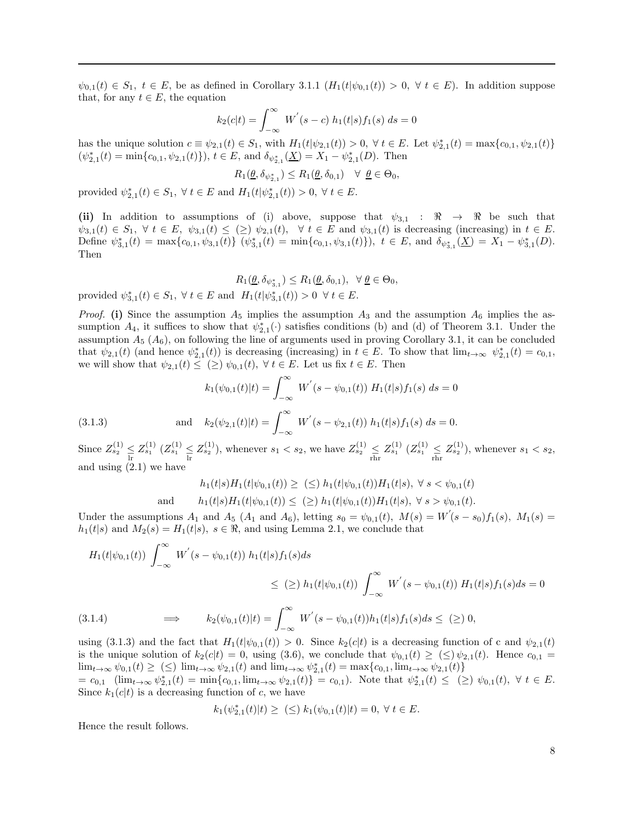$\psi_{0,1}(t) \in S_1$ ,  $t \in E$ , be as defined in Corollary 3.1.1  $(H_1(t|\psi_{0,1}(t)) > 0, \forall t \in E)$ . In addition suppose that, for any  $t \in E$ , the equation

$$
k_2(c|t) = \int_{-\infty}^{\infty} W^{'}(s-c) h_1(t|s) f_1(s) ds = 0
$$

has the unique solution  $c \equiv \psi_{2,1}(t) \in S_1$ , with  $H_1(t|\psi_{2,1}(t)) > 0$ ,  $\forall t \in E$ . Let  $\psi_{2,1}^*(t) = \max\{c_{0,1}, \psi_{2,1}(t)\}$  $(\psi_{2,1}^*(t) = \min\{c_{0,1}, \psi_{2,1}(t)\}), t \in E$ , and  $\delta_{\psi_{2,1}^*}(\underline{X}) = X_1 - \psi_{2,1}^*(D)$ . Then

$$
R_1(\underline{\theta}, \delta_{\psi_{2,1}^*}) \leq R_1(\underline{\theta}, \delta_{0,1}) \quad \forall \ \underline{\theta} \in \Theta_0,
$$

provided  $\psi_{2,1}^{*}(t) \in S_1$ ,  $\forall t \in E$  and  $H_1(t|\psi_{2,1}^{*}(t)) > 0$ ,  $\forall t \in E$ .

(ii) In addition to assumptions of (i) above, suppose that  $\psi_{3,1}$  :  $\Re \rightarrow \Re$  be such that  $\psi_{3,1}(t) \in S_1$ ,  $\forall t \in E$ ,  $\psi_{3,1}(t) \leq (\geq) \psi_{2,1}(t)$ ,  $\forall t \in E$  and  $\psi_{3,1}(t)$  is decreasing (increasing) in  $t \in E$ . Define  $\psi_{3,1}^*(t) = \max\{c_{0,1}, \psi_{3,1}(t)\}$   $(\psi_{3,1}^*(t) = \min\{c_{0,1}, \psi_{3,1}(t)\})$ ,  $t \in E$ , and  $\delta_{\psi_{3,1}^*}(\underline{X}) = X_1 - \psi_{3,1}^*(D)$ . Then

 $R_1(\underline{\theta}, \delta_{\psi_{3,1}^*}) \leq R_1(\underline{\theta}, \delta_{0,1}), \ \ \forall \ \underline{\theta} \in \Theta_0,$ 

provided  $\psi_{3,1}^*(t) \in S_1$ ,  $\forall t \in E$  and  $H_1(t|\psi_{3,1}^*(t)) > 0 \ \forall t \in E$ .

*Proof.* (i) Since the assumption  $A_5$  implies the assumption  $A_3$  and the assumption  $A_6$  implies the assumption  $A_4$ , it suffices to show that  $\psi_{2,1}^*$  ( $\cdot$ ) satisfies conditions (b) and (d) of Theorem 3.1. Under the assumption  $A_5$  ( $A_6$ ), on following the line of arguments used in proving Corollary 3.1, it can be concluded that  $\psi_{2,1}(t)$  (and hence  $\psi_{2,1}^*(t)$ ) is decreasing (increasing) in  $t \in E$ . To show that  $\lim_{t\to\infty} \psi_{2,1}^*(t) = c_{0,1}$ , we will show that  $\psi_{2,1}(t) \leq (\geq) \psi_{0,1}(t)$ ,  $\forall t \in E$ . Let us fix  $t \in E$ . Then

(3.1.3) 
$$
k_1(\psi_{0,1}(t)|t) = \int_{-\infty}^{\infty} W'(s - \psi_{0,1}(t)) H_1(t|s) f_1(s) ds = 0
$$

$$
k_2(\psi_{2,1}(t)|t) = \int_{-\infty}^{\infty} W'(s - \psi_{2,1}(t)) h_1(t|s) f_1(s) ds = 0.
$$

Since  $Z_{s_2}^{(1)} \leq Z_{s_1}^{(1)} (Z_{s_1}^{(1)} \leq Z_{s_2}^{(1)})$ , whenever  $s_1 < s_2$ , we have  $Z_{s_2}^{(1)} \leq Z_{s_1}^{(1)} (Z_{s_1}^{(1)} \leq Z_{s_2}^{(1)})$ , whenever  $s_1 < s_2$ , and using (2.1) we have

$$
h_1(t|s)H_1(t|\psi_{0,1}(t)) \geq \ (\leq) \ h_1(t|\psi_{0,1}(t))H_1(t|s), \ \forall \ s < \psi_{0,1}(t)
$$
  
and 
$$
h_1(t|s)H_1(t|\psi_{0,1}(t)) \leq \ (\geq) \ h_1(t|\psi_{0,1}(t))H_1(t|s), \ \forall \ s > \psi_{0,1}(t).
$$

Under the assumptions  $A_1$  and  $A_5$  ( $A_1$  and  $A_6$ ), letting  $s_0 = \psi_{0,1}(t)$ ,  $M(s) = W'(s - s_0) f_1(s)$ ,  $M_1(s) =$  $h_1(t|s)$  and  $M_2(s) = H_1(t|s)$ ,  $s \in \mathbb{R}$ , and using Lemma 2.1, we conclude that

$$
H_1(t|\psi_{0,1}(t)) \int_{-\infty}^{\infty} W'(s - \psi_{0,1}(t)) h_1(t|s) f_1(s) ds
$$
  
\n
$$
\leq (\geq) h_1(t|\psi_{0,1}(t)) \int_{-\infty}^{\infty} W'(s - \psi_{0,1}(t)) H_1(t|s) f_1(s) ds = 0
$$
  
\n(3.1.4) 
$$
\implies k_2(\psi_{0,1}(t)|t) = \int_{-\infty}^{\infty} W'(s - \psi_{0,1}(t)) h_1(t|s) f_1(s) ds \leq (\geq) 0,
$$

using (3.1.3) and the fact that  $H_1(t|\psi_{0,1}(t)) > 0$ . Since  $k_2(c|t)$  is a decreasing function of c and  $\psi_{2,1}(t)$ is the unique solution of  $k_2(c|t) = 0$ , using (3.6), we conclude that  $\psi_{0,1}(t) \geq (\leq) \psi_{2,1}(t)$ . Hence  $c_{0,1} =$  $\lim_{t \to \infty} \psi_{0,1}(t) \geq (\leq) \lim_{t \to \infty} \psi_{2,1}(t)$  and  $\lim_{t \to \infty} \psi_{2,1}(t) = \max\{c_{0,1}, \lim_{t \to \infty} \psi_{2,1}(t)\}$ 

 $= c_{0,1}$   $(\lim_{t \to \infty} \psi_{2,1}^*(t) = \min\{c_{0,1}, \lim_{t \to \infty} \psi_{2,1}(t)\} = c_{0,1})$ . Note that  $\psi_{2,1}^*(t) \leq (\geq) \psi_{0,1}(t)$ ,  $\forall t \in E$ . Since  $k_1(c|t)$  is a decreasing function of c, we have

$$
k_1(\psi_{2,1}^*(t)|t) \geq \ (\leq) \ k_1(\psi_{0,1}(t)|t) = 0, \ \forall \ t \in E.
$$

Hence the result follows.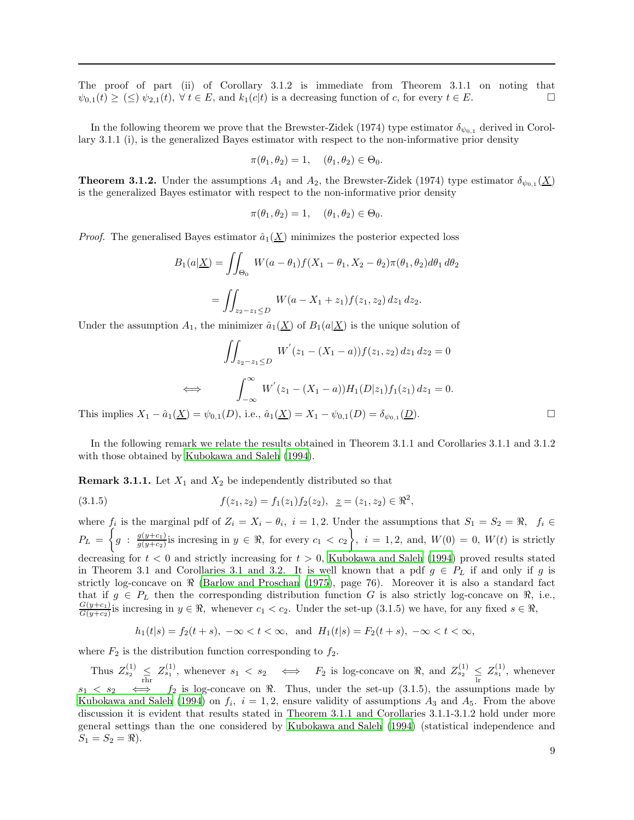The proof of part (ii) of Corollary 3.1.2 is immediate from Theorem 3.1.1 on noting that  $\psi_{0,1}(t) \geq (\leq) \psi_{2,1}(t), \forall t \in E$ , and  $k_1(c|t)$  is a decreasing function of c, for every  $t \in E$ .

In the following theorem we prove that the Brewster-Zidek (1974) type estimator  $\delta_{\psi_{0,1}}$  derived in Corollary 3.1.1 (i), is the generalized Bayes estimator with respect to the non-informative prior density

$$
\pi(\theta_1, \theta_2) = 1, \quad (\theta_1, \theta_2) \in \Theta_0.
$$

**Theorem 3.1.2.** Under the assumptions  $A_1$  and  $A_2$ , the Brewster-Zidek (1974) type estimator  $\delta_{\psi_{0,1}}(\underline{X})$ is the generalized Bayes estimator with respect to the non-informative prior density

$$
\pi(\theta_1, \theta_2) = 1, \quad (\theta_1, \theta_2) \in \Theta_0.
$$

*Proof.* The generalised Bayes estimator  $\hat{a}_1(\underline{X})$  minimizes the posterior expected loss

$$
B_1(a|\underline{X}) = \iint_{\Theta_0} W(a - \theta_1) f(X_1 - \theta_1, X_2 - \theta_2) \pi(\theta_1, \theta_2) d\theta_1 d\theta_2
$$
  
= 
$$
\iint_{z_2 - z_1 \le D} W(a - X_1 + z_1) f(z_1, z_2) dz_1 dz_2.
$$

Under the assumption  $A_1$ , the minimizer  $\hat{a}_1(\underline{X})$  of  $B_1(a|\underline{X})$  is the unique solution of

$$
\iint_{z_2 - z_1 \le D} W'(z_1 - (X_1 - a)) f(z_1, z_2) dz_1 dz_2 = 0
$$
  
\n
$$
\iff \int_{-\infty}^{\infty} W'(z_1 - (X_1 - a)) H_1(D|z_1) f_1(z_1) dz_1 = 0.
$$
  
\n
$$
(X) = \psi_{0,1}(D), \text{ i.e., } \hat{a}_1(X) = X_1 - \psi_{0,1}(D) = \delta_{\psi_{0,1}}(D).
$$

This implies  $X_1 - \hat{a}_1(\underline{X}) = \psi_{0,1}(D)$ , i.e.,  $\hat{a}_1(\underline{X}) = X_1 - \psi_{0,1}(D) = \delta_{\psi_{0,1}}(D)$  $(\underline{D})$ .

In the following remark we relate the results obtained in Theorem 3.1.1 and Corollaries 3.1.1 and 3.1.2 with those obtained by [Kubokawa and Saleh \(1994\)](#page-30-2).

**Remark 3.1.1.** Let  $X_1$  and  $X_2$  be independently distributed so that

(3.1.5) 
$$
f(z_1, z_2) = f_1(z_1) f_2(z_2), \quad z = (z_1, z_2) \in \mathbb{R}^2,
$$

where  $f_i$  is the marginal pdf of  $Z_i = X_i - \theta_i$ ,  $i = 1, 2$ . Under the assumptions that  $S_1 = S_2 = \Re$ ,  $f_i \in$  $P_L = \left\{ g : \frac{g(y+c_1)}{g(y+c_2)} \right\}$  $\frac{g(y+c_1)}{g(y+c_2)}$  is incresing in  $y \in \Re$ , for every  $c_1 < c_2$ , i = 1, 2, and,  $W(0) = 0$ ,  $W(t)$  is strictly decreasing for  $t < 0$  and strictly increasing for  $t > 0$ , [Kubokawa and Saleh \(1994\)](#page-30-2) proved results stated in Theorem 3.1 and Corollaries 3.1 and 3.2. It is well known that a pdf  $g \in P_L$  if and only if g is strictly log-concave on  $\Re$  [\(Barlow and Proschan \(1975\)](#page-30-19), page 76). Moreover it is also a standard fact that if  $g \in P_L$  then the corresponding distribution function G is also strictly log-concave on  $\Re$ , i.e.,  $G(y+c_1)$  $G(y+c_1)$  is incresing in  $y \in \Re$ , whenever  $c_1 < c_2$ . Under the set-up  $(3.1.5)$  we have, for any fixed  $s \in \Re$ ,

$$
h_1(t|s) = f_2(t+s), -\infty < t < \infty
$$
, and  $H_1(t|s) = F_2(t+s), -\infty < t < \infty$ ,

where  $F_2$  is the distribution function corresponding to  $f_2$ .

Thus  $Z_{s_2}^{(1)} \leq Z_{s_1}^{(1)}$ , whenever  $s_1 < s_2 \iff F_2$  is log-concave on  $\Re$ , and  $Z_{s_2}^{(1)} \leq Z_{s_1}^{(1)}$ , whenever  $s_1 \leq s_2 \iff f_2$  is log-concave on  $\Re$ . Thus, under the set-up (3.1.5), the assumptions made by [Kubokawa and Saleh \(1994\)](#page-30-2) on  $f_i$ ,  $i = 1, 2$ , ensure validity of assumptions  $A_3$  and  $A_5$ . From the above discussion it is evident that results stated in Theorem 3.1.1 and Corollaries 3.1.1-3.1.2 hold under more general settings than the one considered by [Kubokawa and Saleh \(1994\)](#page-30-2) (statistical independence and  $S_1 = S_2 = \Re$ ).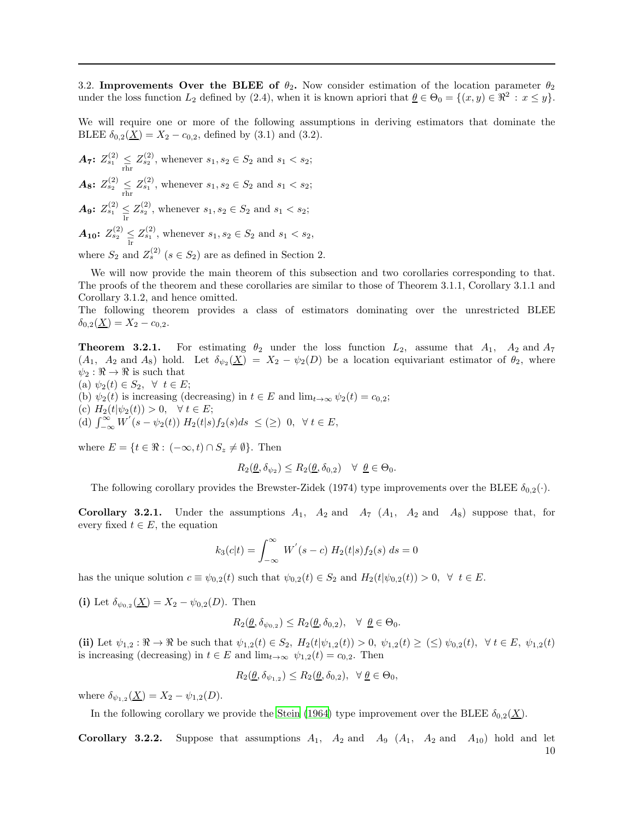3.2. Improvements Over the BLEE of  $\theta_2$ . Now consider estimation of the location parameter  $\theta_2$ under the loss function  $L_2$  defined by (2.4), when it is known apriori that  $\underline{\theta} \in \Theta_0 = \{(x, y) \in \mathbb{R}^2 : x \leq y\}.$ 

We will require one or more of the following assumptions in deriving estimators that dominate the BLEE  $\delta_{0,2}(\underline{X}) = X_2 - c_{0,2}$ , defined by (3.1) and (3.2).

 $A_7: Z^{(2)}_{s_1} \leq Z^{(2)}_{s_2}$ , whenever  $s_1, s_2 \in S_2$  and  $s_1 < s_2$ ;  $A_8$ :  $Z_{s_2}^{(2)} \leq Z_{s_1}^{(2)}$ , whenever  $s_1, s_2 \in S_2$  and  $s_1 < s_2$ ; **A<sub>9</sub>:**  $Z_{s_1}^{(2)} \leq Z_{s_2}^{(2)}$ , whenever  $s_1, s_2 \in S_2$  and  $s_1 < s_2$ ;  $A_{10}$ :  $Z_{s_2}^{(2)} \leq Z_{s_1}^{(2)}$ , whenever  $s_1, s_2 \in S_2$  and  $s_1 < s_2$ , where  $S_2$  and  $Z_s^{(2)}$   $(s \in S_2)$  are as defined in Section 2.

We will now provide the main theorem of this subsection and two corollaries corresponding to that. The proofs of the theorem and these corollaries are similar to those of Theorem 3.1.1, Corollary 3.1.1 and Corollary 3.1.2, and hence omitted.

The following theorem provides a class of estimators dominating over the unrestricted BLEE  $\delta_{0,2}(\underline{X}) = X_2 - c_{0,2}.$ 

**Theorem 3.2.1.** For estimating  $\theta_2$  under the loss function  $L_2$ , assume that  $A_1$ ,  $A_2$  and  $A_7$  $(A_1, A_2 \text{ and } A_8)$  hold. Let  $\delta_{\psi_2}(\underline{X}) = X_2 - \psi_2(D)$  be a location equivariant estimator of  $\theta_2$ , where  $\psi_2 : \mathbb{R} \to \mathbb{R}$  is such that

(a)  $\psi_2(t) \in S_2$ ,  $\forall t \in E$ ; (b)  $\psi_2(t)$  is increasing (decreasing) in  $t \in E$  and  $\lim_{t\to\infty} \psi_2(t) = c_{0,2}$ ; (c)  $H_2(t|\psi_2(t)) > 0, \quad \forall \ t \in E;$ (d)  $\int_{-\infty}^{\infty} W^{'}(s-\psi_2(t)) H_2(t|s) f_2(s) ds \leq (\geq) 0, \forall t \in E,$ 

where  $E = \{t \in \Re : (-\infty, t) \cap S_z \neq \emptyset\}$ . Then

$$
R_2(\underline{\theta}, \delta_{\psi_2}) \le R_2(\underline{\theta}, \delta_{0,2}) \quad \forall \ \underline{\theta} \in \Theta_0.
$$

The following corollary provides the Brewster-Zidek (1974) type improvements over the BLEE  $\delta_{0,2}(\cdot)$ .

Corollary 3.2.1. Under the assumptions  $A_1$ ,  $A_2$  and  $A_7$   $(A_1$ ,  $A_2$  and  $A_8$ ) suppose that, for every fixed  $t \in E$ , the equation

$$
k_3(c|t) = \int_{-\infty}^{\infty} W^{'}(s-c) H_2(t|s) f_2(s) ds = 0
$$

has the unique solution  $c \equiv \psi_{0,2}(t)$  such that  $\psi_{0,2}(t) \in S_2$  and  $H_2(t|\psi_{0,2}(t)) > 0$ ,  $\forall t \in E$ .

(i) Let  $\delta_{\psi_{0,2}}(\underline{X}) = X_2 - \psi_{0,2}(D)$ . Then

$$
R_2(\underline{\theta}, \delta_{\psi_{0,2}}) \le R_2(\underline{\theta}, \delta_{0,2}), \quad \forall \ \underline{\theta} \in \Theta_0.
$$

(ii) Let  $\psi_{1,2} : \Re \to \Re$  be such that  $\psi_{1,2}(t) \in S_2$ ,  $H_2(t|\psi_{1,2}(t)) > 0$ ,  $\psi_{1,2}(t) \geq (\leq) \psi_{0,2}(t)$ ,  $\forall t \in E$ ,  $\psi_{1,2}(t)$ is increasing (decreasing) in  $t \in E$  and  $\lim_{t \to \infty} \psi_{1,2}(t) = c_{0,2}$ . Then

$$
R_2(\underline{\theta}, \delta_{\psi_{1,2}}) \le R_2(\underline{\theta}, \delta_{0,2}), \ \ \forall \ \underline{\theta} \in \Theta_0,
$$

where  $\delta_{\psi_{1,2}}(\underline{X}) = X_2 - \psi_{1,2}(D)$ .

In the following corollary we provide the [Stein \(1964](#page-31-23)) type improvement over the BLEE  $\delta_{0.2}(\underline{X})$ .

Corollary 3.2.2. Suppose that assumptions  $A_1$ ,  $A_2$  and  $A_9$   $(A_1$ ,  $A_2$  and  $A_{10}$ ) hold and let 10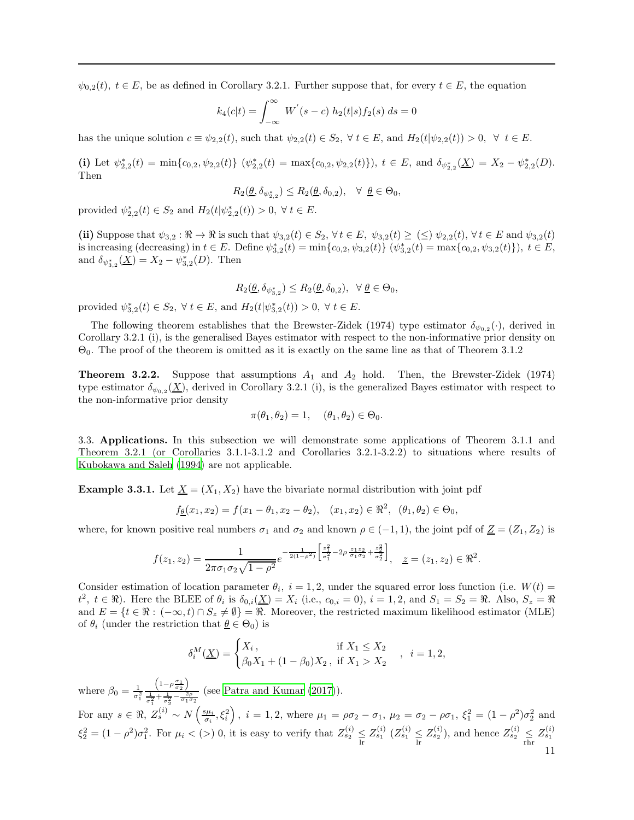$\psi_{0,2}(t), t \in E$ , be as defined in Corollary 3.2.1. Further suppose that, for every  $t \in E$ , the equation

$$
k_4(c|t) = \int_{-\infty}^{\infty} W^{'}(s-c) h_2(t|s) f_2(s) ds = 0
$$

has the unique solution  $c \equiv \psi_{2,2}(t)$ , such that  $\psi_{2,2}(t) \in S_2$ ,  $\forall t \in E$ , and  $H_2(t|\psi_{2,2}(t)) > 0$ ,  $\forall t \in E$ .

(i) Let  $\psi_{2,2}^*(t) = \min\{c_{0,2}, \psi_{2,2}(t)\}$   $(\psi_{2,2}^*(t) = \max\{c_{0,2}, \psi_{2,2}(t)\})$ ,  $t \in E$ , and  $\delta_{\psi_{2,2}^*}(\underline{X}) = X_2 - \psi_{2,2}^*(D)$ . Then

$$
R_2(\underline{\theta}, \delta_{\psi_{2,2}^*}) \le R_2(\underline{\theta}, \delta_{0,2}), \quad \forall \ \underline{\theta} \in \Theta_0,
$$

provided  $\psi_{2,2}^*(t) \in S_2$  and  $H_2(t|\psi_{2,2}^*(t)) > 0, \ \forall \ t \in E$ .

(ii) Suppose that  $\psi_{3,2} : \mathbb{R} \to \mathbb{R}$  is such that  $\psi_{3,2}(t) \in S_2$ ,  $\forall t \in E$ ,  $\psi_{3,2}(t) \geq (\leq) \psi_{2,2}(t)$ ,  $\forall t \in E$  and  $\psi_{3,2}(t)$ is increasing (decreasing) in  $t \in E$ . Define  $\psi_{3,2}^*(t) = \min\{c_{0,2}, \psi_{3,2}(t)\}$   $(\psi_{3,2}^*(t) = \max\{c_{0,2}, \psi_{3,2}(t)\})$ ,  $t \in E$ , and  $\delta_{\psi_{3,2}^{*}}(\underline{X}) = X_2 - \psi_{3,2}^{*}(D)$ . Then

$$
R_2(\underline{\theta}, \delta_{\psi_{3,2}^*}) \le R_2(\underline{\theta}, \delta_{0,2}), \ \ \forall \ \underline{\theta} \in \Theta_0,
$$

provided  $\psi_{3,2}^{*}(t) \in S_2$ ,  $\forall t \in E$ , and  $H_2(t|\psi_{3,2}^{*}(t)) > 0$ ,  $\forall t \in E$ .

The following theorem establishes that the Brewster-Zidek (1974) type estimator  $\delta_{\psi_{0,2}}(\cdot)$ , derived in Corollary 3.2.1 (i), is the generalised Bayes estimator with respect to the non-informative prior density on Θ0. The proof of the theorem is omitted as it is exactly on the same line as that of Theorem 3.1.2

**Theorem 3.2.2.** Suppose that assumptions  $A_1$  and  $A_2$  hold. Then, the Brewster-Zidek (1974) type estimator  $\delta_{\psi_{0,2}}(\underline{X})$ , derived in Corollary 3.2.1 (i), is the generalized Bayes estimator with respect to the non-informative prior density

$$
\pi(\theta_1, \theta_2) = 1, \quad (\theta_1, \theta_2) \in \Theta_0.
$$

3.3. Applications. In this subsection we will demonstrate some applications of Theorem 3.1.1 and Theorem 3.2.1 (or Corollaries 3.1.1-3.1.2 and Corollaries 3.2.1-3.2.2) to situations where results of [Kubokawa and Saleh \(1994](#page-30-2)) are not applicable.

**Example 3.3.1.** Let  $\underline{X} = (X_1, X_2)$  have the bivariate normal distribution with joint pdf

$$
f_{\underline{\theta}}(x_1, x_2) = f(x_1 - \theta_1, x_2 - \theta_2), \quad (x_1, x_2) \in \Re^2, \quad (\theta_1, \theta_2) \in \Theta_0,
$$

where, for known positive real numbers  $\sigma_1$  and  $\sigma_2$  and known  $\rho \in (-1,1)$ , the joint pdf of  $\underline{Z} = (Z_1, Z_2)$  is

$$
f(z_1, z_2) = \frac{1}{2\pi\sigma_1\sigma_2\sqrt{1-\rho^2}} e^{-\frac{1}{2(1-\rho^2)}\left[\frac{z_1^2}{\sigma_1^2} - 2\rho\frac{z_1z_2}{\sigma_1\sigma_2} + \frac{z_2^2}{\sigma_2^2}\right]}, \quad \underline{z} = (z_1, z_2) \in \mathbb{R}^2.
$$

Consider estimation of location parameter  $\theta_i$ ,  $i = 1, 2$ , under the squared error loss function (i.e.  $W(t) =$  $t^2$ ,  $t \in \Re$ ). Here the BLEE of  $\theta_i$  is  $\delta_{0,i}(\underline{X}) = X_i$  (i.e.,  $c_{0,i} = 0$ ),  $i = 1, 2$ , and  $S_1 = S_2 = \Re$ . Also,  $S_z = \Re$ and  $E = \{t \in \Re : (-\infty, t) \cap S_z \neq \emptyset\} = \Re$ . Moreover, the restricted maximum likelihood estimator (MLE) of  $\theta_i$  (under the restriction that  $\underline{\theta} \in \Theta_0$ ) is

$$
\delta_i^M(\underline{X}) = \begin{cases} X_i, & \text{if } X_1 \le X_2 \\ \beta_0 X_1 + (1 - \beta_0) X_2, & \text{if } X_1 > X_2 \end{cases}, i = 1, 2,
$$

where  $\beta_0 = \frac{1}{\sigma_1^2}$  $\left(1-\rho \frac{\sigma_1}{\sigma_2}\right)$  $\frac{1}{\sigma_1^2 + \frac{1}{\sigma_2^2} - \frac{2\rho}{\sigma_1^2 \sigma_2}}$  (see Patra and Kumar (2017)). 1 2 For any  $s \in \Re$ ,  $Z_s^{(i)} \sim N\left(\frac{s\mu_i}{\sigma_i}, \xi_i^2\right)$ ,  $i = 1, 2$ , where  $\mu_1 = \rho \sigma_2 - \sigma_1$ ,  $\mu_2 = \sigma_2 - \rho \sigma_1$ ,  $\xi_1^2 = (1 - \rho^2) \sigma_2^2$  and  $\xi_2^2 = (1 - \rho^2)\sigma_1^2$ . For  $\mu_i < (>)$  0, it is easy to verify that  $Z_{s_2}^{(i)} \leq Z_{s_1}^{(i)}$   $(Z_{s_1}^{(i)} \leq Z_{s_2}^{(i)})$ , and hence  $Z_{s_2}^{(i)} \leq Z_{s_1}^{(i)}$ 11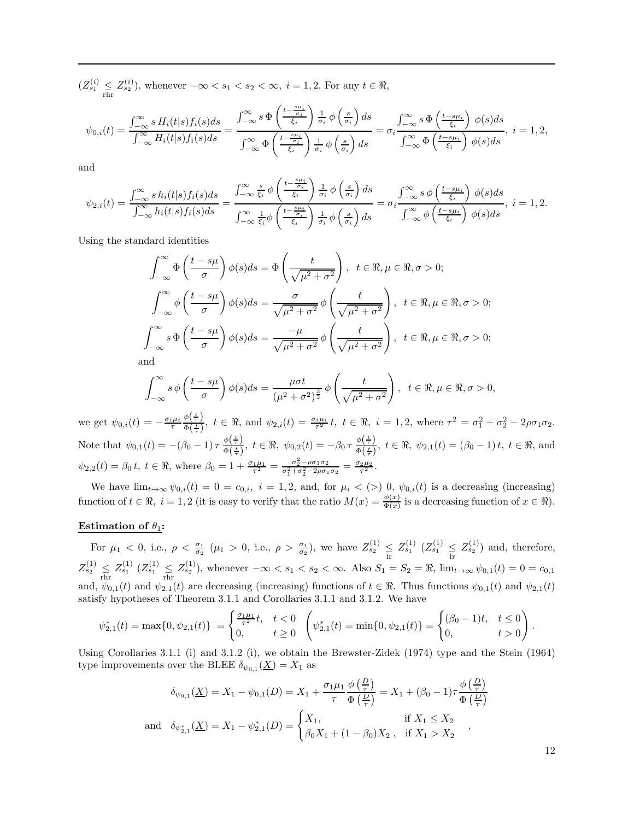$(Z_{s_1}^{(i)} \leq Z_{s_2}^{(i)}),$  whenever  $-\infty < s_1 < s_2 < \infty, i = 1, 2.$  For any  $t \in \Re,$ 

$$
\psi_{0,i}(t) = \frac{\int_{-\infty}^{\infty} s H_i(t|s) f_i(s) ds}{\int_{-\infty}^{\infty} H_i(t|s) f_i(s) ds} = \frac{\int_{-\infty}^{\infty} s \Phi\left(\frac{t - \frac{s\mu_i}{\sigma_i}}{\xi_i}\right) \frac{1}{\sigma_i} \phi\left(\frac{s}{\sigma_i}\right) ds}{\int_{-\infty}^{\infty} \Phi\left(\frac{t - \frac{s\mu_i}{\sigma_i}}{\xi_i}\right) \frac{1}{\sigma_i} \phi\left(\frac{s}{\sigma_i}\right) ds} = \sigma_i \frac{\int_{-\infty}^{\infty} s \Phi\left(\frac{t - s\mu_i}{\xi_i}\right) \phi(s) ds}{\int_{-\infty}^{\infty} \Phi\left(\frac{t - s\mu_i}{\xi_i}\right) \phi(s) ds}, \ i = 1, 2,
$$

and

$$
\psi_{2,i}(t) = \frac{\int_{-\infty}^{\infty} s h_i(t|s) f_i(s) ds}{\int_{-\infty}^{\infty} h_i(t|s) f_i(s) ds} = \frac{\int_{-\infty}^{\infty} \frac{s}{\xi_i} \phi\left(\frac{t - \frac{s\mu_i}{\xi_i}}{\xi_i}\right) \frac{1}{\sigma_i} \phi\left(\frac{s}{\sigma_i}\right) ds}{\int_{-\infty}^{\infty} \frac{1}{\xi_i} \phi\left(\frac{t - \frac{s\mu_i}{\xi_i}}{\xi_i}\right) \frac{1}{\sigma_i} \phi\left(\frac{s}{\sigma_i}\right) ds} = \sigma_i \frac{\int_{-\infty}^{\infty} s \phi\left(\frac{t - s\mu_i}{\xi_i}\right) \phi(s) ds}{\int_{-\infty}^{\infty} \phi\left(\frac{t - s\mu_i}{\xi_i}\right) \phi(s) ds}, \ i = 1, 2.
$$

Using the standard identities

$$
\int_{-\infty}^{\infty} \Phi\left(\frac{t-s\mu}{\sigma}\right) \phi(s) ds = \Phi\left(\frac{t}{\sqrt{\mu^2 + \sigma^2}}\right), \quad t \in \mathbb{R}, \mu \in \mathbb{R}, \sigma > 0;
$$

$$
\int_{-\infty}^{\infty} \phi\left(\frac{t-s\mu}{\sigma}\right) \phi(s) ds = \frac{\sigma}{\sqrt{\mu^2 + \sigma^2}} \phi\left(\frac{t}{\sqrt{\mu^2 + \sigma^2}}\right), \quad t \in \mathbb{R}, \mu \in \mathbb{R}, \sigma > 0;
$$

$$
\int_{-\infty}^{\infty} s \Phi\left(\frac{t-s\mu}{\sigma}\right) \phi(s) ds = \frac{-\mu}{\sqrt{\mu^2 + \sigma^2}} \phi\left(\frac{t}{\sqrt{\mu^2 + \sigma^2}}\right), \quad t \in \mathbb{R}, \mu \in \mathbb{R}, \sigma > 0;
$$
and

a

$$
\int_{-\infty}^{\infty} s \phi\left(\frac{t-s\mu}{\sigma}\right) \phi(s) ds = \frac{\mu \sigma t}{\left(\mu^2 + \sigma^2\right)^{\frac{3}{2}}} \phi\left(\frac{t}{\sqrt{\mu^2 + \sigma^2}}\right), \quad t \in \mathbb{R}, \mu \in \mathbb{R}, \sigma > 0,
$$

we get  $\psi_{0,i}(t) = -\frac{\sigma_i \mu_i}{\tau}$  $\phi\left(\frac{t}{\tau}\right)$  $\frac{\phi(\frac{1}{\tau})}{\Phi(\frac{t}{\tau})}$ ,  $t \in \Re$ , and  $\psi_{2,i}(t) = \frac{\sigma_i \mu_i}{\tau^2} t$ ,  $t \in \Re$ ,  $i = 1, 2$ , where  $\tau^2 = \sigma_1^2 + \sigma_2^2 - 2\rho \sigma_1 \sigma_2$ . Note that  $\psi_{0,1}(t) = -(\beta_0 - 1) \tau \frac{\phi(\frac{t}{\tau})}{\phi(\frac{t}{\tau})}$  $\frac{\phi\left(\frac{t}{\tau}\right)}{\Phi\left(\frac{t}{\tau}\right)},\ t\in \Re,\ \psi_{0,2}(t)=-\beta_0\,\tau\,\frac{\phi\left(\frac{t}{\tau}\right)}{\Phi\left(\frac{t}{\tau}\right)}$  $\frac{\varphi(\tau)}{\Phi(\frac{t}{\tau})}, t \in \Re, \psi_{2,1}(t) = (\beta_0 - 1)t, t \in \Re, \text{ and}$  $\psi_{2,2}(t) = \beta_0 t, t \in \Re,$  where  $\beta_0 = 1 + \frac{\sigma_1 \mu_1}{\tau^2} = \frac{\sigma_2^2 - \rho \sigma_1 \sigma_2}{\sigma_1^2 + \sigma_2^2 - 2\rho \sigma_1 \sigma_2} = \frac{\sigma_2 \mu_2}{\tau^2}.$ 

We have  $\lim_{t\to\infty} \psi_{0,i}(t) = 0 = c_{0,i}, i = 1, 2$ , and, for  $\mu_i < (>0, \psi_{0,i}(t))$  is a decreasing (increasing) function of  $t \in \mathbb{R}$ ,  $i = 1, 2$  (it is easy to verify that the ratio  $M(x) = \frac{\phi(x)}{\Phi(x)}$  is a decreasing function of  $x \in \mathbb{R}$ ).

## Estimation of  $\theta_1$ :

For  $\mu_1 < 0$ , i.e.,  $\rho < \frac{\sigma_1}{\sigma_2}$  ( $\mu_1 > 0$ , i.e.,  $\rho > \frac{\sigma_1}{\sigma_2}$ ), we have  $Z_{s_2}^{(1)} \leq Z_{s_1}^{(1)}$  ( $Z_{s_1}^{(1)} \leq Z_{s_2}^{(1)}$ ) and, therefore,  $Z_{s_2}^{(1)} \n\t\leq Z_{s_1}^{(1)} \n\t\leq Z_{s_1}^{(1)} \n\t\leq Z_{s_2}^{(1)}$ , whenever  $-\infty < s_1 < s_2 < \infty$ . Also  $S_1 = S_2 = \Re$ ,  $\lim_{t \to \infty} \psi_{0,1}(t) = 0 = c_{0,1}$ and,  $\psi_{0,1}(t)$  and  $\psi_{2,1}(t)$  are decreasing (increasing) functions of  $t \in \mathbb{R}$ . Thus functions  $\psi_{0,1}(t)$  and  $\psi_{2,1}(t)$ satisfy hypotheses of Theorem 3.1.1 and Corollaries 3.1.1 and 3.1.2. We have

$$
\psi_{2,1}^*(t) = \max\{0, \psi_{2,1}(t)\} = \begin{cases} \frac{\sigma_1 \mu_1}{\tau^2} t, & t < 0 \\ 0, & t \ge 0 \end{cases} \left(\psi_{2,1}^*(t) = \min\{0, \psi_{2,1}(t)\} = \begin{cases} (\beta_0 - 1)t, & t \le 0 \\ 0, & t > 0 \end{cases}\right).
$$

Using Corollaries 3.1.1 (i) and 3.1.2 (i), we obtain the Brewster-Zidek (1974) type and the Stein (1964) type improvements over the BLEE  $\delta_{\psi_{0,1}}(\underline{X}) = X_1$  as

$$
\delta_{\psi_{0,1}}(\underline{X}) = X_1 - \psi_{0,1}(D) = X_1 + \frac{\sigma_1 \mu_1}{\tau} \frac{\phi\left(\frac{D}{\tau}\right)}{\Phi\left(\frac{D}{\tau}\right)} = X_1 + (\beta_0 - 1)\tau \frac{\phi\left(\frac{D}{\tau}\right)}{\Phi\left(\frac{D}{\tau}\right)}
$$
  
and 
$$
\delta_{\psi_{2,1}^*}(\underline{X}) = X_1 - \psi_{2,1}^*(D) = \begin{cases} X_1, & \text{if } X_1 \le X_2 \\ \beta_0 X_1 + (1 - \beta_0)X_2, & \text{if } X_1 > X_2 \end{cases}
$$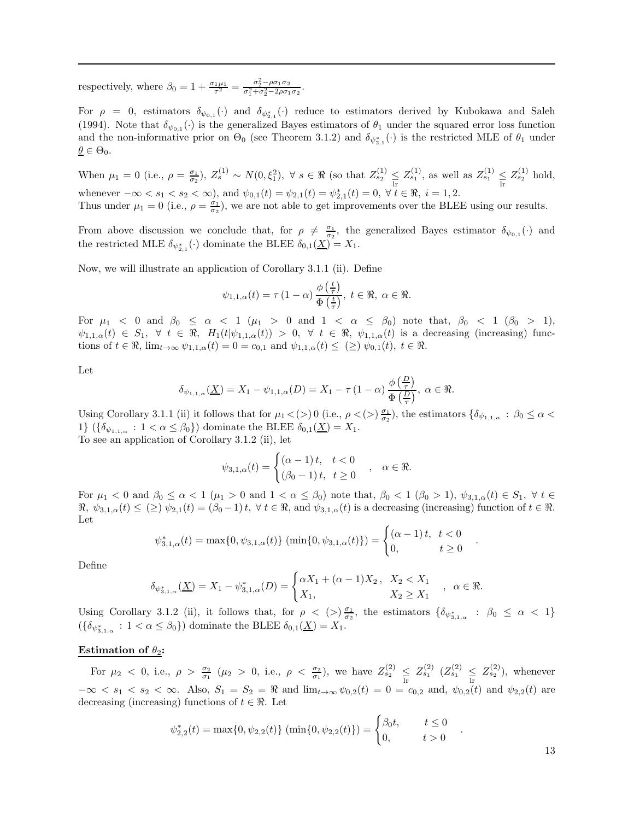respectively, where  $\beta_0 = 1 + \frac{\sigma_1 \mu_1}{\tau^2} = \frac{\sigma_2^2 - \rho \sigma_1 \sigma_2}{\sigma_1^2 + \sigma_2^2 - 2\rho \sigma_1 \sigma_2}$ .

For  $\rho = 0$ , estimators  $\delta_{\psi_{0,1}}(\cdot)$  and  $\delta_{\psi_{2,1}^*}(\cdot)$  reduce to estimators derived by Kubokawa and Saleh (1994). Note that  $\delta_{\psi_{0,1}}(\cdot)$  is the generalized Bayes estimators of  $\theta_1$  under the squared error loss function and the non-informative prior on  $\Theta_0$  (see Theorem 3.1.2) and  $\delta_{\psi_{2,1}^*}(\cdot)$  is the restricted MLE of  $\theta_1$  under  $\underline{\theta} \in \Theta_0.$ 

When  $\mu_1 = 0$  (i.e.,  $\rho = \frac{\sigma_1}{\sigma_2}$ ),  $Z_s^{(1)} \sim N(0, \xi_1^2)$ ,  $\forall s \in \Re$  (so that  $Z_{s_2}^{(1)} \leq Z_{s_1}^{(1)}$ , as well as  $Z_{s_1}^{(1)} \leq Z_{s_2}^{(1)}$  hold, whenever  $-\infty < s_1 < s_2 < \infty$ ), and  $\psi_{0,1}(t) = \psi_{2,1}(t) = \psi_{2,1}^*(t) = 0, \forall t \in \mathbb{R}, i = 1, 2$ . Thus under  $\mu_1 = 0$  (i.e.,  $\rho = \frac{\sigma_1}{\sigma_2}$ ), we are not able to get improvements over the BLEE using our results.

From above discussion we conclude that, for  $\rho \neq \frac{\sigma_1}{\sigma_2}$ , the generalized Bayes estimator  $\delta_{\psi_{0,1}}(\cdot)$  and the restricted MLE  $\delta_{\psi_{2,1}^*}(\cdot)$  dominate the BLEE  $\delta_{0,1}(\underline{X}) = X_1$ .

Now, we will illustrate an application of Corollary 3.1.1 (ii). Define

$$
\psi_{1,1,\alpha}(t)=\tau\left(1-\alpha\right)\frac{\phi\left(\frac{t}{\tau}\right)}{\Phi\left(\frac{t}{\tau}\right)},\ t\in\mathfrak{R},\ \alpha\in\mathfrak{R}.
$$

For  $\mu_1$  < 0 and  $\beta_0 \leq \alpha$  < 1 ( $\mu_1 > 0$  and  $1 < \alpha \leq \beta_0$ ) note that,  $\beta_0 < 1$  ( $\beta_0 > 1$ ),  $\psi_{1,1,\alpha}(t) \in S_1$ ,  $\forall t \in \Re$ ,  $H_1(t|\psi_{1,1,\alpha}(t)) > 0$ ,  $\forall t \in \Re$ ,  $\psi_{1,1,\alpha}(t)$  is a decreasing (increasing) functions of  $t \in \mathbb{R}$ ,  $\lim_{t \to \infty} \psi_{1,1,\alpha}(t) = 0 = c_{0,1}$  and  $\psi_{1,1,\alpha}(t) \leq (\geq) \psi_{0,1}(t)$ ,  $t \in \mathbb{R}$ .

Let

$$
\delta_{\psi_{1,1,\alpha}}(\underline{X}) = X_1 - \psi_{1,1,\alpha}(D) = X_1 - \tau (1 - \alpha) \frac{\phi\left(\frac{D}{\tau}\right)}{\Phi\left(\frac{D}{\tau}\right)}, \ \alpha \in \Re.
$$

Using Corollary 3.1.1 (ii) it follows that for  $\mu_1 < (>)$  0 (i.e.,  $\rho < (>)\frac{\sigma_1}{\sigma_2}$ ), the estimators  $\{\delta_{\psi_{1,1,\alpha}} : \beta_0 \leq \alpha <$ 1}  $(\{\delta_{\psi_{1,1,\alpha}} : 1 < \alpha \leq \beta_0\})$  dominate the BLEE  $\delta_{0,1}(\underline{X}) = X_1$ . To see an application of Corollary 3.1.2 (ii), let

$$
\psi_{3,1,\alpha}(t) = \begin{cases}\n(\alpha - 1) t, & t < 0 \\
(\beta_0 - 1) t, & t \ge 0\n\end{cases}, \alpha \in \Re.
$$

For  $\mu_1 < 0$  and  $\beta_0 \leq \alpha < 1$  ( $\mu_1 > 0$  and  $1 < \alpha \leq \beta_0$ ) note that,  $\beta_0 < 1$  ( $\beta_0 > 1$ ),  $\psi_{3,1,\alpha}(t) \in S_1$ ,  $\forall t \in$  $\mathfrak{R}, \psi_{3,1,\alpha}(t) \leq (\geq) \psi_{2,1}(t) = (\beta_0 - 1)t, \forall t \in \mathfrak{R}, \text{ and } \psi_{3,1,\alpha}(t) \text{ is a decreasing (increasing) function of } t \in \mathfrak{R}.$ Let

$$
\psi_{3,1,\alpha}^*(t) = \max\{0, \psi_{3,1,\alpha}(t)\} (\min\{0, \psi_{3,1,\alpha}(t)\}) = \begin{cases} (\alpha - 1)t, & t < 0\\ 0, & t \ge 0 \end{cases}
$$

Define

$$
\delta_{\psi_{3,1,\alpha}^*}(\underline{X}) = X_1 - \psi_{3,1,\alpha}^*(D) = \begin{cases} \alpha X_1 + (\alpha - 1)X_2, & X_2 < X_1 \\ X_1, & X_2 \ge X_1 \end{cases}, \alpha \in \Re.
$$

Using Corollary 3.1.2 (ii), it follows that, for  $\rho < (>)\frac{\sigma_1}{\sigma_2}$ , the estimators  $\{\delta_{\psi_{3,1,\alpha}^*}: \beta_0 \leq \alpha < 1\}$  $({\lbrace \delta_{\psi_{3,1,\alpha}^*} : 1 < \alpha \leq \beta_0 \rbrace})$  dominate the BLEE  $\delta_{0,1}(\underline{X}) = X_1$ .

### Estimation of  $\theta_2$ :

For  $\mu_2$  < 0, i.e.,  $\rho > \frac{\sigma_2}{\sigma_1}$  ( $\mu_2 > 0$ , i.e.,  $\rho < \frac{\sigma_2}{\sigma_1}$ ), we have  $Z_{s_2}^{(2)} \leq Z_{s_1}^{(2)}$  ( $Z_{s_1}^{(2)} \leq Z_{s_2}^{(2)}$ ), whenever  $-\infty < s_1 < s_2 < \infty$ . Also,  $S_1 = S_2 = \Re$  and  $\lim_{t \to \infty} \psi_{0,2}(t) = 0 = c_{0,2}$  and,  $\psi_{0,2}(t)$  and  $\psi_{2,2}(t)$  are decreasing (increasing) functions of  $t \in \Re$ . Let

$$
\psi_{2,2}^*(t) = \max\{0, \psi_{2,2}(t)\} (\min\{0, \psi_{2,2}(t)\}) = \begin{cases} \beta_0 t, & t \le 0 \\ 0, & t > 0 \end{cases}.
$$

13

.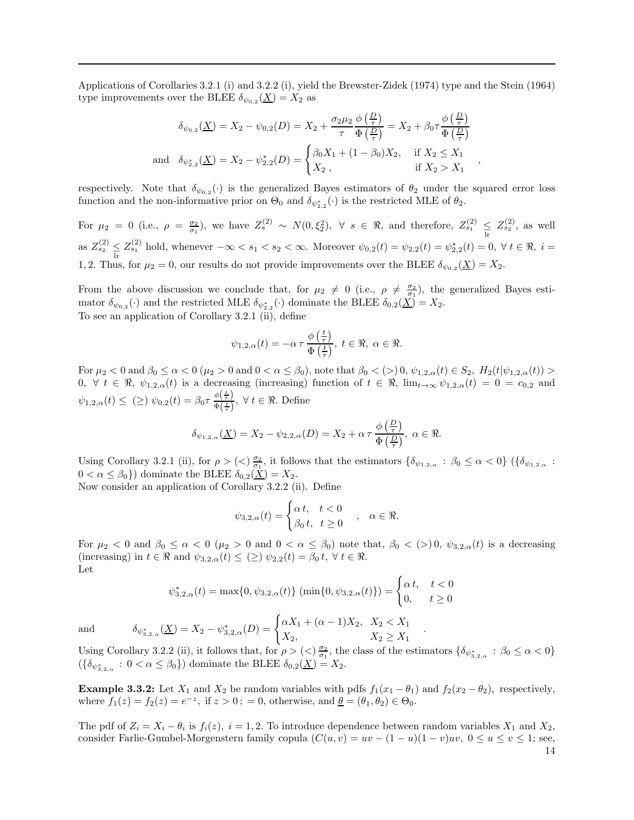Applications of Corollaries 3.2.1 (i) and 3.2.2 (i), yield the Brewster-Zidek (1974) type and the Stein (1964) type improvements over the BLEE  $\delta_{\psi_{0,2}}(\underline{X}) = X_2$  as

$$
\delta_{\psi_{0,2}}(\underline{X}) = X_2 - \psi_{0,2}(D) = X_2 + \frac{\sigma_2 \mu_2}{\tau} \frac{\phi\left(\frac{D}{\tau}\right)}{\Phi\left(\frac{D}{\tau}\right)} = X_2 + \beta_0 \tau \frac{\phi\left(\frac{D}{\tau}\right)}{\Phi\left(\frac{D}{\tau}\right)}
$$
  
and 
$$
\delta_{\psi_{2,2}^*}(\underline{X}) = X_2 - \psi_{2,2}^*(D) = \begin{cases} \beta_0 X_1 + (1 - \beta_0) X_2, & \text{if } X_2 \le X_1 \\ X_2, & \text{if } X_2 > X_1 \end{cases}
$$

respectively. Note that  $\delta_{\psi_{0,2}}(\cdot)$  is the generalized Bayes estimators of  $\theta_2$  under the squared error loss function and the non-informative prior on  $\Theta_0$  and  $\delta_{\psi_{2,2}^*}(\cdot)$  is the restricted MLE of  $\theta_2$ .

For  $\mu_2 = 0$  (i.e.,  $\rho = \frac{\sigma_2}{\sigma_1}$ ), we have  $Z_s^{(2)} \sim N(0, \xi_2^2)$ ,  $\forall s \in \Re$ , and therefore,  $Z_{s_1}^{(2)} \leq Z_{s_2}^{(2)}$ , as well as  $Z_{s_2}^{(2)} \leq Z_{s_1}^{(2)}$  hold, whenever  $-\infty < s_1 < s_2 < \infty$ . Moreover  $\psi_{0,2}(t) = \psi_{2,2}(t) = \psi_{2,2}^*(t) = 0$ ,  $\forall t \in \Re$ ,  $i =$ 1, 2. Thus, for  $\mu_2 = 0$ , our results do not provide improvements over the BLEE  $\delta_{\psi_{0,2}}(\underline{X}) = X_2$ .

From the above discussion we conclude that, for  $\mu_2 \neq 0$  (i.e.,  $\rho \neq \frac{\sigma_2}{\sigma_1}$ ), the generalized Bayes estimator  $\delta_{\psi_{0,2}}(\cdot)$  and the restricted MLE  $\delta_{\psi_{2,2}^*}(\cdot)$  dominate the BLEE  $\delta_{0,2}(\underline{X}) = X_2$ . To see an application of Corollary 3.2.1 (ii), define

$$
\psi_{1,2,\alpha}(t) = -\alpha \tau \frac{\phi\left(\frac{t}{\tau}\right)}{\Phi\left(\frac{t}{\tau}\right)}, \ t \in \Re, \ \alpha \in \Re.
$$

For  $\mu_2 < 0$  and  $\beta_0 \le \alpha < 0$  ( $\mu_2 > 0$  and  $0 < \alpha \le \beta_0$ ), note that  $\beta_0 < (0 0, \psi_{1,2,\alpha}(t) \in S_2, H_2(t|\psi_{1,2,\alpha}(t)) >$ 0,  $\forall t \in \mathcal{R}, \psi_{1,2,\alpha}(t)$  is a decreasing (increasing) function of  $t \in \mathcal{R}$ ,  $\lim_{t \to \infty} \psi_{1,2,\alpha}(t) = 0 = c_{0,2}$  and  $\psi_{1,2,\alpha}(t) \leq (\geq) \ \psi_{0,2}(t) = \beta_0 \tau \frac{\phi(\frac{t}{\tau})}{\phi(\frac{t}{\tau})}$  $\frac{\varphi(\tau)}{\Phi(\frac{t}{\tau})}, \ \forall \ t \in \Re.$  Define

$$
\delta_{\psi_{1,2,\alpha}}(\underline{X}) = X_2 - \psi_{2,2,\alpha}(D) = X_2 + \alpha \tau \frac{\phi\left(\frac{D}{\tau}\right)}{\Phi\left(\frac{D}{\tau}\right)}, \ \alpha \in \Re.
$$

Using Corollary 3.2.1 (ii), for  $\rho > \langle \langle \rangle \frac{\sigma_2}{\sigma_1}$ , it follows that the estimators  $\{\delta_{\psi_{1,2,\alpha}} : \beta_0 \leq \alpha < 0\}$   $(\{\delta_{\psi_{1,2,\alpha}} : \beta_0 \leq \alpha < 0\})$  $0 < \alpha \leq \beta_0$ ) dominate the BLEE  $\delta_{0,2}(\underline{X}) = X_2$ .

Now consider an application of Corollary 3.2.2 (ii). Define

$$
\psi_{3,2,\alpha}(t) = \begin{cases} \alpha t, & t < 0 \\ \beta_0 t, & t \ge 0 \end{cases}, \alpha \in \Re.
$$

For  $\mu_2 < 0$  and  $\beta_0 \leq \alpha < 0$  ( $\mu_2 > 0$  and  $0 < \alpha \leq \beta_0$ ) note that,  $\beta_0 < (>)$  0,  $\psi_{3,2,\alpha}(t)$  is a decreasing (increasing) in  $t \in \Re$  and  $\psi_{3,2,\alpha}(t) \leq (\geq) \psi_{2,2}(t) = \beta_0 t$ ,  $\forall t \in \Re$ . Let

$$
\psi_{3,2,\alpha}^{*}(t) = \max\{0, \psi_{3,2,\alpha}(t)\} (\min\{0, \psi_{3,2,\alpha}(t)\}) = \begin{cases} \alpha t, & t < 0\\ 0, & t \ge 0 \end{cases}
$$

and  $\delta_{\psi_{3,2,\alpha}^*}(\underline{X}) = X_2 - \psi_{3,2,\alpha}^*(D) = \begin{cases} \alpha X_1 + (\alpha - 1)X_2, & X_2 < X_1 \\ \mathbf{Y}_2 & \mathbf{Y}_2 > \mathbf{Y}_1 \end{cases}$ 

Using Corollary 3.2.2 (ii), it follows that, for  $\rho > \langle \langle \rangle \frac{\sigma_2}{\sigma_1}$ , the class of the estimators  $\{\delta_{\psi_{3,2,\alpha}^*} : \beta_0 \leq \alpha < 0\}$  $({\lbrace \delta_{\psi_{3,2,\alpha}^*} : 0 < \alpha \leq \beta_0 \rbrace})$  dominate the BLEE  $\delta_{0,2}(\underline{X}) = X_2$ .

 $X_2,$   $X_2 \geq X_1$ 

**Example 3.3.2:** Let  $X_1$  and  $X_2$  be random variables with pdfs  $f_1(x_1 - \theta_1)$  and  $f_2(x_2 - \theta_2)$ , respectively, where  $f_1(z) = f_2(z) = e^{-z}$ , if  $z > 0$ ; = 0, otherwise, and  $\underline{\theta} = (\theta_1, \theta_2) \in \Theta_0$ .

The pdf of  $Z_i = X_i - \theta_i$  is  $f_i(z)$ ,  $i = 1, 2$ . To introduce dependence between random variables  $X_1$  and  $X_2$ , consider Farlie-Gumbel-Morgenstern family copula  $(C(u, v) = uv - (1 - u)(1 - v)uv, 0 \le u \le v \le 1$ ; see, 14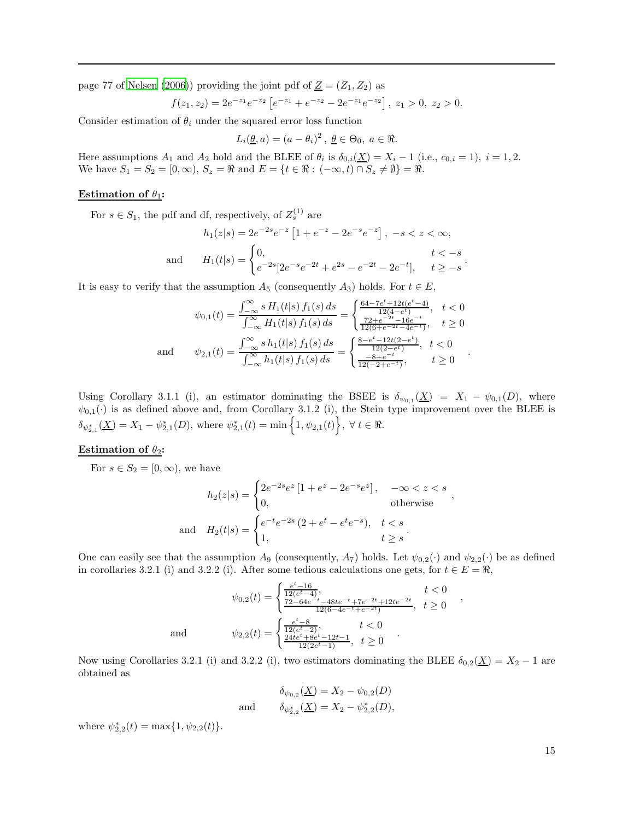page 77 of [Nelsen \(2006](#page-31-25))) providing the joint pdf of  $\underline{Z} = (Z_1, Z_2)$  as

$$
f(z_1, z_2) = 2e^{-z_1}e^{-z_2}\left[e^{-z_1} + e^{-z_2} - 2e^{-z_1}e^{-z_2}\right], z_1 > 0, z_2 > 0.
$$

Consider estimation of  $\theta_i$  under the squared error loss function

$$
L_i(\underline{\theta}, a) = (a - \theta_i)^2, \ \underline{\theta} \in \Theta_0, \ a \in \Re.
$$

Here assumptions  $A_1$  and  $A_2$  hold and the BLEE of  $\theta_i$  is  $\delta_{0,i}(\underline{X}) = X_i - 1$  (i.e.,  $c_{0,i} = 1$ ),  $i = 1, 2$ . We have  $S_1 = S_2 = [0, \infty), S_z = \Re$  and  $E = \{t \in \Re : (-\infty, t) \cap S_z \neq \emptyset\} = \Re$ .

# Estimation of  $\theta_1$ :

For  $s \in S_1$ , the pdf and df, respectively, of  $Z_s^{(1)}$  are

$$
h_1(z|s) = 2e^{-2s}e^{-z} \left[ 1 + e^{-z} - 2e^{-s}e^{-z} \right], -s < z < \infty,
$$
  
and 
$$
H_1(t|s) = \begin{cases} 0, & t < -s \\ e^{-2s} [2e^{-s}e^{-2t} + e^{2s} - e^{-2t} - 2e^{-t}], & t \ge -s \end{cases}.
$$

It is easy to verify that the assumption  $A_5$  (consequently  $A_3$ ) holds. For  $t \in E$ ,

$$
\psi_{0,1}(t) = \frac{\int_{-\infty}^{\infty} s H_1(t|s) f_1(s) ds}{\int_{-\infty}^{\infty} H_1(t|s) f_1(s) ds} = \begin{cases} \frac{64 - 7e^t + 12t(e^t - 4)}{12(4 - e^t)}, & t < 0\\ \frac{72 + e^{-2t} - 16e^{-t}}{12(6 + e^{-2t} - 4e^{-t})}, & t \ge 0 \end{cases}
$$
  
and 
$$
\psi_{2,1}(t) = \frac{\int_{-\infty}^{\infty} s h_1(t|s) f_1(s) ds}{\int_{-\infty}^{\infty} h_1(t|s) f_1(s) ds} = \begin{cases} \frac{8 - e^t - 12t(2 - e^t)}{12(2 - e^t)}, & t < 0\\ \frac{-8 + e^{-t}}{12(2 - e^t)}, & t \ge 0 \end{cases}
$$

Using Corollary 3.1.1 (i), an estimator dominating the BSEE is  $\delta_{\psi_{0,1}}(\underline{X}) = X_1 - \psi_{0,1}(D)$ , where  $\psi_{0,1}(\cdot)$  is as defined above and, from Corollary 3.1.2 (i), the Stein type improvement over the BLEE is  $\delta_{\psi_{2,1}^{*}}(\underline{X})=X_{1}-\psi_{2,1}^{*}(D),$  where  $\psi_{2,1}^{*}(t)=\min\Big\{1,\psi_{2,1}(t)\Big\},\ \forall\ t\in\Re.$ 

# Estimation of  $\theta_2$ :

For  $s \in S_2 = [0, \infty)$ , we have

$$
h_2(z|s) = \begin{cases} 2e^{-2s}e^z [1 + e^z - 2e^{-s}e^z], & -\infty < z < s \\ 0, & \text{otherwise} \end{cases}
$$
  
and 
$$
H_2(t|s) = \begin{cases} e^{-t}e^{-2s} (2 + e^t - e^t e^{-s}), & t < s \\ 1, & t \ge s \end{cases}.
$$

,

,

One can easily see that the assumption  $A_9$  (consequently,  $A_7$ ) holds. Let  $\psi_{0,2}(\cdot)$  and  $\psi_{2,2}(\cdot)$  be as defined in corollaries 3.2.1 (i) and 3.2.2 (i). After some tedious calculations one gets, for  $t \in E = \Re$ ,

$$
\psi_{0,2}(t) = \begin{cases}\n\frac{e^t - 16}{12(e^t - 4)}, & t < 0 \\
\frac{72 - 64e^{-t} - 48te^{-t} + 7e^{-2t} + 12te^{-2t}}{12(6 - 4e^{-t} + e^{-2t})}, & t \ge 0\n\end{cases}
$$
\nand\n
$$
\psi_{2,2}(t) = \begin{cases}\n\frac{e^t - 8}{12(e^t - 2)}, & t < 0 \\
\frac{24te^t + 8e^t - 12t - 1}{12(2e^t - 1)}, & t \ge 0\n\end{cases}
$$

Now using Corollaries 3.2.1 (i) and 3.2.2 (i), two estimators dominating the BLEE  $\delta_{0,2}(\underline{X}) = X_2 - 1$  are obtained as

$$
\delta_{\psi_{0,2}}(\underline{X}) = X_2 - \psi_{0,2}(D)
$$
  
and 
$$
\delta_{\psi_{2,2}^*}(\underline{X}) = X_2 - \psi_{2,2}^*(D),
$$

where  $\psi_{2,2}^*(t) = \max\{1, \psi_{2,2}(t)\}.$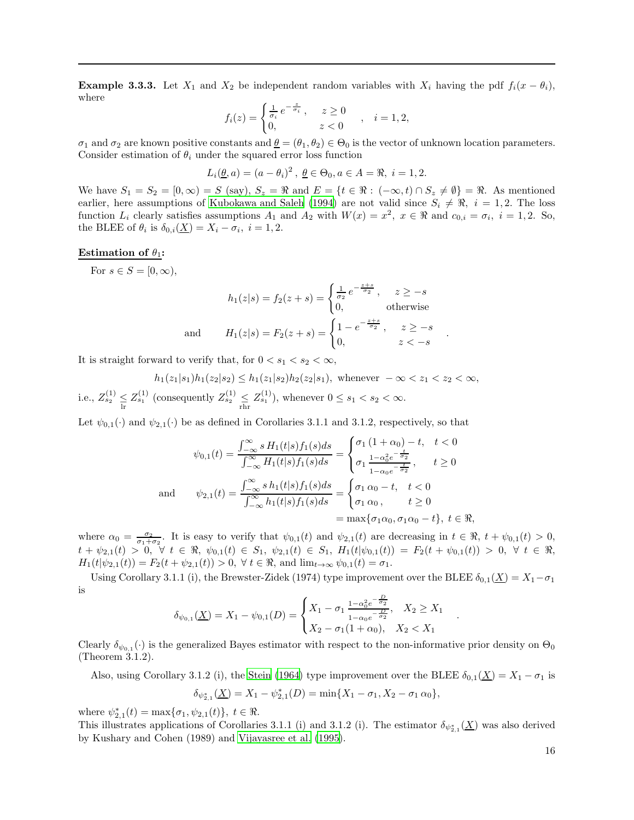**Example 3.3.3.** Let  $X_1$  and  $X_2$  be independent random variables with  $X_i$  having the pdf  $f_i(x - \theta_i)$ , where

$$
f_i(z) = \begin{cases} \frac{1}{\sigma_i} e^{-\frac{z}{\sigma_i}}, & z \ge 0 \\ 0, & z < 0 \end{cases}, i = 1, 2,
$$

 $\sigma_1$  and  $\sigma_2$  are known positive constants and  $\theta = (\theta_1, \theta_2) \in \Theta_0$  is the vector of unknown location parameters. Consider estimation of  $\theta_i$  under the squared error loss function

$$
L_i(\underline{\theta}, a) = (a - \theta_i)^2, \ \underline{\theta} \in \Theta_0, a \in A = \Re, \ i = 1, 2.
$$

We have  $S_1 = S_2 = [0, \infty) = S$  (say),  $S_z = \Re$  and  $E = \{t \in \Re : (-\infty, t) \cap S_z \neq \emptyset\} = \Re$ . As mentioned earlier, here assumptions of [Kubokawa and Saleh \(1994\)](#page-30-2) are not valid since  $S_i \neq \Re$ ,  $i = 1, 2$ . The loss function  $L_i$  clearly satisfies assumptions  $A_1$  and  $A_2$  with  $W(x) = x^2$ ,  $x \in \Re$  and  $c_{0,i} = \sigma_i$ ,  $i = 1, 2$ . So, the BLEE of  $\theta_i$  is  $\delta_{0,i}(\underline{X}) = X_i - \sigma_i, i = 1, 2$ .

#### Estimation of  $\theta_1$ :

For  $s \in S = [0, \infty)$ ,

$$
h_1(z|s) = f_2(z+s) = \begin{cases} \frac{1}{\sigma_2} e^{-\frac{z+s}{\sigma_2}}, & z \ge -s\\ 0, & \text{otherwise} \end{cases}
$$
  
and 
$$
H_1(z|s) = F_2(z+s) = \begin{cases} 1 - e^{-\frac{z+s}{\sigma_2}}, & z \ge -s\\ 0, & z < -s \end{cases}
$$

.

.

It is straight forward to verify that, for  $0 < s_1 < s_2 < \infty$ ,

 $h_1(z_1|s_1)h_1(z_2|s_2) \leq h_1(z_1|s_2)h_2(z_2|s_1)$ , whenever  $-\infty < z_1 < z_2 < \infty$ , i.e.,  $Z_{s_2}^{(1)} \leq Z_{s_1}^{(1)}$  (consequently  $Z_{s_2}^{(1)} \leq Z_{s_1}^{(1)}$ ), whenever  $0 \leq s_1 < s_2 < \infty$ .

Let  $\psi_{0,1}(\cdot)$  and  $\psi_{2,1}(\cdot)$  be as defined in Corollaries 3.1.1 and 3.1.2, respectively, so that

$$
\psi_{0,1}(t) = \frac{\int_{-\infty}^{\infty} s H_1(t|s) f_1(s) ds}{\int_{-\infty}^{\infty} H_1(t|s) f_1(s) ds} = \begin{cases} \sigma_1 (1 + \alpha_0) - t, & t < 0 \\ \sigma_1 \frac{1 - \alpha_0^2 e^{-\frac{t}{\sigma_2}}}{1 - \alpha_0 e^{-\frac{t}{\sigma_2}}}, & t \ge 0 \end{cases}
$$
  
and 
$$
\psi_{2,1}(t) = \frac{\int_{-\infty}^{\infty} s h_1(t|s) f_1(s) ds}{\int_{-\infty}^{\infty} h_1(t|s) f_1(s) ds} = \begin{cases} \sigma_1 \alpha_0 - t, & t < 0 \\ \sigma_1 \alpha_0, & t \ge 0 \end{cases}
$$

$$
= \max{\{\sigma_1 \alpha_0, \sigma_1 \alpha_0 - t\}}, t \in \mathbb{R},
$$

where  $\alpha_0 = \frac{\sigma_2}{\sigma_1 + \sigma_2}$ . It is easy to verify that  $\psi_{0,1}(t)$  and  $\psi_{2,1}(t)$  are decreasing in  $t \in \mathbb{R}$ ,  $t + \psi_{0,1}(t) > 0$ ,  $t + \psi_{2,1}(t) > 0$ ,  $\forall t \in \Re, \psi_{0,1}(t) \in S_1, \psi_{2,1}(t) \in S_1$ ,  $H_1(t|\psi_{0,1}(t)) = F_2(t + \psi_{0,1}(t)) > 0$ ,  $\forall t \in \Re,$  $H_1(t|\psi_{2,1}(t)) = F_2(t + \psi_{2,1}(t)) > 0, \ \forall \ t \in \mathbb{R}, \text{ and } \lim_{t \to \infty} \psi_{0,1}(t) = \sigma_1.$ 

Using Corollary 3.1.1 (i), the Brewster-Zidek (1974) type improvement over the BLEE  $\delta_{0,1}(\underline{X}) = X_1 - \sigma_1$ is

$$
\delta_{\psi_{0,1}}(\underline{X}) = X_1 - \psi_{0,1}(D) = \begin{cases} X_1 - \sigma_1 \frac{1 - \alpha_0^2 e^{-\frac{D}{\sigma_2}}}{1 - \alpha_0 e^{-\frac{D}{\sigma_2}}}, & X_2 \ge X_1 \\ X_2 - \sigma_1 (1 + \alpha_0), & X_2 < X_1 \end{cases}
$$

Clearly  $\delta_{\psi_{0,1}}(\cdot)$  is the generalized Bayes estimator with respect to the non-informative prior density on  $\Theta_0$ (Theorem 3.1.2).

Also, using Corollary 3.1.2 (i), the [Stein \(1964](#page-31-23)) type improvement over the BLEE  $\delta_{0,1}(\underline{X}) = X_1 - \sigma_1$  is  $\delta_{\psi_{2,1}^{*}}(\underline{X}) = X_1 - \psi_{2,1}^{*}(D) = \min\{X_1 - \sigma_1, X_2 - \sigma_1 \alpha_0\},\$ 

where  $\psi_{2,1}^{*}(t) = \max\{\sigma_1, \psi_{2,1}(t)\}, t \in \Re$ .

This illustrates applications of Corollaries 3.1.1 (i) and 3.1.2 (i). The estimator  $\delta_{\psi_{2,1}^*}(\underline{X})$  was also derived by Kushary and Cohen (1989) and [Vijayasree et al. \(1995\)](#page-31-11).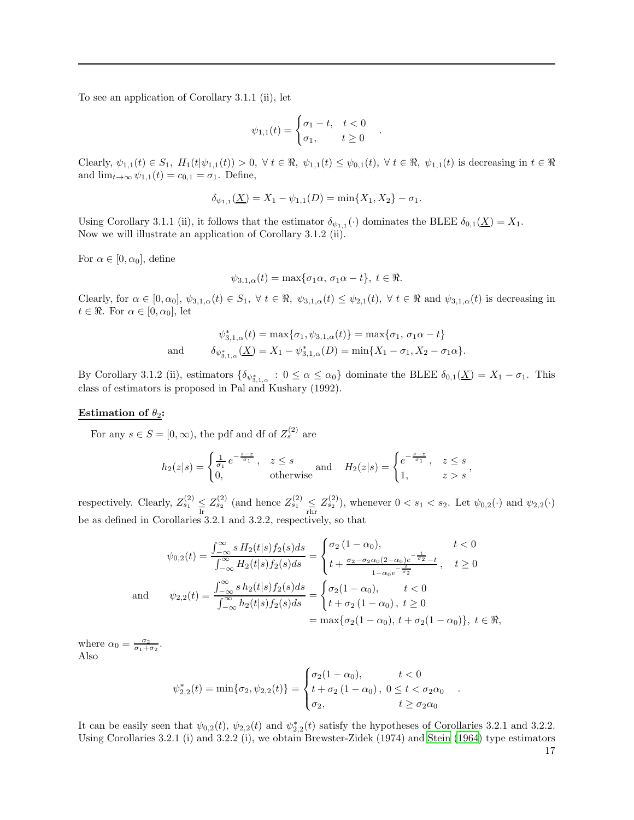To see an application of Corollary 3.1.1 (ii), let

$$
\psi_{1,1}(t) = \begin{cases} \sigma_1 - t, & t < 0 \\ \sigma_1, & t \ge 0 \end{cases}
$$

.

Clearly,  $\psi_{1,1}(t) \in S_1$ ,  $H_1(t|\psi_{1,1}(t)) > 0$ ,  $\forall t \in \Re$ ,  $\psi_{1,1}(t) \leq \psi_{0,1}(t)$ ,  $\forall t \in \Re$ ,  $\psi_{1,1}(t)$  is decreasing in  $t \in \Re$ and  $\lim_{t\to\infty}\psi_{1,1}(t)=c_{0,1}=\sigma_1$ . Define,

$$
\delta_{\psi_{1,1}}(\underline{X}) = X_1 - \psi_{1,1}(D) = \min\{X_1, X_2\} - \sigma_1.
$$

Using Corollary 3.1.1 (ii), it follows that the estimator  $\delta_{\psi_{1,1}}(\cdot)$  dominates the BLEE  $\delta_{0,1}(\underline{X}) = X_1$ . Now we will illustrate an application of Corollary 3.1.2 (ii).

For  $\alpha \in [0, \alpha_0]$ , define

$$
\psi_{3,1,\alpha}(t) = \max\{\sigma_1\alpha, \sigma_1\alpha - t\}, t \in \Re.
$$

Clearly, for  $\alpha \in [0, \alpha_0], \psi_{3,1,\alpha}(t) \in S_1, \forall t \in \Re, \psi_{3,1,\alpha}(t) \leq \psi_{2,1}(t), \forall t \in \Re \text{ and } \psi_{3,1,\alpha}(t)$  is decreasing in  $t \in \Re$ . For  $\alpha \in [0, \alpha_0]$ , let

$$
\psi_{3,1,\alpha}^*(t) = \max\{\sigma_1, \psi_{3,1,\alpha}(t)\} = \max\{\sigma_1, \sigma_1\alpha - t\}
$$
  
and 
$$
\delta_{\psi_{3,1,\alpha}^*(\underline{X})} = X_1 - \psi_{3,1,\alpha}^*(D) = \min\{X_1 - \sigma_1, X_2 - \sigma_1\alpha\}.
$$

By Corollary 3.1.2 (ii), estimators  $\{\delta_{\psi_{3,1,\alpha}^*}: 0 \leq \alpha \leq \alpha_0\}$  dominate the BLEE  $\delta_{0,1}(\underline{X}) = X_1 - \sigma_1$ . This class of estimators is proposed in Pal and Kushary (1992).

### Estimation of  $\theta_2$ :

For any  $s \in S = [0, \infty)$ , the pdf and df of  $Z_s^{(2)}$  are

$$
h_2(z|s) = \begin{cases} \frac{1}{\sigma_1} e^{-\frac{s-z}{\sigma_1}}, & z \le s \\ 0, & \text{otherwise} \end{cases} \text{ and } \quad H_2(z|s) = \begin{cases} e^{-\frac{s-z}{\sigma_1}}, & z \le s \\ 1, & z > s \end{cases},
$$

respectively. Clearly,  $Z_{s_1}^{(2)} \leq Z_{s_2}^{(2)}$  (and hence  $Z_{s_1}^{(2)} \leq Z_{s_2}^{(2)}$ ), whenever  $0 < s_1 < s_2$ . Let  $\psi_{0,2}(\cdot)$  and  $\psi_{2,2}(\cdot)$ be as defined in Corollaries 3.2.1 and 3.2.2, respectively, so that

$$
\psi_{0,2}(t) = \frac{\int_{-\infty}^{\infty} s H_2(t|s) f_2(s) ds}{\int_{-\infty}^{\infty} H_2(t|s) f_2(s) ds} = \begin{cases} \sigma_2 (1 - \alpha_0), & t < 0 \\ t + \frac{\sigma_2 - \sigma_2 \alpha_0 (2 - \alpha_0) e^{-\frac{t}{\sigma_2}} - t}{1 - \alpha_0 e^{-\frac{t}{\sigma_2}}}, & t \ge 0 \end{cases}
$$
  
and 
$$
\psi_{2,2}(t) = \frac{\int_{-\infty}^{\infty} s h_2(t|s) f_2(s) ds}{\int_{-\infty}^{\infty} h_2(t|s) f_2(s) ds} = \begin{cases} \sigma_2 (1 - \alpha_0), & t < 0 \\ t + \sigma_2 (1 - \alpha_0), & t \ge 0 \end{cases}
$$

$$
= \max \{ \sigma_2 (1 - \alpha_0), t + \sigma_2 (1 - \alpha_0) \}, t \in \mathbb{R},
$$

where  $\alpha_0 = \frac{\sigma_2}{\sigma_1 + \sigma_2}$ . Also

$$
\psi_{2,2}^*(t) = \min\{\sigma_2, \psi_{2,2}(t)\} = \begin{cases} \sigma_2(1-\alpha_0), & t < 0\\ t + \sigma_2(1-\alpha_0), & 0 \le t < \sigma_2\alpha_0\\ \sigma_2, & t \ge \sigma_2\alpha_0 \end{cases}
$$

.

It can be easily seen that  $\psi_{0,2}(t)$ ,  $\psi_{2,2}(t)$  and  $\psi_{2,2}^*(t)$  satisfy the hypotheses of Corollaries 3.2.1 and 3.2.2. Using Corollaries 3.2.1 (i) and 3.2.2 (i), we obtain Brewster-Zidek (1974) and [Stein \(1964](#page-31-23)) type estimators 17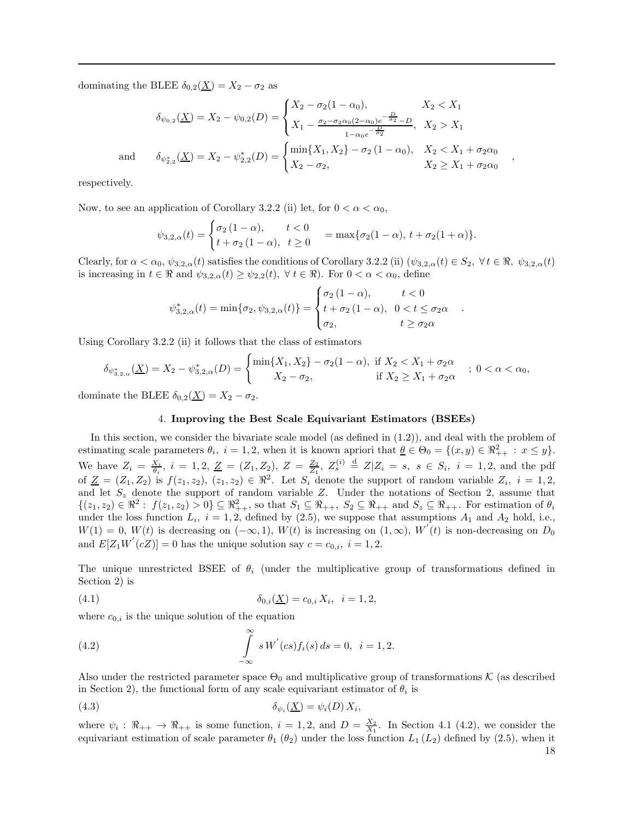dominating the BLEE  $\delta_{0,2}(\underline{X}) = X_2 - \sigma_2$  as

$$
\delta_{\psi_{0,2}}(\underline{X}) = X_2 - \psi_{0,2}(D) = \begin{cases} X_2 - \sigma_2(1 - \alpha_0), & X_2 < X_1 \\ X_1 - \frac{\sigma_2 - \sigma_2\alpha_0(2 - \alpha_0)e^{-\frac{D}{\sigma_2}} - D}{1 - \alpha_0 e^{-\frac{D}{\sigma_2}}}, & X_2 > X_1 \end{cases}
$$

$$
\delta_{\psi_{2,2}^*}(\underline{X}) = X_2 - \psi_{2,2}^*(D) = \begin{cases} \min\{X_1, X_2\} - \sigma_2(1 - \alpha_0), & X_2 < X_1 + \sigma_2\alpha_0 \\ X_2 - \sigma_2, & X_2 \ge X_1 + \sigma_2\alpha_0 \end{cases}
$$

,

.

respectively.

and

Now, to see an application of Corollary 3.2.2 (ii) let, for  $0 < \alpha < \alpha_0$ ,

$$
\psi_{3,2,\alpha}(t) = \begin{cases} \sigma_2 (1 - \alpha), & t < 0 \\ t + \sigma_2 (1 - \alpha), & t \ge 0 \end{cases} = \max \{ \sigma_2 (1 - \alpha), t + \sigma_2 (1 + \alpha) \}.
$$

Clearly, for  $\alpha < \alpha_0$ ,  $\psi_{3,2,\alpha}(t)$  satisfies the conditions of Corollary 3.2.2 (ii)  $(\psi_{3,2,\alpha}(t) \in S_2, \forall t \in \mathbb{R}, \psi_{3,2,\alpha}(t))$ is increasing in  $t \in \Re$  and  $\psi_{3,2,\alpha}(t) \geq \psi_{2,2}(t)$ ,  $\forall t \in \Re$ ). For  $0 < \alpha < \alpha_0$ , define

$$
\psi_{3,2,\alpha}^*(t) = \min\{\sigma_2, \psi_{3,2,\alpha}(t)\} = \begin{cases} \sigma_2(1-\alpha), & t < 0\\ t + \sigma_2(1-\alpha), & 0 < t \le \sigma_2\alpha\\ \sigma_2, & t \ge \sigma_2\alpha \end{cases}
$$

Using Corollary 3.2.2 (ii) it follows that the class of estimators

$$
\delta_{\psi_{3,2,\alpha}^*}(\underline{X}) = X_2 - \psi_{3,2,\alpha}^*(D) = \begin{cases} \min\{X_1, X_2\} - \sigma_2(1-\alpha), & \text{if } X_2 < X_1 + \sigma_2\alpha \\ X_2 - \sigma_2, & \text{if } X_2 \ge X_1 + \sigma_2\alpha \end{cases} ; \ 0 < \alpha < \alpha_0,
$$

dominate the BLEE  $\delta_{0,2}(\underline{X}) = X_2 - \sigma_2$ .

#### 4. Improving the Best Scale Equivariant Estimators (BSEEs)

In this section, we consider the bivariate scale model (as defined in (1.2)), and deal with the problem of estimating scale parameters  $\theta_i$ ,  $i = 1, 2$ , when it is known apriori that  $\underline{\theta} \in \Theta_0 = \{(x, y) \in \Re_{++}^2 : x \leq y\}.$ We have  $Z_i = \frac{X_i}{\theta_i}$ ,  $i = 1, 2, \underline{Z} = (Z_1, Z_2), Z = \frac{Z_2}{Z_1}, Z_s^{(i)} \stackrel{d}{=} Z | Z_i = s, s \in S_i, i = 1, 2$ , and the pdf of  $\underline{Z} = (Z_1, Z_2)$  is  $f(z_1, z_2), (z_1, z_2) \in \mathbb{R}^2$ . Let  $S_i$  denote the support of random variable  $Z_i$ ,  $i = 1, 2,$ and let  $S_z$  denote the support of random variable Z. Under the notations of Section 2, assume that  $\{(z_1, z_2) \in \Re^2 : f(z_1, z_2) > 0\} \subseteq \Re_{++}^2$ , so that  $S_1 \subseteq \Re_{++}$ ,  $S_2 \subseteq \Re_{++}$  and  $S_z \subseteq \Re_{++}$ . For estimation of  $\theta_i$ under the loss function  $L_i$ ,  $i = 1, 2$ , defined by (2.5), we suppose that assumptions  $A_1$  and  $A_2$  hold, i.e.,  $W(1) = 0, W(t)$  is decreasing on  $(-\infty, 1), W(t)$  is increasing on  $(1, \infty), W'(t)$  is non-decreasing on  $D_0$ and  $E[Z_1W^{'}(cZ)] = 0$  has the unique solution say  $c = c_{0,i}$ ,  $i = 1, 2$ .

The unique unrestricted BSEE of  $\theta_i$  (under the multiplicative group of transformations defined in Section 2) is

(4.1) 
$$
\delta_{0,i}(\underline{X}) = c_{0,i} X_i, \quad i = 1, 2,
$$

where  $c_{0,i}$  is the unique solution of the equation

(4.2) 
$$
\int_{-\infty}^{\infty} s W'(cs) f_i(s) ds = 0, \quad i = 1, 2.
$$

Also under the restricted parameter space  $\Theta_0$  and multiplicative group of transformations K (as described in Section 2), the functional form of any scale equivariant estimator of  $\theta_i$  is

$$
\delta_{\psi_i}(\underline{X}) = \psi_i(D) X_i,
$$

where  $\psi_i: \Re_{++} \to \Re_{++}$  is some function,  $i = 1, 2$ , and  $D = \frac{X_2}{X_1}$ . In Section 4.1 (4.2), we consider the equivariant estimation of scale parameter  $\theta_1$  ( $\theta_2$ ) under the loss function  $L_1$  ( $L_2$ ) defined by (2.5), when it 18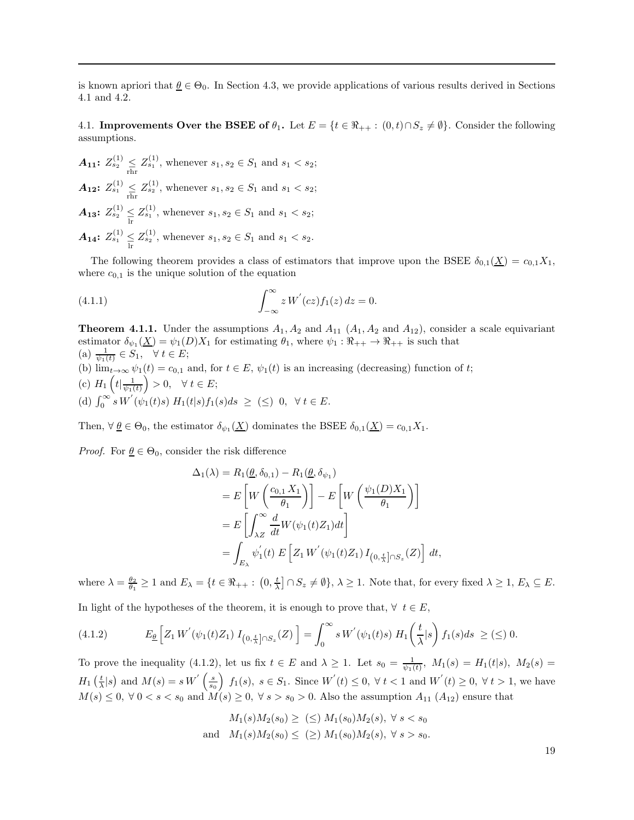is known apriori that  $\underline{\theta} \in \Theta_0$ . In Section 4.3, we provide applications of various results derived in Sections 4.1 and 4.2.

4.1. Improvements Over the BSEE of  $\theta_1$ . Let  $E = \{t \in \Re_{++} : (0,t) \cap S_z \neq \emptyset\}$ . Consider the following assumptions.

 $A_{11}: Z_{s_2}^{(1)} \leq Z_{s_1}^{(1)}$ , whenever  $s_1, s_2 \in S_1$  and  $s_1 < s_2$ ;  $A_{12}$ :  $Z_{s_1}^{(1)} \leq Z_{s_2}^{(1)}$ , whenever  $s_1, s_2 \in S_1$  and  $s_1 < s_2$ ;  $A_{13}$ :  $Z_{s_2}^{(1)} \leq Z_{s_1}^{(1)}$ , whenever  $s_1, s_2 \in S_1$  and  $s_1 < s_2$ ;  $A_{14}: Z_{s_1}^{(1)} \leq Z_{s_2}^{(1)}$ , whenever  $s_1, s_2 \in S_1$  and  $s_1 < s_2$ .

The following theorem provides a class of estimators that improve upon the BSEE  $\delta_{0,1}(\underline{X}) = c_{0,1}X_1$ , where  $c_{0,1}$  is the unique solution of the equation

(4.1.1) 
$$
\int_{-\infty}^{\infty} z W^{'}(cz) f_1(z) dz = 0.
$$

**Theorem 4.1.1.** Under the assumptions  $A_1$ ,  $A_2$  and  $A_{11}$  ( $A_1$ ,  $A_2$  and  $A_{12}$ ), consider a scale equivariant estimator  $\delta_{\psi_1}(\underline{X}) = \psi_1(D)X_1$  for estimating  $\theta_1$ , where  $\psi_1 : \Re_{++} \to \Re_{++}$  is such that (a)  $\frac{1}{\psi_1(t)} \in S_1, \quad \forall \ t \in E;$ (b)  $\lim_{t\to\infty}\psi_1(t)=c_{0,1}$  and, for  $t\in E$ ,  $\psi_1(t)$  is an increasing (decreasing) function of t;

(c)  $H_1\left(t\left|\frac{1}{\psi_1(t)}\right.\right) > 0, \quad \forall \ t \in E;$ (d)  $\int_0^\infty s \, W'(\psi_1(t)s) \, H_1(t|s) f_1(s) ds \geq (\leq) 0, \ \forall \, t \in E.$ 

Then,  $\forall \underline{\theta} \in \Theta_0$ , the estimator  $\delta_{\psi_1}(\underline{X})$  dominates the BSEE  $\delta_{0,1}(\underline{X}) = c_{0,1}X_1$ .

*Proof.* For  $\theta \in \Theta_0$ , consider the risk difference

$$
\Delta_1(\lambda) = R_1(\underline{\theta}, \delta_{0,1}) - R_1(\underline{\theta}, \delta_{\psi_1})
$$
  
\n
$$
= E\left[W\left(\frac{c_{0,1} X_1}{\theta_1}\right)\right] - E\left[W\left(\frac{\psi_1(D) X_1}{\theta_1}\right)\right]
$$
  
\n
$$
= E\left[\int_{\lambda Z}^{\infty} \frac{d}{dt} W(\psi_1(t) Z_1) dt\right]
$$
  
\n
$$
= \int_{E_{\lambda}} \psi_1'(t) E\left[Z_1 W^{'}(\psi_1(t) Z_1) I_{\left(0, \frac{t}{\lambda}\right] \cap S_z}(Z)\right] dt,
$$

where  $\lambda = \frac{\theta_2}{\theta_1} \ge 1$  and  $E_\lambda = \{t \in \Re_{++} : (0, \frac{t}{\lambda}] \cap S_z \ne \emptyset\}, \lambda \ge 1$ . Note that, for every fixed  $\lambda \ge 1$ ,  $E_\lambda \subseteq E$ . In light of the hypotheses of the theorem, it is enough to prove that,  $\forall t \in E$ ,

$$
(4.1.2) \t E_{\underline{\theta}}\left[Z_1 W^{'}(\psi_1(t)Z_1) I_{\left(0,\frac{t}{\lambda}\right] \cap S_z}(Z)\right] = \int_0^\infty s W^{'}(\psi_1(t)s) H_1\left(\frac{t}{\lambda}|s\right) f_1(s)ds \geq (\leq) 0.
$$

To prove the inequality (4.1.2), let us fix  $t \in E$  and  $\lambda \geq 1$ . Let  $s_0 = \frac{1}{\psi_1(t)}$ ,  $M_1(s) = H_1(t|s)$ ,  $M_2(s) =$  $H_1\left(\frac{t}{\lambda}\middle|s\right)$  and  $M(s) = s W^{'}\left(\frac{s}{s_0}\right) f_1(s), s \in S_1$ . Since  $W^{'}(t) \leq 0, \forall t < 1$  and  $W^{'}(t) \geq 0, \forall t > 1$ , we have  $M(s) \leq 0, \forall 0 < s < s_0$  and  $M(s) \geq 0, \forall s > s_0 > 0$ . Also the assumption  $A_{11}(A_{12})$  ensure that

$$
M_1(s)M_2(s_0) \geq \; (\leq) \; M_1(s_0)M_2(s), \; \forall \; s < s_0
$$
\n
$$
M_1(s)M_2(s_0) \leq \; (\geq) \; M_1(s_0)M_2(s), \; \forall \; s > s_0.
$$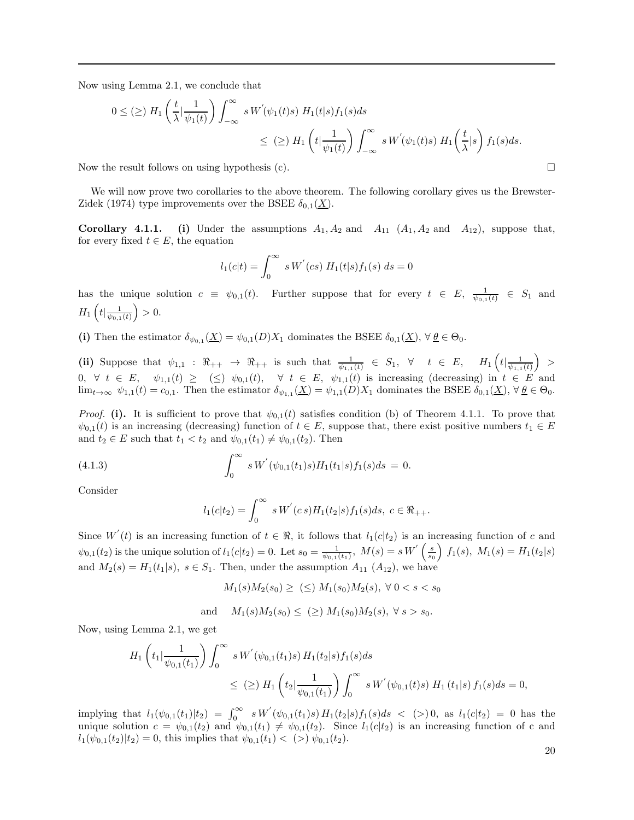Now using Lemma 2.1, we conclude that

$$
0 \leq (\geq) H_1\left(\frac{t}{\lambda} \Big|\frac{1}{\psi_1(t)}\right) \int_{-\infty}^{\infty} s W'(\psi_1(t)s) H_1(t|s) f_1(s) ds
$$
  

$$
\leq (\geq) H_1\left(t \Big|\frac{1}{\psi_1(t)}\right) \int_{-\infty}^{\infty} s W'(\psi_1(t)s) H_1\left(\frac{t}{\lambda} \Big|s\right) f_1(s) ds.
$$

Now the result follows on using hypothesis (c).  $\Box$ 

We will now prove two corollaries to the above theorem. The following corollary gives us the Brewster-Zidek (1974) type improvements over the BSEE  $\delta_{0,1}(\underline{X})$ .

**Corollary 4.1.1.** (i) Under the assumptions  $A_1, A_2$  and  $A_{11}$   $(A_1, A_2$  and  $A_{12}$ ), suppose that, for every fixed  $t \in E$ , the equation

$$
l_1(c|t) = \int_0^\infty s W^{'}(cs) H_1(t|s) f_1(s) ds = 0
$$

has the unique solution  $c \equiv \psi_{0,1}(t)$ . Further suppose that for every  $t \in E$ ,  $\frac{1}{\psi_{0,1}(t)} \in S_1$  and  $H_1\left(t| \frac{1}{\psi_{0,1}(t)}\right) > 0.$ 

(i) Then the estimator  $\delta_{\psi_{0,1}}(\underline{X}) = \psi_{0,1}(D)X_1$  dominates the BSEE  $\delta_{0,1}(\underline{X})$ ,  $\forall \underline{\theta} \in \Theta_0$ .

(ii) Suppose that  $\psi_{1,1} : \mathbb{R}_{++} \to \mathbb{R}_{++}$  is such that  $\frac{1}{\psi_{1,1}(t)} \in S_1$ ,  $\forall t \in E$ ,  $H_1\left(t | \frac{1}{\psi_{1,1}(t)}\right)$ 0,  $\forall t \in E, \quad \psi_{1,1}(t) \geq (\leq) \psi_{0,1}(t), \quad \forall t \in E, \quad \psi_{1,1}(t)$  is increasing (decreasing) in  $t \in E$  and  $\lim_{t\to\infty} \psi_{1,1}(t) = c_{0,1}$ . Then the estimator  $\delta_{\psi_{1,1}}(\underline{X}) = \psi_{1,1}(D)X_1$  dominates the BSEE  $\delta_{0,1}(\underline{X})$ ,  $\forall \underline{\theta} \in \Theta_0$ .

*Proof.* (i). It is sufficient to prove that  $\psi_{0,1}(t)$  satisfies condition (b) of Theorem 4.1.1. To prove that  $\psi_{0,1}(t)$  is an increasing (decreasing) function of  $t \in E$ , suppose that, there exist positive numbers  $t_1 \in E$ and  $t_2 \in E$  such that  $t_1 < t_2$  and  $\psi_{0,1}(t_1) \neq \psi_{0,1}(t_2)$ . Then

(4.1.3) 
$$
\int_0^\infty s W'(\psi_{0,1}(t_1)s) H_1(t_1|s) f_1(s) ds = 0.
$$

Consider

$$
l_1(c|t_2) = \int_0^\infty s W^{'}(c\,s) H_1(t_2|s) f_1(s) ds, \ c \in \Re_{++}.
$$

Since  $W'(t)$  is an increasing function of  $t \in \Re$ , it follows that  $l_1(c|t_2)$  is an increasing function of c and  $\psi_{0,1}(t_2)$  is the unique solution of  $l_1(c|t_2) = 0$ . Let  $s_0 = \frac{1}{\psi_{0,1}(t_1)}$ ,  $M(s) = s W^{'}\left(\frac{s}{s_0}\right) f_1(s)$ ,  $M_1(s) = H_1(t_2|s)$ and  $M_2(s) = H_1(t_1|s)$ ,  $s \in S_1$ . Then, under the assumption  $A_{11}$   $(A_{12})$ , we have

$$
M_1(s)M_2(s_0) \geq \ (\leq) M_1(s_0)M_2(s), \ \forall \ 0 < s < s_0
$$

and 
$$
M_1(s)M_2(s_0) \leq (\geq) M_1(s_0)M_2(s), \forall s > s_0.
$$

Now, using Lemma 2.1, we get

$$
H_1\left(t_1|\frac{1}{\psi_{0,1}(t_1)}\right)\int_0^\infty s W^{'}(\psi_{0,1}(t_1)s) H_1(t_2|s) f_1(s) ds
$$
  
\n
$$
\leq (\geq) H_1\left(t_2|\frac{1}{\psi_{0,1}(t_1)}\right)\int_0^\infty s W^{'}(\psi_{0,1}(t)s) H_1(t_1|s) f_1(s) ds = 0,
$$

implying that  $l_1(\psi_{0,1}(t_1)|t_2) = \int_0^\infty s W'(\psi_{0,1}(t_1)s) H_1(t_2|s) f_1(s) ds$  < (> 0, as  $l_1(c|t_2) = 0$  has the unique solution  $c = \psi_{0,1}(t_2)$  and  $\psi_{0,1}(t_1) \neq \psi_{0,1}(t_2)$ . Since  $l_1(c|t_2)$  is an increasing function of c and  $l_1(\psi_{0,1}(t_2)|t_2) = 0$ , this implies that  $\psi_{0,1}(t_1) < (>) \psi_{0,1}(t_2)$ .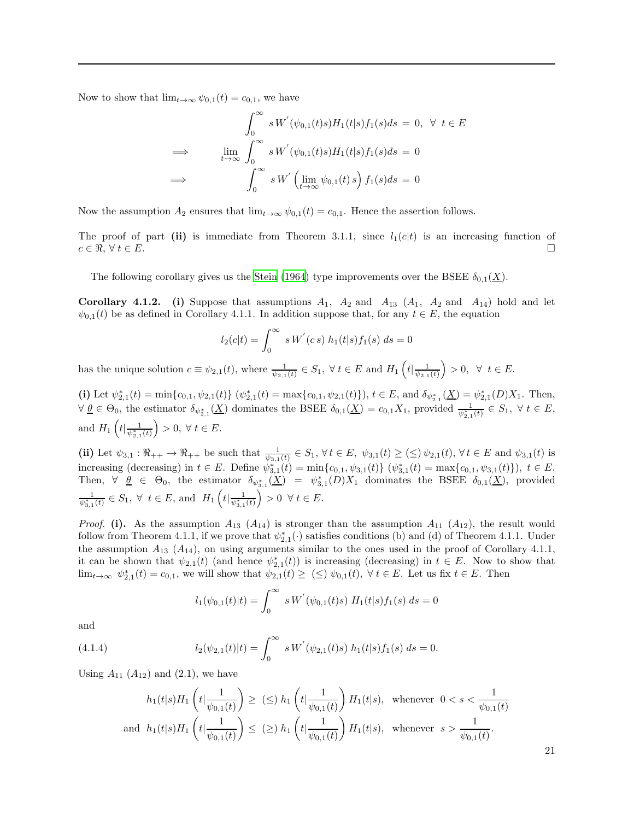Now to show that  $\lim_{t\to\infty} \psi_{0,1}(t) = c_{0,1}$ , we have

$$
\int_0^\infty s W'(\psi_{0,1}(t)s) H_1(t|s) f_1(s) ds = 0, \forall t \in E
$$
  
\n
$$
\implies \lim_{t \to \infty} \int_0^\infty s W'(\psi_{0,1}(t)s) H_1(t|s) f_1(s) ds = 0
$$
  
\n
$$
\implies \int_0^\infty s W'(\lim_{t \to \infty} \psi_{0,1}(t)s) f_1(s) ds = 0
$$

Now the assumption  $A_2$  ensures that  $\lim_{t\to\infty} \psi_{0,1}(t) = c_{0,1}$ . Hence the assertion follows.

The proof of part (ii) is immediate from Theorem 3.1.1, since  $l_1(c|t)$  is an increasing function of  $c \in \Re, \forall t \in E.$ 

The following corollary gives us the [Stein \(1964\)](#page-31-23) type improvements over the BSEE  $\delta_{0,1}(\underline{X})$ .

**Corollary 4.1.2.** (i) Suppose that assumptions  $A_1$ ,  $A_2$  and  $A_{13}$  ( $A_1$ ,  $A_2$  and  $A_{14}$ ) hold and let  $\psi_{0,1}(t)$  be as defined in Corollary 4.1.1. In addition suppose that, for any  $t \in E$ , the equation

$$
l_2(c|t) = \int_0^\infty s W^{'}(c s) h_1(t|s) f_1(s) ds = 0
$$

has the unique solution  $c \equiv \psi_{2,1}(t)$ , where  $\frac{1}{\psi_{2,1}(t)} \in S_1$ ,  $\forall t \in E$  and  $H_1\left(t | \frac{1}{\psi_{2,1}(t)}\right) > 0$ ,  $\forall t \in E$ .

(i) Let  $\psi_{2,1}^*(t) = \min\{c_{0,1}, \psi_{2,1}(t)\}$   $(\psi_{2,1}^*(t) = \max\{c_{0,1}, \psi_{2,1}(t)\})$ ,  $t \in E$ , and  $\delta_{\psi_{2,1}^*}(\underline{X}) = \psi_{2,1}^*(D)X_1$ . Then,  $\forall \underline{\theta} \in \Theta_0$ , the estimator  $\delta_{\psi_{2,1}^*}(\underline{X})$  dominates the BSEE  $\delta_{0,1}(\underline{X}) = c_{0,1}X_1$ , provided  $\frac{1}{\psi_{2,1}^*(t)} \in S_1$ ,  $\forall t \in E$ , and  $H_1\left(t\left|\frac{1}{\psi_{2,1}^*(t)}\right.\right) > 0, \ \forall \ t \in E.$ 

(ii) Let  $\psi_{3,1} : \mathbb{R}_{++} \to \mathbb{R}_{++}$  be such that  $\frac{1}{\psi_{3,1}(t)} \in S_1$ ,  $\forall t \in E$ ,  $\psi_{3,1}(t) \ge (\le) \psi_{2,1}(t)$ ,  $\forall t \in E$  and  $\psi_{3,1}(t)$  is increasing (decreasing) in  $t \in E$ . Define  $\psi_{3,1}^*(t) = \min\{c_{0,1}, \psi_{3,1}(t)\}$   $(\psi_{3,1}^*(t) = \max\{c_{0,1}, \psi_{3,1}(t)\})$ ,  $t \in E$ . Then,  $\forall \theta \in \Theta_0$ , the estimator  $\delta_{\psi_{3,1}^*}(\underline{X}) = \psi_{3,1}^*(D)X_1$  dominates the BSEE  $\delta_{0,1}(\underline{X})$ , provided  $\frac{1}{\psi_{3,1}^*(t)} \in S_1$ ,  $\forall$   $t \in E$ , and  $H_1\left(t | \frac{1}{\psi_{3,1}^*(t)}\right) > 0$   $\forall$   $t \in E$ .

*Proof.* (i). As the assumption  $A_{13}$  ( $A_{14}$ ) is stronger than the assumption  $A_{11}$  ( $A_{12}$ ), the result would follow from Theorem 4.1.1, if we prove that  $\psi_{2,1}^*(\cdot)$  satisfies conditions (b) and (d) of Theorem 4.1.1. Under the assumption  $A_{13}$  ( $A_{14}$ ), on using arguments similar to the ones used in the proof of Corollary 4.1.1, it can be shown that  $\psi_{2,1}(t)$  (and hence  $\psi_{2,1}^*(t)$ ) is increasing (decreasing) in  $t \in E$ . Now to show that  $\lim_{t\to\infty} \psi_{2,1}^*(t) = c_{0,1}$ , we will show that  $\psi_{2,1}(t) \geq \leq \psi_{0,1}(t)$ ,  $\forall t \in E$ . Let us fix  $t \in E$ . Then

$$
l_1(\psi_{0,1}(t)|t) = \int_0^\infty s W^{'}(\psi_{0,1}(t)s) H_1(t|s) f_1(s) ds = 0
$$

and

(4.1.4) 
$$
l_2(\psi_{2,1}(t)|t) = \int_0^\infty s W'(\psi_{2,1}(t)s) h_1(t|s) f_1(s) ds = 0.
$$

Using  $A_{11}$   $(A_{12})$  and  $(2.1)$ , we have

$$
h_1(t|s)H_1\left(t|\frac{1}{\psi_{0,1}(t)}\right) \ge (\le) h_1\left(t|\frac{1}{\psi_{0,1}(t)}\right)H_1(t|s), \text{ whenever } 0 < s < \frac{1}{\psi_{0,1}(t)}
$$
  
and  $h_1(t|s)H_1\left(t|\frac{1}{\psi_{0,1}(t)}\right) \le (\ge) h_1\left(t|\frac{1}{\psi_{0,1}(t)}\right)H_1(t|s), \text{ whenever } s > \frac{1}{\psi_{0,1}(t)}.$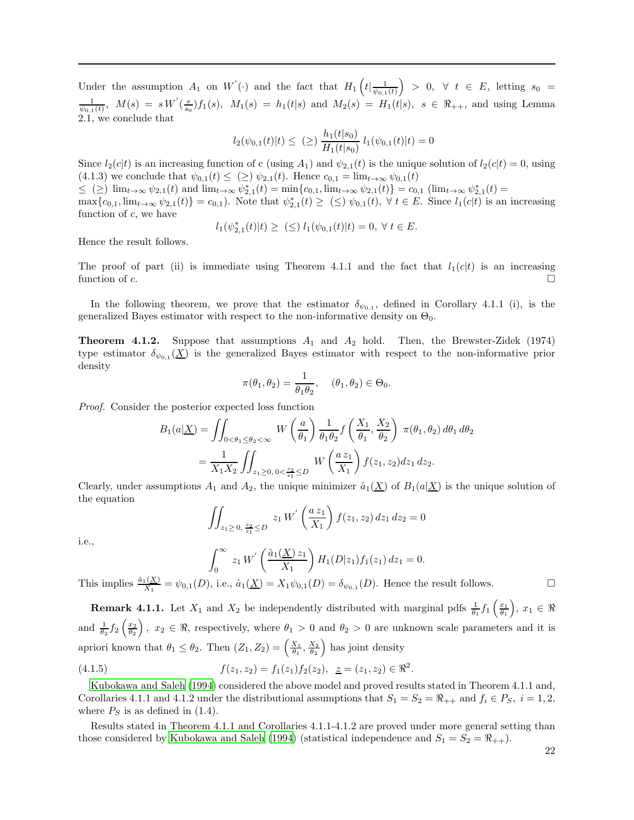Under the assumption  $A_1$  on  $W'(\cdot)$  and the fact that  $H_1\left(t\vert \frac{1}{\psi_{0,1}(t)}\right) > 0, \forall t \in E$ , letting  $s_0 =$  $\frac{1}{\psi_{0,1}(t)}, M(s) = s W'(\frac{s}{s_0}) f_1(s), M_1(s) = h_1(t|s)$  and  $M_2(s) = H_1(t|s), s \in \Re_{++}$ , and using Lemma 2.1, we conclude that

$$
l_2(\psi_{0,1}(t)|t) \leq \ (\geq) \ \frac{h_1(t|s_0)}{H_1(t|s_0)} \ l_1(\psi_{0,1}(t)|t) = 0
$$

Since  $l_2(c|t)$  is an increasing function of c (using  $A_1$ ) and  $\psi_{2,1}(t)$  is the unique solution of  $l_2(c|t) = 0$ , using (4.1.3) we conclude that  $\psi_{0,1}(t) \leq (\geq) \psi_{2,1}(t)$ . Hence  $c_{0,1} = \lim_{t \to \infty} \psi_{0,1}(t)$ 

 $\leq$  (2)  $\lim_{t\to\infty} \psi_{2,1}(t)$  and  $\lim_{t\to\infty} \psi_{2,1}^*(t) = \min\{c_{0,1}, \lim_{t\to\infty} \psi_{2,1}(t)\} = c_{0,1}$  ( $\lim_{t\to\infty} \psi_{2,1}^*(t) =$  $\max\{c_{0,1}, \lim_{t\to\infty}\psi_{2,1}(t)\}=c_{0,1}$ . Note that  $\psi_{2,1}^*(t)\geq (\leq)\psi_{0,1}(t)$ ,  $\forall t\in E$ . Since  $l_1(c|t)$  is an increasing function of  $c$ , we have

$$
l_1(\psi_{2,1}^*(t)|t) \geq \ \ (\leq) \ l_1(\psi_{0,1}(t)|t) = 0, \ \forall \ t \in E.
$$

Hence the result follows.

The proof of part (ii) is immediate using Theorem 4.1.1 and the fact that  $l_1(c|t)$  is an increasing function of c.  $\Box$ 

In the following theorem, we prove that the estimator  $\delta_{\psi_{0,1}}$ , defined in Corollary 4.1.1 (i), is the generalized Bayes estimator with respect to the non-informative density on  $\Theta_0$ .

**Theorem 4.1.2.** Suppose that assumptions  $A_1$  and  $A_2$  hold. Then, the Brewster-Zidek (1974) type estimator  $\delta_{\psi_{0,1}}(\underline{X})$  is the generalized Bayes estimator with respect to the non-informative prior density

$$
\pi(\theta_1, \theta_2) = \frac{1}{\theta_1 \theta_2}, \quad (\theta_1, \theta_2) \in \Theta_0.
$$

Proof. Consider the posterior expected loss function

$$
B_1(a|\underline{X}) = \iint_{0 < \theta_1 \le \theta_2 < \infty} W\left(\frac{a}{\theta_1}\right) \frac{1}{\theta_1 \theta_2} f\left(\frac{X_1}{\theta_1}, \frac{X_2}{\theta_2}\right) \pi(\theta_1, \theta_2) d\theta_1 d\theta_2
$$
  
= 
$$
\frac{1}{X_1 X_2} \iint_{z_1 \ge 0, 0 < \frac{z_2}{z_1} \le D} W\left(\frac{a z_1}{X_1}\right) f(z_1, z_2) dz_1 dz_2.
$$

Clearly, under assumptions  $A_1$  and  $A_2$ , the unique minimizer  $\hat{a}_1(\underline{X})$  of  $B_1(a|\underline{X})$  is the unique solution of the equation

$$
\iint_{z_1 \ge 0, \frac{z_2}{z_1} \le D} z_1 W^{'}\left(\frac{az_1}{X_1}\right) f(z_1, z_2) dz_1 dz_2 = 0
$$

i.e.,

$$
\int_0^\infty z_1 W' \left( \frac{\hat{a}_1(\underline{X}) z_1}{X_1} \right) H_1(D|z_1) f_1(z_1) dz_1 = 0.
$$

This implies  $\frac{\hat{a}_1(\underline{X})}{X_1} = \psi_{0,1}(D)$ , i.e.,  $\hat{a}_1(\underline{X}) = X_1 \psi_{0,1}(D) = \delta_{\psi_{0,1}}(D)$ . Hence the result follows.

**Remark 4.1.1.** Let  $X_1$  and  $X_2$  be independently distributed with marginal pdfs  $\frac{1}{\theta_1} f_1\left(\frac{x_1}{\theta_1}\right), x_1 \in \Re$ and  $\frac{1}{\theta_2} f_2 \left( \frac{x_2}{\theta_2} \right)$ ,  $x_2 \in \Re$ , respectively, where  $\theta_1 > 0$  and  $\theta_2 > 0$  are unknown scale parameters and it is apriori known that  $\theta_1 \leq \theta_2$ . Then  $(Z_1, Z_2) = \left(\frac{X_1}{\theta_1}, \frac{X_2}{\theta_2}\right)$  has joint density

(4.1.5) 
$$
f(z_1, z_2) = f_1(z_1) f_2(z_2), \quad z = (z_1, z_2) \in \mathbb{R}^2.
$$

[Kubokawa and Saleh \(1994](#page-30-2)) considered the above model and proved results stated in Theorem 4.1.1 and, Corollaries 4.1.1 and 4.1.2 under the distributional assumptions that  $S_1 = S_2 = \Re_{++}$  and  $f_i \in P_S$ ,  $i = 1, 2$ , where  $P<sub>S</sub>$  is as defined in (1.4).

Results stated in Theorem 4.1.1 and Corollaries 4.1.1-4.1.2 are proved under more general setting than those considered by [Kubokawa and Saleh \(1994\)](#page-30-2) (statistical independence and  $S_1 = S_2 = \Re_{++}$ ).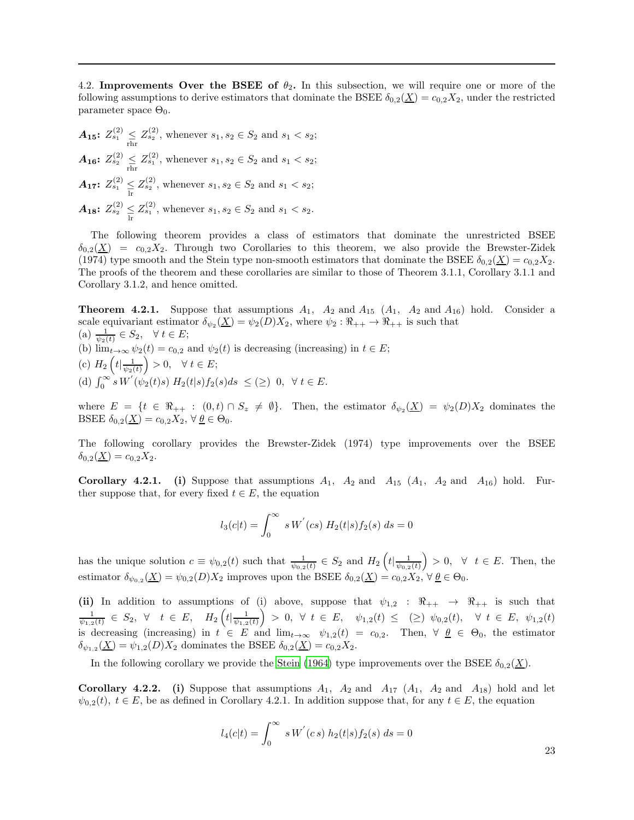4.2. Improvements Over the BSEE of  $\theta_2$ . In this subsection, we will require one or more of the following assumptions to derive estimators that dominate the BSEE  $\delta_{0,2}(\underline{X}) = c_{0,2}X_2$ , under the restricted parameter space  $\Theta_0$ .

 $A_{15}: Z^{(2)}_{s_1} \leq Z^{(2)}_{s_2}$ , whenever  $s_1, s_2 \in S_2$  and  $s_1 < s_2$ ;  $A_{16}$ :  $Z_{s_2}^{(2)} \leq Z_{s_1}^{(2)}$ , whenever  $s_1, s_2 \in S_2$  and  $s_1 < s_2$ ;  $A_{17}$ :  $Z_{s_1}^{(2)} \leq Z_{s_2}^{(2)}$ , whenever  $s_1, s_2 \in S_2$  and  $s_1 < s_2$ ;  $A_{18}$ :  $Z_{s_2}^{(2)} \leq Z_{s_1}^{(2)}$ , whenever  $s_1, s_2 \in S_2$  and  $s_1 < s_2$ .

The following theorem provides a class of estimators that dominate the unrestricted BSEE  $\delta_{0,2}(\underline{X}) = c_{0,2}X_2$ . Through two Corollaries to this theorem, we also provide the Brewster-Zidek (1974) type smooth and the Stein type non-smooth estimators that dominate the BSEE  $\delta_{0,2}(\underline{X}) = c_{0,2}X_2$ . The proofs of the theorem and these corollaries are similar to those of Theorem 3.1.1, Corollary 3.1.1 and Corollary 3.1.2, and hence omitted.

**Theorem 4.2.1.** Suppose that assumptions  $A_1$ ,  $A_2$  and  $A_{15}$  ( $A_1$ ,  $A_2$  and  $A_{16}$ ) hold. Consider a scale equivariant estimator  $\delta_{\psi_2}(\underline{X}) = \psi_2(D)X_2$ , where  $\psi_2 : \Re_{++} \to \Re_{++}$  is such that (a)  $\frac{1}{\psi_2(t)} \in S_2$ ,  $\forall t \in E$ ; (b)  $\lim_{t\to\infty} \psi_2(t) = c_{0,2}$  and  $\psi_2(t)$  is decreasing (increasing) in  $t \in E$ ; (c)  $H_2\left(t|\frac{1}{\psi_2(t)}\right) > 0, \quad \forall \ t \in E;$ (d)  $\int_0^\infty s \, W'(\psi_2(t)s) \, H_2(t|s) f_2(s) ds \leq (\geq) 0, \ \ \forall \ t \in E.$ 

where  $E = \{t \in \Re_{++} : (0,t) \cap S_z \neq \emptyset\}$ . Then, the estimator  $\delta_{\psi_2}(\underline{X}) = \psi_2(D)X_2$  dominates the BSEE  $\delta_{0,2}(\underline{X}) = c_{0,2}X_2, \forall \underline{\theta} \in \Theta_0.$ 

The following corollary provides the Brewster-Zidek (1974) type improvements over the BSEE  $\delta_{0,2}(\underline{X}) = c_{0,2}X_2.$ 

**Corollary 4.2.1.** (i) Suppose that assumptions  $A_1$ ,  $A_2$  and  $A_{15}$   $(A_1$ ,  $A_2$  and  $A_{16}$ ) hold. Further suppose that, for every fixed  $t \in E$ , the equation

$$
l_3(c|t) = \int_0^\infty s W^{'}(cs) H_2(t|s) f_2(s) ds = 0
$$

has the unique solution  $c \equiv \psi_{0,2}(t)$  such that  $\frac{1}{\psi_{0,2}(t)} \in S_2$  and  $H_2\left(t|\frac{1}{\psi_{0,2}(t)}\right) > 0$ ,  $\forall t \in E$ . Then, the estimator  $\delta_{\psi_{0,2}}(\underline{X}) = \psi_{0,2}(D)X_2$  improves upon the BSEE  $\delta_{0,2}(\underline{X}) = c_{0,2}X_2, \forall \underline{\theta} \in \Theta_0$ .

(ii) In addition to assumptions of (i) above, suppose that  $\psi_{1,2} : \mathbb{R}_{++} \to \mathbb{R}_{++}$  is such that  $\frac{1}{\psi_{1,2}(t)} \in S_2, \ \forall \quad t \in E, \quad H_2\left(t | \frac{1}{\psi_{1,2}(t)}\right) > 0, \ \forall \ t \in E, \quad \psi_{1,2}(t) \leq \text{ (}\geq\text{) } \psi_{0,2}(t), \quad \forall \ t \in E, \ \psi_{1,2}(t)$ is decreasing (increasing) in  $t \in E$  and  $\lim_{t\to\infty} \psi_{1,2}(t) = c_{0,2}$ . Then,  $\forall \underline{\theta} \in \Theta_0$ , the estimator  $\delta_{\psi_{1,2}}(\underline{X}) = \psi_{1,2}(D)X_2$  dominates the BSEE  $\delta_{0,2}(\underline{X}) = c_{0,2}X_2$ .

In the following corollary we provide the [Stein \(1964](#page-31-23)) type improvements over the BSEE  $\delta_{0.2}(\underline{X})$ .

Corollary 4.2.2. (i) Suppose that assumptions  $A_1$ ,  $A_2$  and  $A_{17}$   $(A_1, A_2$  and  $A_{18}$ ) hold and let  $\psi_{0,2}(t), t \in E$ , be as defined in Corollary 4.2.1. In addition suppose that, for any  $t \in E$ , the equation

$$
l_4(c|t) = \int_0^\infty s W^{'}(c s) h_2(t|s) f_2(s) ds = 0
$$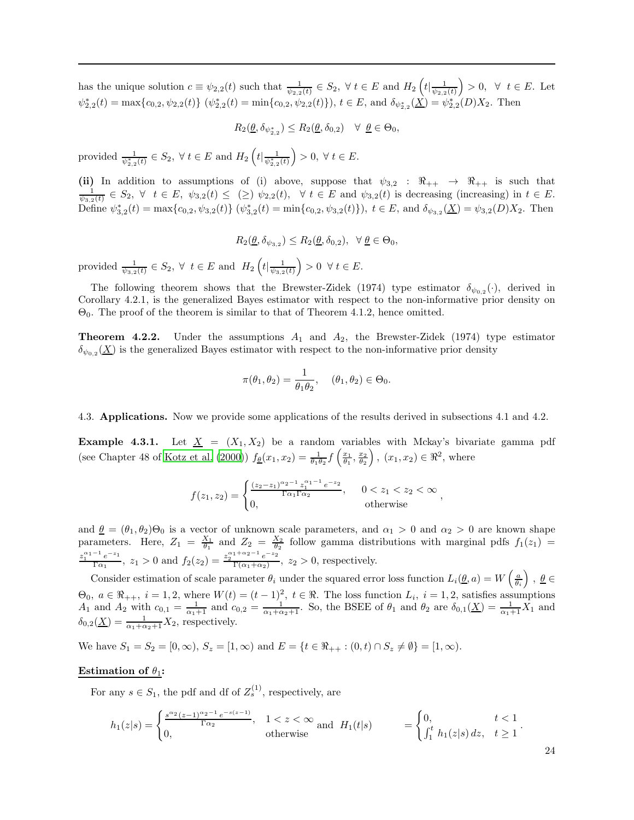has the unique solution  $c \equiv \psi_{2,2}(t)$  such that  $\frac{1}{\psi_{2,2}(t)} \in S_2$ ,  $\forall t \in E$  and  $H_2\left(t | \frac{1}{\psi_{2,2}(t)}\right) > 0$ ,  $\forall t \in E$ . Let  $\psi_{2,2}^{*}(t) = \max\{c_{0,2}, \psi_{2,2}(t)\}$   $(\psi_{2,2}^{*}(t) = \min\{c_{0,2}, \psi_{2,2}(t)\})$ ,  $t \in E$ , and  $\delta_{\psi_{2,2}^{*}}(\underline{X}) = \psi_{2,2}^{*}(D)X_2$ . Then

$$
R_2(\underline{\theta}, \delta_{\psi_{2,2}^*}) \le R_2(\underline{\theta}, \delta_{0,2}) \quad \forall \ \underline{\theta} \in \Theta_0,
$$

provided  $\frac{1}{\psi_{2,2}^*(t)} \in S_2$ ,  $\forall t \in E$  and  $H_2\left(t | \frac{1}{\psi_{2,2}^*(t)}\right) > 0$ ,  $\forall t \in E$ .

(ii) In addition to assumptions of (i) above, suppose that  $\psi_{3,2} : \mathbb{R}_{++} \to \mathbb{R}_{++}$  is such that  $\frac{1}{\psi_{3,2}(t)} \in S_2$ ,  $\forall$   $t \in E$ ,  $\psi_{3,2}(t) \leq (\geq) \psi_{2,2}(t)$ ,  $\forall$   $t \in E$  and  $\psi_{3,2}(t)$  is decreasing (increasing) in  $t \in E$ . Define  $\psi_{3,2}^*(t) = \max\{c_{0,2}, \psi_{3,2}(t)\}$   $(\psi_{3,2}^*(t) = \min\{c_{0,2}, \psi_{3,2}(t)\})$ ,  $t \in E$ , and  $\delta_{\psi_{3,2}}(\underline{X}) = \psi_{3,2}(D)X_2$ . Then

$$
R_2(\underline{\theta}, \delta_{\psi_{3,2}}) \le R_2(\underline{\theta}, \delta_{0,2}), \ \ \forall \ \underline{\theta} \in \Theta_0,
$$

provided  $\frac{1}{\psi_{3,2}(t)} \in S_2$ ,  $\forall$   $t \in E$  and  $H_2\left(t | \frac{1}{\psi_{3,2}(t)}\right) > 0$   $\forall$   $t \in E$ .

The following theorem shows that the Brewster-Zidek (1974) type estimator  $\delta_{\psi_{0,2}}(\cdot)$ , derived in Corollary 4.2.1, is the generalized Bayes estimator with respect to the non-informative prior density on  $\Theta_0$ . The proof of the theorem is similar to that of Theorem 4.1.2, hence omitted.

**Theorem 4.2.2.** Under the assumptions  $A_1$  and  $A_2$ , the Brewster-Zidek (1974) type estimator  $\delta_{\psi_{0,2}}(\underline{X})$  is the generalized Bayes estimator with respect to the non-informative prior density

$$
\pi(\theta_1, \theta_2) = \frac{1}{\theta_1 \theta_2}, \quad (\theta_1, \theta_2) \in \Theta_0.
$$

4.3. Applications. Now we provide some applications of the results derived in subsections 4.1 and 4.2.

**Example 4.3.1.** Let  $\underline{X} = (X_1, X_2)$  be a random variables with Mckay's bivariate gamma pdf (see Chapter 48 of [Kotz et al. \(2000\)](#page-30-20))  $f_{\underline{\theta}}(x_1, x_2) = \frac{1}{\theta_1 \theta_2} f\left(\frac{x_1}{\theta_1}, \frac{x_2}{\theta_2}\right), (x_1, x_2) \in \Re^2$ , where

$$
f(z_1, z_2) = \begin{cases} \frac{(z_2 - z_1)^{\alpha_2 - 1} z_1^{\alpha_1 - 1} e^{-z_2}}{\Gamma \alpha_1 \Gamma \alpha_2}, & 0 < z_1 < z_2 < \infty \\ 0, & \text{otherwise} \end{cases}
$$

,

and  $\theta = (\theta_1, \theta_2) \Theta_0$  is a vector of unknown scale parameters, and  $\alpha_1 > 0$  and  $\alpha_2 > 0$  are known shape parameters. Here,  $Z_1 = \frac{X_1}{\theta_1}$  and  $Z_2 = \frac{X_2}{\theta_2}$  follow gamma distributions with marginal pdfs  $f_1(z_1)$  $z_1^{\alpha_1-1}e^{-z_1}$  $\frac{(-1)^{n}e^{-z_1}}{\Gamma(\alpha_1)}, z_1 > 0$  and  $f_2(z_2) = \frac{z_2^{\alpha_1 + \alpha_2 - 1}e^{-z_2}}{\Gamma(\alpha_1 + \alpha_2)}$  $\frac{e^{-z}}{\Gamma(\alpha_1+\alpha_2)}, z_2 > 0$ , respectively.

Consider estimation of scale parameter  $\theta_i$  under the squared error loss function  $L_i(\underline{\theta}, a) = W\left(\frac{a}{\theta_i}\right), \underline{\theta} \in$  $\Theta_0, a \in \mathbb{R}_{++}, i = 1, 2$ , where  $W(t) = (t-1)^2, t \in \mathbb{R}$ . The loss function  $L_i, i = 1, 2$ , satisfies assumptions  $A_1$  and  $A_2$  with  $c_{0,1} = \frac{1}{\alpha_1+1}$  and  $c_{0,2} = \frac{1}{\alpha_1+\alpha_2+1}$ . So, the BSEE of  $\theta_1$  and  $\theta_2$  are  $\delta_{0,1}(\underline{X}) = \frac{1}{\alpha_1+1}X_1$  and  $\delta_{0,2}(\underline{X}) = \frac{1}{\alpha_1 + \alpha_2 + 1} X_2$ , respectively.

We have  $S_1 = S_2 = [0, \infty)$ ,  $S_z = [1, \infty)$  and  $E = \{t \in \Re_{++} : (0, t) \cap S_z \neq \emptyset\} = [1, \infty)$ .

# Estimation of  $\theta_1$ :

For any  $s \in S_1$ , the pdf and df of  $Z_s^{(1)}$ , respectively, are

$$
h_1(z|s) = \begin{cases} \frac{s^{\alpha_2}(z-1)^{\alpha_2-1}e^{-s(z-1)}}{\Gamma_{\alpha_2}}, & 1 < z < \infty \\ 0, & \text{otherwise} \end{cases} \text{ and } H_1(t|s) = \begin{cases} 0, & t < 1 \\ \int_1^t h_1(z|s) \, dz, & t \ge 1 \end{cases}.
$$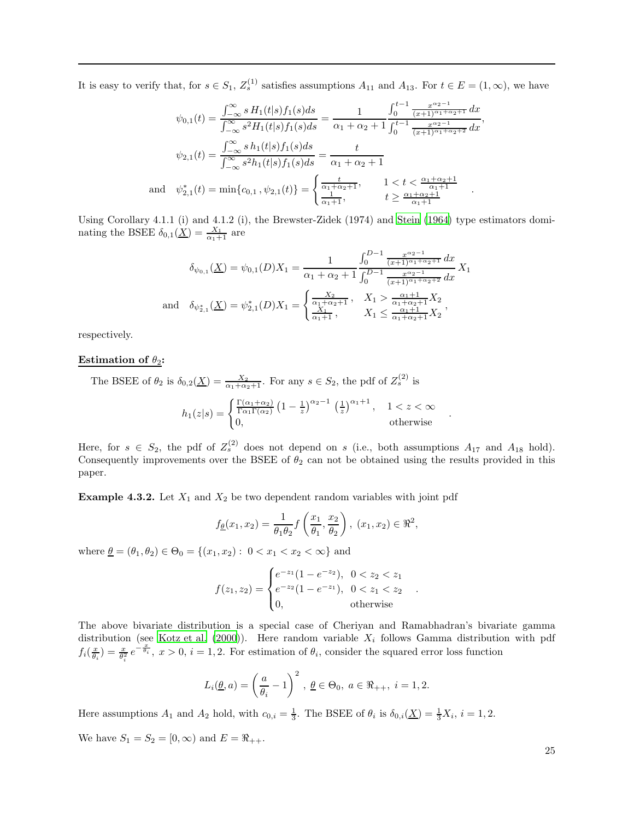It is easy to verify that, for  $s \in S_1$ ,  $Z_s^{(1)}$  satisfies assumptions  $A_{11}$  and  $A_{13}$ . For  $t \in E = (1, \infty)$ , we have

$$
\psi_{0,1}(t) = \frac{\int_{-\infty}^{\infty} s H_1(t|s) f_1(s) ds}{\int_{-\infty}^{\infty} s^2 H_1(t|s) f_1(s) ds} = \frac{1}{\alpha_1 + \alpha_2 + 1} \frac{\int_{0}^{t-1} \frac{x^{\alpha_2 - 1}}{(x+1)^{\alpha_1 + \alpha_2 + 1}} dx}{\int_{0}^{t-1} \frac{x^{\alpha_2 - 1}}{(x+1)^{\alpha_1 + \alpha_2 + 2}} dx},
$$

$$
\psi_{2,1}(t) = \frac{\int_{-\infty}^{\infty} s h_1(t|s) f_1(s) ds}{\int_{-\infty}^{\infty} s^2 h_1(t|s) f_1(s) ds} = \frac{t}{\alpha_1 + \alpha_2 + 1}
$$

$$
\text{and} \quad \psi_{2,1}^*(t) = \min\{c_{0,1}, \psi_{2,1}(t)\} = \begin{cases} \frac{t}{\alpha_1 + \alpha_2 + 1}, & 1 < t < \frac{\alpha_1 + \alpha_2 + 1}{\alpha_1 + 1} \\ \frac{1}{\alpha_1 + 1}, & t \ge \frac{\alpha_1 + \alpha_2 + 1}{\alpha_1 + 1} \end{cases}
$$

Using Corollary 4.1.1 (i) and 4.1.2 (i), the Brewster-Zidek (1974) and [Stein \(1964](#page-31-23)) type estimators dominating the BSEE  $\delta_{0,1}(\underline{X}) = \frac{X_1}{\alpha_1 + 1}$  are

$$
\delta_{\psi_{0,1}}(\underline{X}) = \psi_{0,1}(D)X_1 = \frac{1}{\alpha_1 + \alpha_2 + 1} \frac{\int_0^{D-1} \frac{x^{\alpha_2 - 1}}{(x+1)^{\alpha_1 + \alpha_2 + 1}} dx}{\int_0^{D-1} \frac{x^{\alpha_2 - 1}}{(x+1)^{\alpha_1 + \alpha_2 + 2}} dx} X_1
$$
  
and  $\delta_{\psi_{2,1}^*}(\underline{X}) = \psi_{2,1}^*(D)X_1 = \begin{cases} \frac{X_2}{\alpha_1 + \alpha_2 + 1}, & X_1 > \frac{\alpha_1 + 1}{\alpha_1 + \alpha_2 + 1} X_2 \\ \frac{X_1}{\alpha_1 + 1}, & X_1 \le \frac{\alpha_1 + 1}{\alpha_1 + \alpha_2 + 1} X_2 \end{cases}$ 

respectively.

# Estimation of  $\theta_2$ :

a.

The BSEE of  $\theta_2$  is  $\delta_{0,2}(\underline{X}) = \frac{X_2}{\alpha_1 + \alpha_2 + 1}$ . For any  $s \in S_2$ , the pdf of  $Z_s^{(2)}$  is

$$
h_1(z|s) = \begin{cases} \frac{\Gamma(\alpha_1 + \alpha_2)}{\Gamma \alpha_1 \Gamma(\alpha_2)} \left(1 - \frac{1}{z}\right)^{\alpha_2 - 1} \left(\frac{1}{z}\right)^{\alpha_1 + 1}, & 1 < z < \infty \\ 0, & \text{otherwise} \end{cases}
$$

.

.

Here, for  $s \in S_2$ , the pdf of  $Z_s^{(2)}$  does not depend on s (i.e., both assumptions  $A_{17}$  and  $A_{18}$  hold). Consequently improvements over the BSEE of  $\theta_2$  can not be obtained using the results provided in this paper.

**Example 4.3.2.** Let  $X_1$  and  $X_2$  be two dependent random variables with joint pdf

$$
f_{\underline{\theta}}(x_1, x_2) = \frac{1}{\theta_1 \theta_2} f\left(\frac{x_1}{\theta_1}, \frac{x_2}{\theta_2}\right), (x_1, x_2) \in \mathbb{R}^2,
$$

where  $\theta = (\theta_1, \theta_2) \in \Theta_0 = \{(x_1, x_2): 0 < x_1 < x_2 < \infty\}$  and

$$
f(z_1, z_2) = \begin{cases} e^{-z_1}(1 - e^{-z_2}), & 0 < z_2 < z_1 \\ e^{-z_2}(1 - e^{-z_1}), & 0 < z_1 < z_2 \\ 0, & \text{otherwise} \end{cases}
$$

The above bivariate distribution is a special case of Cheriyan and Ramabhadran's bivariate gamma distribution (see [Kotz et al. \(2000\)](#page-30-20)). Here random variable  $X_i$  follows Gamma distribution with pdf  $f_i(\frac{x}{\theta_i}) = \frac{x}{\theta_i^2} e^{-\frac{x}{\theta_i}}, x > 0, i = 1, 2$ . For estimation of  $\theta_i$ , consider the squared error loss function

$$
L_i(\underline{\theta}, a) = \left(\frac{a}{\theta_i} - 1\right)^2, \ \underline{\theta} \in \Theta_0, \ a \in \Re_{++}, \ i = 1, 2.
$$

Here assumptions  $A_1$  and  $A_2$  hold, with  $c_{0,i} = \frac{1}{3}$ . The BSEE of  $\theta_i$  is  $\delta_{0,i}(\underline{X}) = \frac{1}{3}X_i$ ,  $i = 1, 2$ . We have  $S_1 = S_2 = [0, \infty)$  and  $E = \Re_{++}$ .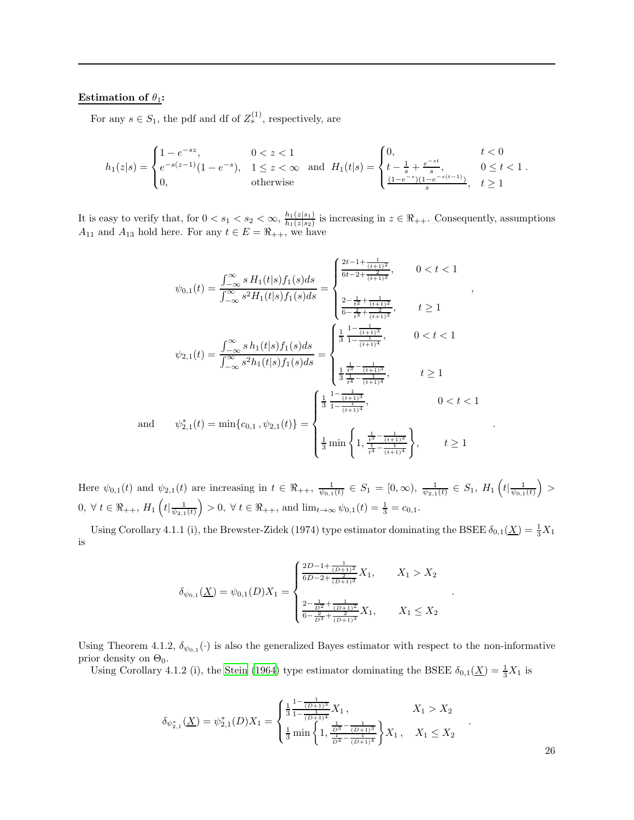# Estimation of  $\theta_1$ :

and

For any  $s \in S_1$ , the pdf and df of  $Z_s^{(1)}$ , respectively, are

$$
h_1(z|s) = \begin{cases} 1 - e^{-sz}, & 0 < z < 1 \\ e^{-s(z-1)}(1 - e^{-s}), & 1 \le z < \infty \\ 0, & \text{otherwise} \end{cases} \quad \text{and} \quad H_1(t|s) = \begin{cases} 0, & t < 0 \\ t - \frac{1}{s} + \frac{e^{-st}}{s}, & 0 \le t < 1 \\ \frac{(1 - e^{-s})(1 - e^{-s(t-1)})}{s}, & t \ge 1 \end{cases}.
$$

It is easy to verify that, for  $0 < s_1 < s_2 < \infty$ ,  $\frac{h_1(z|s_1)}{h_1(z|s_2)}$  $\frac{n_1(z|s_1)}{h_1(z|s_2)}$  is increasing in  $z \in \Re_{++}$ . Consequently, assumptions  $A_{11}$  and  $A_{13}$  hold here. For any  $t \in E = \Re_{++}$ , we have

$$
\psi_{0,1}(t) = \frac{\int_{-\infty}^{\infty} s H_1(t|s) f_1(s) ds}{\int_{-\infty}^{\infty} s^2 H_1(t|s) f_1(s) ds} = \begin{cases} \frac{2t - 1 + \frac{1}{(t+1)^2}}{6t - 2 + \frac{1}{(t+1)^3}}, & 0 < t < 1 \\ \frac{2 - \frac{1}{t^2} + \frac{1}{(t+1)^2}}{6 - \frac{2}{t^3} + \frac{1}{(t+1)^3}}, & t \ge 1 \end{cases},
$$
  

$$
\psi_{2,1}(t) = \frac{\int_{-\infty}^{\infty} s h_1(t|s) f_1(s) ds}{\int_{-\infty}^{\infty} s^2 h_1(t|s) f_1(s) ds} = \begin{cases} \frac{1}{3} \frac{1 - \frac{1}{(t+1)^3}}{1 - \frac{1}{(t+1)^4}}, & 0 < t < 1 \\ \frac{1}{3} \frac{\frac{1}{t^3} - \frac{1}{(t+1)^3}}{\frac{1}{t^4} - \frac{1}{(t+1)^4}}, & t \ge 1 \end{cases}
$$
  

$$
\psi_{2,1}^*(t) = \min\{c_{0,1}, \psi_{2,1}(t)\} = \begin{cases} \frac{1}{3} \frac{1 - \frac{1}{(t+1)^3}}{1 - \frac{1}{(t+1)^4}}, & 0 < t < 1 \\ \frac{1}{3} \frac{\frac{1}{t^3} - \frac{1}{(t+1)^3}}{1 - \frac{1}{(t+1)^4}}, & 0 < t < 1 \\ \frac{1}{3} \min\left\{1, \frac{\frac{1}{t^3} - \frac{1}{(t+1)^3}}{1 - \frac{1}{(t+1)^4}}\right\}, & t \ge 1 \end{cases}
$$

Here  $\psi_{0,1}(t)$  and  $\psi_{2,1}(t)$  are increasing in  $t \in \Re_{++}, \frac{1}{\psi_{0,1}(t)} \in S_1 = [0,\infty), \frac{1}{\psi_{2,1}(t)} \in S_1$ ,  $H_1\left(t\vert \frac{1}{\psi_{0,1}(t)}\right)$  $0, \forall t \in \Re_{++}, H_1\left(t | \frac{1}{\psi_{2,1}(t)}\right) > 0, \forall t \in \Re_{++}, \text{ and } \lim_{t \to \infty} \psi_{0,1}(t) = \frac{1}{3} = c_{0,1}.$ 

Using Corollary 4.1.1 (i), the Brewster-Zidek (1974) type estimator dominating the BSEE  $\delta_{0,1}(\underline{X}) = \frac{1}{3}X_1$ is

$$
\delta_{\psi_{0,1}}(\underline{X}) = \psi_{0,1}(D)X_1 = \begin{cases} \frac{2D - 1 + \frac{1}{(D+1)^2}}{6D - 2 + \frac{2}{(D+1)^3}} X_1, & X_1 > X_2 \\ \frac{2 - \frac{1}{D^2} + \frac{1}{(D+1)^2}}{6 - \frac{2}{D^3} + \frac{2}{(D+1)^3}} X_1, & X_1 \le X_2 \end{cases}
$$

Using Theorem 4.1.2,  $\delta_{\psi_{0,1}}(\cdot)$  is also the generalized Bayes estimator with respect to the non-informative prior density on  $\Theta_0$ .

Using Corollary 4.1.2 (i), the [Stein \(1964\)](#page-31-23) type estimator dominating the BSEE  $\delta_{0,1}(\underline{X}) = \frac{1}{3}X_1$  is

$$
\delta_{\psi_{2,1}^*}(\underline{X}) = \psi_{2,1}^*(D)X_1 = \begin{cases} \frac{1}{3} \frac{1 - \frac{1}{(D+1)^3}}{1 - \frac{1}{(D+1)^4}} X_1, & X_1 > X_2 \\ \frac{1}{3} \min\left\{1, \frac{\frac{1}{D^3} - \frac{1}{(D+1)^3}}{1 - \frac{1}{(D+1)^4}}\right\} X_1, & X_1 \le X_2 \end{cases}
$$

26

.

.

.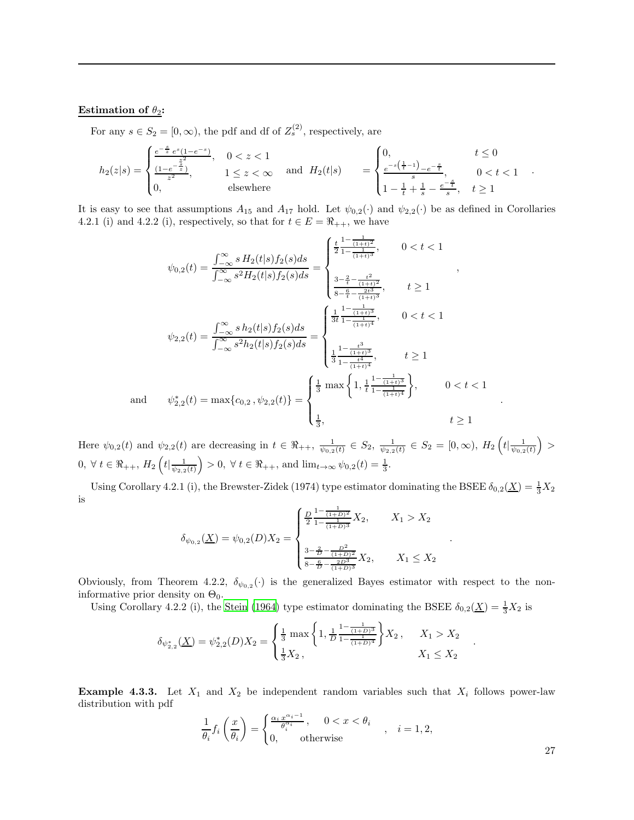#### Estimation of  $\theta_2$ :

For any  $s \in S_2 = [0, \infty)$ , the pdf and df of  $Z_s^{(2)}$ , respectively, are

$$
h_2(z|s) = \begin{cases} \frac{e^{-\frac{s}{z}}e^s(1-e^{-s})}{\frac{z^2}{z^2}}, & 0 < z < 1\\ \frac{(1-e^{-\frac{z^2}{z}})}{z^2}, & 1 \le z < \infty\\ 0, & \text{elsewhere} \end{cases} \quad \text{and} \quad H_2(t|s) = \begin{cases} 0, & t \le 0\\ \frac{e^{-s(\frac{1}{t}-1)}-e^{-\frac{s}{t}}}{s}, & 0 < t < 1\\ 1-\frac{1}{t}+\frac{1}{s}-\frac{e^{-\frac{s}{t}}}{s}, & t \ge 1 \end{cases}
$$

It is easy to see that assumptions  $A_{15}$  and  $A_{17}$  hold. Let  $\psi_{0,2}(\cdot)$  and  $\psi_{2,2}(\cdot)$  be as defined in Corollaries 4.2.1 (i) and 4.2.2 (i), respectively, so that for  $t \in E = \Re_{++}$ , we have

$$
\psi_{0,2}(t) = \frac{\int_{-\infty}^{\infty} s H_2(t|s) f_2(s) ds}{\int_{-\infty}^{\infty} s^2 H_2(t|s) f_2(s) ds} = \begin{cases} \frac{t}{2} \frac{1 - \frac{1}{(1+t)^2}}{1 - \frac{1}{(1+t)^3}}, & 0 < t < 1 \\ \frac{3 - \frac{2}{t} - \frac{t^2}{(1+t)^2}}{8 - \frac{6}{t} - \frac{2t^3}{(1+t)^3}}, & t \ge 1 \end{cases},
$$
\n
$$
\psi_{2,2}(t) = \frac{\int_{-\infty}^{\infty} s h_2(t|s) f_2(s) ds}{\int_{-\infty}^{\infty} s^2 h_2(t|s) f_2(s) ds} = \begin{cases} \frac{1}{3t} \frac{1 - \frac{1}{(1+t)^3}}{1 - \frac{t^3}{(1+t)^4}}, & 0 < t < 1 \\ \frac{1}{3} \frac{1 - \frac{t^3}{(1+t)^4}}{1 - \frac{t^4}{(1+t)^4}}, & t \ge 1 \end{cases}
$$
\nand 
$$
\psi_{2,2}^*(t) = \max\{c_{0,2}, \psi_{2,2}(t)\} = \begin{cases} \frac{1}{3} \max\left\{1, \frac{1}{t} \frac{1 - \frac{1}{(1+t)^3}}{1 - \frac{1}{(1+t)^4}}\right\}, & 0 < t < 1 \\ \frac{1}{3}, & t \ge 1 \end{cases}
$$

Here  $\psi_{0,2}(t)$  and  $\psi_{2,2}(t)$  are decreasing in  $t \in \Re_{++}, \frac{1}{\psi_{0,2}(t)} \in S_2, \frac{1}{\psi_{2,2}(t)} \in S_2 = [0,\infty), H_2\left(t | \frac{1}{\psi_{0,2}(t)}\right) >$  $0, \forall t \in \Re_{++}, H_2\left(t | \frac{1}{\psi_{2,2}(t)}\right) > 0, \forall t \in \Re_{++}, \text{ and } \lim_{t \to \infty} \psi_{0,2}(t) = \frac{1}{3}.$ 

Using Corollary 4.2.1 (i), the Brewster-Zidek (1974) type estimator dominating the BSEE  $\delta_{0,2}(\underline{X}) = \frac{1}{3}X_2$ is

$$
\delta_{\psi_{0,2}}(\underline{X}) = \psi_{0,2}(D)X_2 = \begin{cases} \frac{D}{2} \frac{1 - \frac{1}{(1+D)^2}}{1 - \frac{1}{(1+D)^3}} X_2, & X_1 > X_2 \\ \frac{3 - \frac{2}{D} - \frac{D^2}{(1+D)^2}}{8 - \frac{6}{D} - \frac{2D^3}{(1+D)^3}} X_2, & X_1 \le X_2 \end{cases}
$$

Obviously, from Theorem 4.2.2,  $\delta_{\psi_{0,2}}(\cdot)$  is the generalized Bayes estimator with respect to the noninformative prior density on  $\Theta_0$ .

Using Corollary 4.2.2 (i), the [Stein \(1964\)](#page-31-23) type estimator dominating the BSEE  $\delta_{0,2}(\underline{X}) = \frac{1}{3}X_2$  is

$$
\delta_{\psi_{2,2}^*}(\underline{X}) = \psi_{2,2}^*(D)X_2 = \begin{cases} \frac{1}{3} \max\left\{1, \frac{1}{D} \frac{1 - \frac{1}{(1+D)^3}}{1 - \frac{1}{(1+D)^4}}\right\} X_2, & X_1 > X_2\\ \frac{1}{3} X_2, & X_1 \le X_2 \end{cases}
$$

**Example 4.3.3.** Let  $X_1$  and  $X_2$  be independent random variables such that  $X_i$  follows power-law distribution with pdf

$$
\frac{1}{\theta_i} f_i \left( \frac{x}{\theta_i} \right) = \begin{cases} \frac{\alpha_i x^{\alpha_i - 1}}{\theta_i^{\alpha_i}}, & 0 < x < \theta_i \\ 0, & \text{otherwise} \end{cases}, \quad i = 1, 2,
$$

27

.

.

.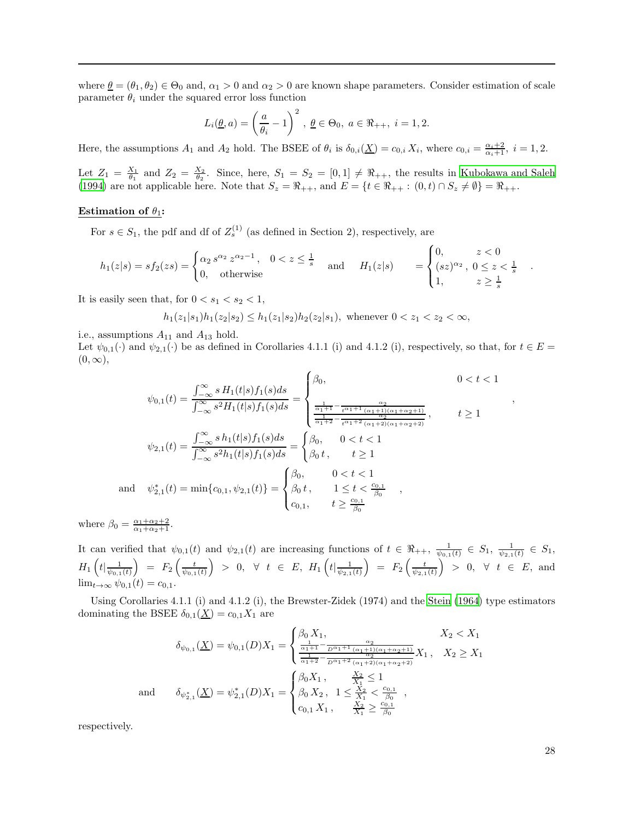where  $\underline{\theta} = (\theta_1, \theta_2) \in \Theta_0$  and,  $\alpha_1 > 0$  and  $\alpha_2 > 0$  are known shape parameters. Consider estimation of scale parameter  $\theta_i$  under the squared error loss function

$$
L_i(\underline{\theta}, a) = \left(\frac{a}{\theta_i} - 1\right)^2, \ \underline{\theta} \in \Theta_0, \ a \in \Re_{++}, \ i = 1, 2.
$$

Here, the assumptions  $A_1$  and  $A_2$  hold. The BSEE of  $\theta_i$  is  $\delta_{0,i}(\underline{X}) = c_{0,i} X_i$ , where  $c_{0,i} = \frac{\alpha_i + 2}{\alpha_i + 1}$ ,  $i = 1, 2$ .

Let  $Z_1 = \frac{X_1}{\theta_1}$  and  $Z_2 = \frac{X_2}{\theta_2}$ . Since, here,  $S_1 = S_2 = [0,1] \neq \Re_{++}$ , the results in [Kubokawa and Saleh](#page-30-2) [\(1994\)](#page-30-2) are not applicable here. Note that  $S_z = \Re_{++}$ , and  $E = \{t \in \Re_{++} : (0, t) \cap S_z \neq \emptyset\} = \Re_{++}$ .

#### Estimation of  $\theta_1$ :

For  $s \in S_1$ , the pdf and df of  $Z_s^{(1)}$  (as defined in Section 2), respectively, are

$$
h_1(z|s) = sf_2(zs) = \begin{cases} \alpha_2 s^{\alpha_2} z^{\alpha_2 - 1}, & 0 < z \le \frac{1}{s} \\ 0, & \text{otherwise} \end{cases} \quad \text{and} \quad H_1(z|s) = \begin{cases} 0, & z < 0 \\ (sz)^{\alpha_2}, & 0 \le z < \frac{1}{s} \\ 1, & z \ge \frac{1}{s} \end{cases}.
$$

It is easily seen that, for  $0 < s_1 < s_2 < 1$ ,

$$
h_1(z_1|s_1)h_1(z_2|s_2) \le h_1(z_1|s_2)h_2(z_2|s_1),
$$
 whenever  $0 < z_1 < z_2 < \infty$ ,

i.e., assumptions  $A_{11}$  and  $A_{13}$  hold.

Let  $\psi_{0,1}(\cdot)$  and  $\psi_{2,1}(\cdot)$  be as defined in Corollaries 4.1.1 (i) and 4.1.2 (i), respectively, so that, for  $t \in E$  $(0, \infty),$ 

$$
\psi_{0,1}(t) = \frac{\int_{-\infty}^{\infty} s H_1(t|s) f_1(s) ds}{\int_{-\infty}^{\infty} s^2 H_1(t|s) f_1(s) ds} = \begin{cases} \beta_0, & 0 < t < 1 \\ \frac{1}{\alpha_1 + 1} - \frac{\alpha_2}{t^{\alpha_1 + 1} (\alpha_1 + 1)(\alpha_1 + \alpha_2 + 1)}}{ \frac{1}{\alpha_1 + 2} - \frac{\alpha_2}{t^{\alpha_1 + 2} (\alpha_1 + 2)(\alpha_1 + \alpha_2 + 2)}} \end{cases}, \qquad t \ge 1
$$
\n
$$
\psi_{2,1}(t) = \frac{\int_{-\infty}^{\infty} s h_1(t|s) f_1(s) ds}{\int_{-\infty}^{\infty} s^2 h_1(t|s) f_1(s) ds} = \begin{cases} \beta_0, & 0 < t < 1 \\ \beta_0 t, & t \ge 1 \end{cases}
$$
\n
$$
\text{and} \quad \psi_{2,1}^*(t) = \min\{c_{0,1}, \psi_{2,1}(t)\} = \begin{cases} \beta_0, & 0 < t < 1 \\ \beta_0 t, & 1 \le t < \frac{c_{0,1}}{\beta_0} \\ c_{0,1}, & t \ge \frac{c_{0,1}}{\beta_0} \end{cases},
$$

where  $\beta_0 = \frac{\alpha_1 + \alpha_2 + 2}{\alpha_1 + \alpha_2 + 1}$ .

It can verified that  $\psi_{0,1}(t)$  and  $\psi_{2,1}(t)$  are increasing functions of  $t \in \Re_{++}, \frac{1}{\psi_{0,1}(t)} \in S_1, \frac{1}{\psi_{2,1}(t)} \in S_1$  $H_1\left(t|\frac{1}{\psi_{0,1}(t)}\right) \;=\; F_2\left(\frac{t}{\psi_{0,1}(t)}\right) \;>\; 0,\;\;\forall \;\;t \;\in\; E,\; H_1\left(t|\frac{1}{\psi_{2,1}(t)}\right) \;=\; F_2\left(\frac{t}{\psi_{2,1}(t)}\right) \;>\; 0,\;\;\forall \;\;t \;\in\; E,\; \text{and}$  $\lim_{t\to\infty}\psi_{0,1}(t)=c_{0,1}.$ 

Using Corollaries 4.1.1 (i) and 4.1.2 (i), the Brewster-Zidek (1974) and the [Stein \(1964\)](#page-31-23) type estimators dominating the BSEE  $\delta_{0,1}(\underline{X}) = c_{0,1}X_1$  are

$$
\delta_{\psi_{0,1}}(\underline{X}) = \psi_{0,1}(D)X_1 = \begin{cases} \beta_0 X_1, & X_2 < X_1 \\ \frac{1}{\alpha_1 + 1} - \frac{\alpha_2}{D\alpha_1 + 1} \frac{\alpha_2}{(\alpha_1 + 1)(\alpha_1 + \alpha_2 + 1)} X_1, & X_2 \ge X_1 \\ \frac{1}{\alpha_1 + 2} - \frac{\alpha_2}{D\alpha_1 + 2} \frac{\alpha_2}{(\alpha_1 + 2)(\alpha_1 + \alpha_2 + 2)} X_1, & X_2 \ge X_1 \end{cases}
$$
  
and 
$$
\delta_{\psi_{2,1}^*}(\underline{X}) = \psi_{2,1}^*(D)X_1 = \begin{cases} \beta_0 X_1, & \frac{X_2}{X_1} \le 1 \\ \beta_0 X_2, & 1 \le \frac{X_2}{X_1} < \frac{c_{0,1}}{ \beta_0} \\ c_{0,1} X_1, & \frac{X_2}{X_1} \ge \frac{c_{0,1}}{ \beta_0} \end{cases}
$$

respectively.

,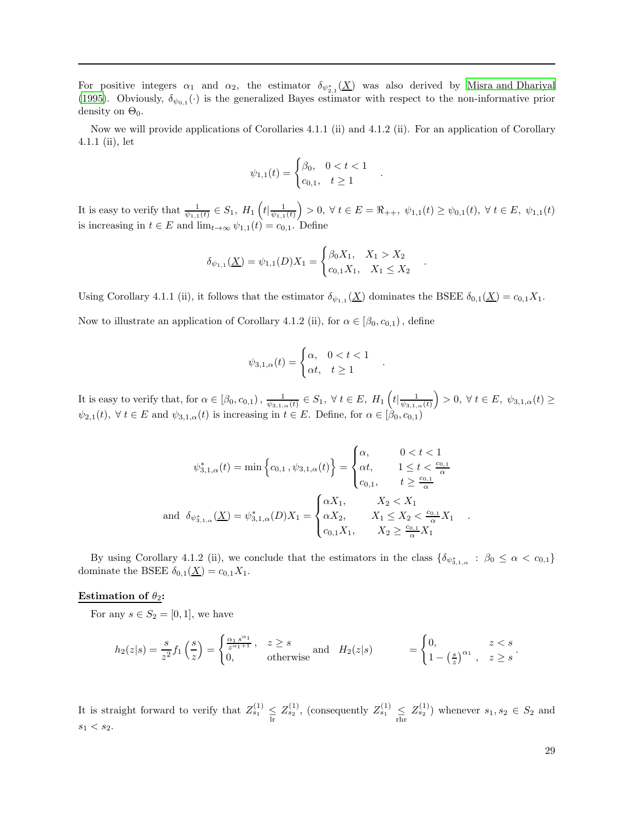For positive integers  $\alpha_1$  and  $\alpha_2$ , the estimator  $\delta_{\psi_{2,1}^*}(\underline{X})$  was also derived by [Misra and Dhariyal](#page-31-12) [\(1995\)](#page-31-12). Obviously,  $\delta_{\psi_{0,1}}(\cdot)$  is the generalized Bayes estimator with respect to the non-informative prior density on  $\Theta_0$ .

Now we will provide applications of Corollaries 4.1.1 (ii) and 4.1.2 (ii). For an application of Corollary 4.1.1 (ii), let

$$
\psi_{1,1}(t) = \begin{cases} \beta_0, & 0 < t < 1 \\ c_{0,1}, & t \ge 1 \end{cases}
$$

.

.

.

It is easy to verify that  $\frac{1}{\psi_{1,1}(t)} \in S_1$ ,  $H_1\left(t|\frac{1}{\psi_{1,1}(t)}\right) > 0$ ,  $\forall t \in E = \Re_{++}, \psi_{1,1}(t) \geq \psi_{0,1}(t)$ ,  $\forall t \in E$ ,  $\psi_{1,1}(t)$ is increasing in  $t \in E$  and  $\lim_{t \to \infty} \psi_{1,1}(t) = c_{0,1}$ . Define

$$
\delta_{\psi_{1,1}}(\underline{X}) = \psi_{1,1}(D)X_1 = \begin{cases} \beta_0 X_1, & X_1 > X_2 \\ c_{0,1} X_1, & X_1 \le X_2 \end{cases}
$$

Using Corollary 4.1.1 (ii), it follows that the estimator  $\delta_{\psi_{1,1}}(\underline{X})$  dominates the BSEE  $\delta_{0,1}(\underline{X}) = c_{0,1}X_1$ .

Now to illustrate an application of Corollary 4.1.2 (ii), for  $\alpha \in [\beta_0, c_{0,1})$ , define

$$
\psi_{3,1,\alpha}(t) = \begin{cases} \alpha, & 0 < t < 1 \\ \alpha t, & t \ge 1 \end{cases}
$$

It is easy to verify that, for  $\alpha \in [\beta_0, c_{0,1}), \frac{1}{\psi_{3,1,\alpha}(t)} \in S_1$ ,  $\forall t \in E$ ,  $H_1\left(t | \frac{1}{\psi_{3,1,\alpha}(t)}\right) > 0$ ,  $\forall t \in E$ ,  $\psi_{3,1,\alpha}(t) \ge$  $\psi_{2,1}(t),\;\forall\;t\in E\;{\rm and}\;\psi_{3,1,\alpha}(t)$  is increasing in  $t\in E.$  Define, for  $\alpha\in[\beta_0,c_{0,1})$ 

$$
\psi_{3,1,\alpha}^{*}(t) = \min \left\{ c_{0,1} \, , \psi_{3,1,\alpha}(t) \right\} = \begin{cases} \alpha, & 0 < t < 1 \\ \alpha t, & 1 \leq t < \frac{c_{0,1}}{\alpha} \\ c_{0,1}, & t \geq \frac{c_{0,1}}{\alpha} \end{cases}
$$
\n
$$
\text{and } \delta_{\psi_{3,1,\alpha}^{*}}(\underline{X}) = \psi_{3,1,\alpha}^{*}(D)X_{1} = \begin{cases} \alpha X_{1}, & X_{2} < X_{1} \\ \alpha X_{2}, & X_{1} \leq X_{2} < \frac{c_{0,1}}{\alpha} X_{1} \\ c_{0,1} X_{1}, & X_{2} \geq \frac{c_{0,1}}{\alpha} X_{1} \end{cases}
$$

By using Corollary 4.1.2 (ii), we conclude that the estimators in the class  $\{\delta_{\psi_{3,1,\alpha}^*} : \beta_0 \leq \alpha < c_{0,1}\}\$ dominate the BSEE  $\delta_{0,1}(\underline{X}) = c_{0,1}X_1$ .

### Estimation of  $\theta_2$ :

For any  $s \in S_2 = [0, 1]$ , we have

$$
h_2(z|s) = \frac{s}{z^2} f_1\left(\frac{s}{z}\right) = \begin{cases} \frac{\alpha_1 s^{\alpha_1}}{z^{\alpha_1 + 1}}, & z \ge s \\ 0, & \text{otherwise} \end{cases} \quad \text{and} \quad H_2(z|s) = \begin{cases} 0, & z < s \\ 1 - \left(\frac{s}{z}\right)^{\alpha_1}, & z \ge s \end{cases}
$$

It is straight forward to verify that  $Z_{s_1}^{(1)} \leq Z_{s_2}^{(1)}$ , (consequently  $Z_{s_1}^{(1)} \leq Z_{s_2}^{(1)}$ ) whenever  $s_1, s_2 \in S_2$  and  $s_1 < s_2$ .

.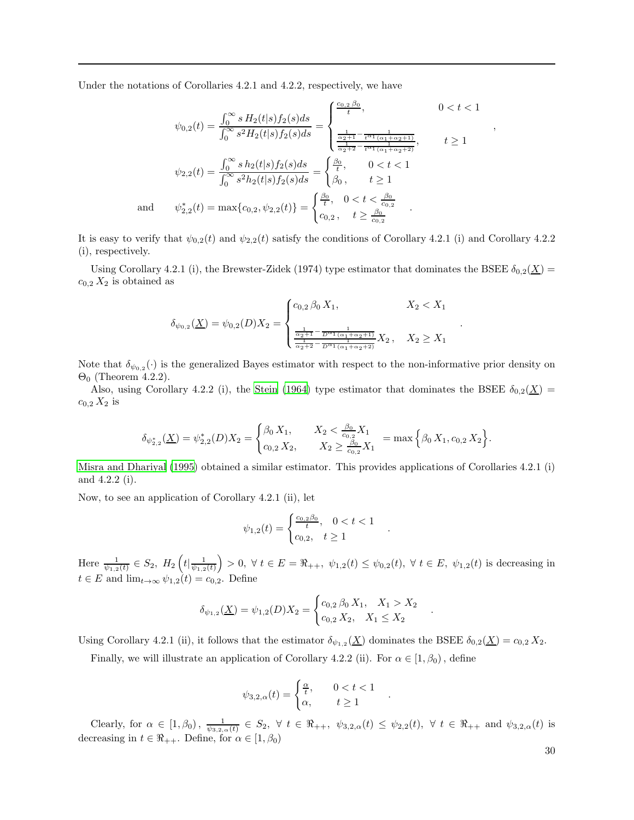Under the notations of Corollaries 4.2.1 and 4.2.2, respectively, we have

$$
\psi_{0,2}(t) = \frac{\int_0^\infty s H_2(t|s) f_2(s) ds}{\int_0^\infty s^2 H_2(t|s) f_2(s) ds} = \begin{cases} \frac{c_{0,2} \beta_0}{t}, & 0 < t < 1\\ \frac{\frac{1}{\alpha_2 + 1} - \frac{1}{t^{\alpha_1}(\alpha_1 + \alpha_2 + 1)}}{\frac{1}{\alpha_2 + 2} - \frac{1}{t^{\alpha_1}(\alpha_1 + \alpha_2 + 2)}}\\ t \ge 1 \end{cases}
$$

$$
\psi_{2,2}(t) = \frac{\int_0^\infty s h_2(t|s) f_2(s) ds}{\int_0^\infty s^2 h_2(t|s) f_2(s) ds} = \begin{cases} \frac{\beta_0}{t}, & 0 < t < 1\\ \beta_0, & t \ge 1 \end{cases}
$$

$$
\psi_{2,2}^*(t) = \max\{c_{0,2}, \psi_{2,2}(t)\} = \begin{cases} \frac{\beta_0}{t}, & 0 < t < \frac{\beta_0}{c_{0,2}}\\ c_{0,2}, & t \ge \frac{\beta_0}{c_{0,2}} \end{cases}
$$

It is easy to verify that  $\psi_{0,2}(t)$  and  $\psi_{2,2}(t)$  satisfy the conditions of Corollary 4.2.1 (i) and Corollary 4.2.2 (i), respectively.

Using Corollary 4.2.1 (i), the Brewster-Zidek (1974) type estimator that dominates the BSEE  $\delta_{0,2}(\underline{X})$  =  $c_{0,2} X_2$  is obtained as

$$
\delta_{\psi_{0,2}}(\underline{X}) = \psi_{0,2}(D)X_2 = \begin{cases} c_{0,2} \beta_0 X_1, & X_2 < X_1 \\ \frac{1}{\frac{\alpha_2 + 1}{\alpha_2 + 2} - \frac{1}{D^{\alpha_1}(\alpha_1 + \alpha_2 + 1)}} X_2, & X_2 \ge X_1 \end{cases}
$$

Note that  $\delta_{\psi_{0,2}}(\cdot)$  is the generalized Bayes estimator with respect to the non-informative prior density on  $\Theta_0$  (Theorem 4.2.2).

Also, using Corollary 4.2.2 (i), the [Stein \(1964\)](#page-31-23) type estimator that dominates the BSEE  $\delta_{0,2}(\underline{X})$  =  $c_{0,2} X_2$  is

$$
\delta_{\psi_{2,2}^*}(\underline{X}) = \psi_{2,2}^*(D)X_2 = \begin{cases} \beta_0 X_1, & X_2 < \frac{\beta_0}{c_{0,2}} X_1 \\ c_{0,2} X_2, & X_2 \ge \frac{\beta_0}{c_{0,2}} X_1 \end{cases} = \max \Big\{ \beta_0 X_1, c_{0,2} X_2 \Big\}.
$$

[Misra and Dhariyal \(1995\)](#page-31-12) obtained a similar estimator. This provides applications of Corollaries 4.2.1 (i) and 4.2.2 (i).

Now, to see an application of Corollary 4.2.1 (ii), let

and

$$
\psi_{1,2}(t) = \begin{cases} \frac{c_{0,2}\beta_0}{t}, & 0 < t < 1\\ c_{0,2}, & t \ge 1 \end{cases}
$$

.

.

.

Here  $\frac{1}{\psi_{1,2}(t)} \in S_2$ ,  $H_2\left(t | \frac{1}{\psi_{1,2}(t)}\right) > 0$ ,  $\forall t \in E = \Re_{++}, \psi_{1,2}(t) \leq \psi_{0,2}(t)$ ,  $\forall t \in E, \psi_{1,2}(t)$  is decreasing in  $t \in E$  and  $\lim_{t \to \infty} \psi_{1,2}(t) = c_{0,2}$ . Define

$$
\delta_{\psi_{1,2}}(\underline{X}) = \psi_{1,2}(D)X_2 = \begin{cases} c_{0,2} \beta_0 X_1, & X_1 > X_2 \\ c_{0,2} X_2, & X_1 \le X_2 \end{cases}
$$

Using Corollary 4.2.1 (ii), it follows that the estimator  $\delta_{\psi_{1,2}}(\underline{X})$  dominates the BSEE  $\delta_{0,2}(\underline{X}) = c_{0,2} X_2$ .

Finally, we will illustrate an application of Corollary 4.2.2 (ii). For  $\alpha \in [1, \beta_0)$ , define

$$
\psi_{3,2,\alpha}(t) = \begin{cases} \frac{\alpha}{t}, & 0 < t < 1 \\ \alpha, & t \ge 1 \end{cases}
$$

Clearly, for  $\alpha \in [1, \beta_0)$ ,  $\frac{1}{\psi_{3,2,\alpha}(t)} \in S_2$ ,  $\forall t \in \Re_{++}, \psi_{3,2,\alpha}(t) \leq \psi_{2,2}(t)$ ,  $\forall t \in \Re_{++}$  and  $\psi_{3,2,\alpha}(t)$  is decreasing in  $t \in \Re_{++}$ . Define, for  $\alpha \in [1, \beta_0)$ 

30

,

.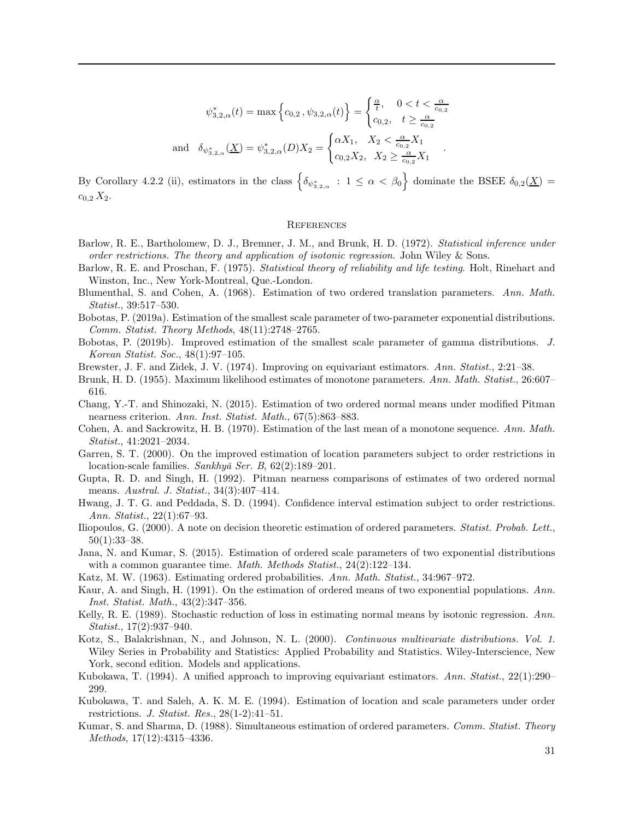$$
\psi_{3,2,\alpha}^{*}(t) = \max\left\{c_{0,2}, \psi_{3,2,\alpha}(t)\right\} = \begin{cases} \frac{\alpha}{t}, & 0 < t < \frac{\alpha}{c_{0,2}}\\ c_{0,2}, & t \ge \frac{\alpha}{c_{0,2}} \end{cases}
$$
\n
$$
\text{and } \delta_{\psi_{3,2,\alpha}^{*}}(\underline{X}) = \psi_{3,2,\alpha}^{*}(D)X_{2} = \begin{cases} \alpha X_{1}, & X_{2} < \frac{\alpha}{c_{0,2}} X_{1}\\ c_{0,2} X_{2}, & X_{2} \ge \frac{\alpha}{c_{0,2}} X_{1} \end{cases}.
$$

By Corollary 4.2.2 (ii), estimators in the class  $\left\{\delta_{\psi_{3,2,\alpha}^*}: 1 \leq \alpha < \beta_0\right\}$  dominate the BSEE  $\delta_{0,2}(\underline{X})$  $c_{0,2} X_2$ .

## **REFERENCES**

- <span id="page-30-0"></span>Barlow, R. E., Bartholomew, D. J., Bremner, J. M., and Brunk, H. D. (1972). Statistical inference under order restrictions. The theory and application of isotonic regression. John Wiley & Sons.
- <span id="page-30-19"></span>Barlow, R. E. and Proschan, F. (1975). Statistical theory of reliability and life testing. Holt, Rinehart and Winston, Inc., New York-Montreal, Que.-London.
- <span id="page-30-16"></span>Blumenthal, S. and Cohen, A. (1968). Estimation of two ordered translation parameters. Ann. Math. Statist., 39:517–530.
- <span id="page-30-14"></span>Bobotas, P. (2019a). Estimation of the smallest scale parameter of two-parameter exponential distributions. Comm. Statist. Theory Methods, 48(11):2748–2765.
- <span id="page-30-15"></span>Bobotas, P. (2019b). Improved estimation of the smallest scale parameter of gamma distributions. J. Korean Statist. Soc., 48(1):97–105.
- <span id="page-30-7"></span>Brewster, J. F. and Zidek, J. V. (1974). Improving on equivariant estimators. Ann. Statist., 2:21–38.
- <span id="page-30-4"></span>Brunk, H. D. (1955). Maximum likelihood estimates of monotone parameters. Ann. Math. Statist., 26:607– 616.
- <span id="page-30-13"></span>Chang, Y.-T. and Shinozaki, N. (2015). Estimation of two ordered normal means under modified Pitman nearness criterion. Ann. Inst. Statist. Math., 67(5):863–883.
- <span id="page-30-6"></span>Cohen, A. and Sackrowitz, H. B. (1970). Estimation of the last mean of a monotone sequence. Ann. Math. Statist., 41:2021–2034.
- <span id="page-30-11"></span>Garren, S. T. (2000). On the improved estimation of location parameters subject to order restrictions in location-scale families. Sankhyā Ser. B,  $62(2):189-201$ .
- <span id="page-30-10"></span>Gupta, R. D. and Singh, H. (1992). Pitman nearness comparisons of estimates of two ordered normal means. Austral. J. Statist., 34(3):407–414.
- <span id="page-30-3"></span>Hwang, J. T. G. and Peddada, S. D. (1994). Confidence interval estimation subject to order restrictions. Ann. Statist., 22(1):67–93.
- <span id="page-30-17"></span>Iliopoulos, G. (2000). A note on decision theoretic estimation of ordered parameters. Statist. Probab. Lett., 50(1):33–38.
- <span id="page-30-12"></span>Jana, N. and Kumar, S. (2015). Estimation of ordered scale parameters of two exponential distributions with a common guarantee time. *Math. Methods Statist.*,  $24(2):122-134$ .
- <span id="page-30-5"></span>Katz, M. W. (1963). Estimating ordered probabilities. Ann. Math. Statist., 34:967–972.
- <span id="page-30-9"></span>Kaur, A. and Singh, H. (1991). On the estimation of ordered means of two exponential populations. Ann. Inst. Statist. Math., 43(2):347–356.
- <span id="page-30-8"></span>Kelly, R. E. (1989). Stochastic reduction of loss in estimating normal means by isotonic regression. Ann. Statist., 17(2):937–940.
- <span id="page-30-20"></span>Kotz, S., Balakrishnan, N., and Johnson, N. L. (2000). Continuous multivariate distributions. Vol. 1. Wiley Series in Probability and Statistics: Applied Probability and Statistics. Wiley-Interscience, New York, second edition. Models and applications.
- <span id="page-30-18"></span>Kubokawa, T. (1994). A unified approach to improving equivariant estimators. Ann. Statist., 22(1):290– 299.
- <span id="page-30-2"></span>Kubokawa, T. and Saleh, A. K. M. E. (1994). Estimation of location and scale parameters under order restrictions. J. Statist. Res., 28(1-2):41–51.
- <span id="page-30-1"></span>Kumar, S. and Sharma, D. (1988). Simultaneous estimation of ordered parameters. Comm. Statist. Theory Methods, 17(12):4315–4336.